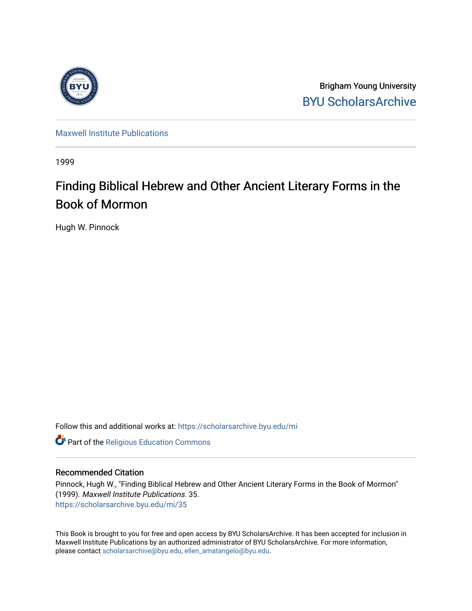

Brigham Young University [BYU ScholarsArchive](https://scholarsarchive.byu.edu/) 

[Maxwell Institute Publications](https://scholarsarchive.byu.edu/mi) 

1999

# Finding Biblical Hebrew and Other Ancient Literary Forms in the Book of Mormon

Hugh W. Pinnock

Follow this and additional works at: [https://scholarsarchive.byu.edu/mi](https://scholarsarchive.byu.edu/mi?utm_source=scholarsarchive.byu.edu%2Fmi%2F35&utm_medium=PDF&utm_campaign=PDFCoverPages)

**Part of the [Religious Education Commons](http://network.bepress.com/hgg/discipline/1414?utm_source=scholarsarchive.byu.edu%2Fmi%2F35&utm_medium=PDF&utm_campaign=PDFCoverPages)** 

#### Recommended Citation

Pinnock, Hugh W., "Finding Biblical Hebrew and Other Ancient Literary Forms in the Book of Mormon" (1999). Maxwell Institute Publications. 35. [https://scholarsarchive.byu.edu/mi/35](https://scholarsarchive.byu.edu/mi/35?utm_source=scholarsarchive.byu.edu%2Fmi%2F35&utm_medium=PDF&utm_campaign=PDFCoverPages) 

This Book is brought to you for free and open access by BYU ScholarsArchive. It has been accepted for inclusion in Maxwell Institute Publications by an authorized administrator of BYU ScholarsArchive. For more information, please contact [scholarsarchive@byu.edu, ellen\\_amatangelo@byu.edu.](mailto:scholarsarchive@byu.edu,%20ellen_amatangelo@byu.edu)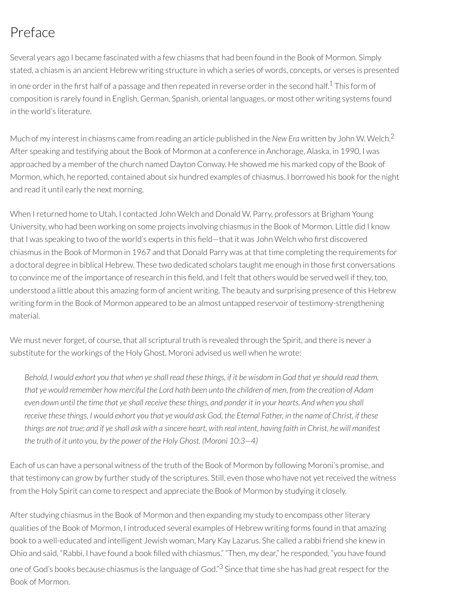# Preface

Several years ago I became fascinated with a few chiasms that had been found in the Book of Mormon. Simply stated, a chiasm is an ancient Hebrew writing structure in which a series of words, concepts, or verses is presented in one order in the first half of a passage and then repeated in reverse order in the second half. $^1$  This form of composition is rarely found in English, German, Spanish, oriental languages, or most other writing systems found in the world's literature.

Much of my interest in chiasms came from reading an article published in the *New Era* written by John W. Welch. 2 After speaking and testifying about the Book of Mormon at a conference in Anchorage, Alaska, in 1990, I was approached by a member of the church named Dayton Conway. He showed me his marked copy of the Book of Mormon, which, he reported, contained about six hundred examples of chiasmus. I borrowed his book forthe night and read it until early the next morning.

When Ireturned home to Utah, I contacted John Welch and Donald W. Parry, professors at Brigham Young University, who had been working on some projects involving chiasmus in the Book of Mormon. Little did I know that I was speaking to two of the world's experts in this field—that it was John Welch who first discovered chiasmus in the Book of Mormon in 1967 and that Donald Parry was at that time completing the requirements for a doctoral degree in biblical Hebrew. These two dedicated scholars taught me enough in those first conversations to convince me of the importance of research in this field, and I felt that others would be served well if they, too, understood a little about this amazing form of ancient writing. The beauty and surprising presence of this Hebrew writing form in the Book of Mormon appeared to be an almost untapped reservoir of testimony-strengthening material.

We must never forget, of course, that all scriptural truth is revealed through the Spirit, and there is never a substitute for the workings of the Holy Ghost. Moroni advised us well when he wrote:

Behold, I would exhort you that when ye shall read these things, if it be wisdom in God that ye should read them, that ye would remember how merciful the Lord hath been unto the children of men, from the creation of Adam even down until the time that ye shall receive these things, and ponder it in your hearts. And when you shall receive these things, I would exhort you that ye would ask God, the Eternal Father, in the name of Christ, if these things are not true; and if ye shall ask with a sincere heart, with real intent, having faith in Christ, he will manifest *the truth of it unto you, by the power of the Holy Ghost. (Moroni 10:3—4)*

Each of us can have a personal witness of the truth of the Book of Mormon by following Moroni's promise, and that testimony can grow by further study of the scriptures. Still, even those who have not yet received the witness from the Holy Spirit can come to respect and appreciate the Book of Mormon by studying it closely.

After studying chiasmus in the Book of Mormon and then expanding my study to encompass otherliterary qualities of the Book of Mormon, I introduced several examples of Hebrew writing forms found in that amazing book to a well-educated and intelligent Jewish woman, Mary Kay Lazarus. She called a rabbi friend she knew in Ohio and said, "Rabbi, I have found a book filled with chiasmus." "Then, my dear," he responded, "you have found one of God's books because chiasmus is the language of God."<sup>3</sup> Since that time she has had great respect for the Book of Mormon.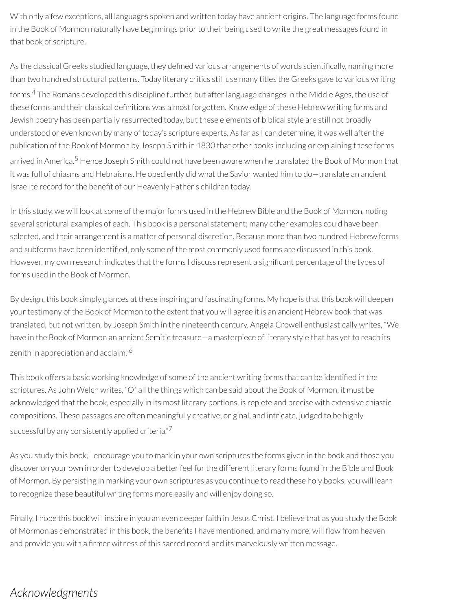With only a few exceptions, all languages spoken and written today have ancient origins. The language forms found in the Book of Mormon naturally have beginnings prior to their being used to write the great messages found in that book of scripture.

As the classical Greeks studied language, they defined various arrangements of words scientifically, naming more than two hundred structural patterns. Today literary critics still use many titles the Greeks gave to various writing forms.<sup>4</sup> The Romans developed this discipline further, but after language changes in the Middle Ages, the use of these forms and their classical definitions was almost forgotten. Knowledge of these Hebrew writing forms and Jewish poetry has been partially resurrected today, but these elements of biblical style are still not broadly understood or even known by many of today's scripture experts. As far as I can determine, it was well afterthe publication of the Book of Mormon by Joseph Smith in 1830 that other books including or explaining these forms arrived in America.<sup>5</sup> Hence Joseph Smith could not have been aware when he translated the Book of Mormon that it was full of chiasms and Hebraisms. He obediently did what the Savior wanted him to do—translate an ancient Israelite record for the benefit of our Heavenly Father's children today.

In this study, we will look at some of the major forms used in the Hebrew Bible and the Book of Mormon, noting several scriptural examples of each. This book is a personal statement; many other examples could have been selected, and their arrangement is a matter of personal discretion. Because more than two hundred Hebrew forms and subforms have been identified, only some of the most commonly used forms are discussed in this book. However, my own research indicates that the forms I discuss represent a signicant percentage of the types of forms used in the Book of Mormon.

By design, this book simply glances at these inspiring and fascinating forms. My hope is that this book will deepen your testimony of the Book of Mormon to the extent that you will agree it is an ancient Hebrew book that was translated, but not written, by Joseph Smith in the nineteenth century. Angela Crowell enthusiastically writes, "We have in the Book of Mormon an ancient Semitic treasure—a masterpiece of literary style that has yet to reach its zenith in appreciation and acclaim." 6

This book offers a basic working knowledge of some of the ancient writing forms that can be identified in the scriptures. As John Welch writes, "Of all the things which can be said about the Book of Mormon, it must be acknowledged that the book, especially in its most literary portions, is replete and precise with extensive chiastic compositions. These passages are often meaningfully creative, original, and intricate, judged to be highly successful by any consistently applied criteria." $^7$ 

As you study this book, I encourage you to mark in your own scriptures the forms given in the book and those you discover on your own in order to develop a better feel for the different literary forms found in the Bible and Book of Mormon. By persisting in marking your own scriptures as you continue to read these holy books, you will learn to recognize these beautiful writing forms more easily and will enjoy doing so.

Finally, I hope this book will inspire in you an even deeperfaith in Jesus Christ. I believe that as you study the Book of Mormon as demonstrated in this book, the benefits I have mentioned, and many more, will flow from heaven and provide you with a firmer witness of this sacred record and its marvelously written message.

# *Acknowledgments*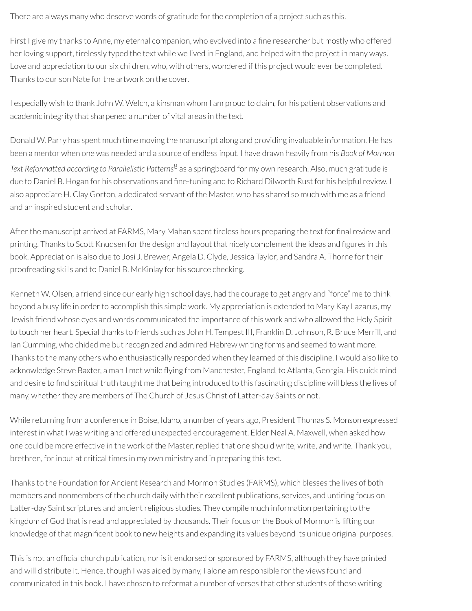There are always many who deserve words of gratitude for the completion of a project such as this.

First I give my thanks to Anne, my eternal companion, who evolved into a fine researcher but mostly who offered her loving support, tirelessly typed the text while we lived in England, and helped with the project in many ways. Love and appreciation to our six children, who, with others, wondered if this project would ever be completed. Thanks to our son Nate forthe artwork on the cover.

I especially wish to thank John W. Welch, a kinsman whom I am proud to claim, for his patient observations and academic integrity that sharpened a number of vital areas in the text.

Donald W. Parry has spent much time moving the manuscript along and providing invaluable information. He has been a mentor when one was needed and a source of endless input. I have drawn heavily from his *Book of Mormon Text Reformatted according to Parallelistic Patterns* <sup>8</sup> as a springboard for my own research. Also, much gratitude is due to Daniel B. Hogan for his observations and fine-tuning and to Richard Dilworth Rust for his helpful review. I also appreciate H. Clay Gorton, a dedicated servant of the Master, who has shared so much with me as a friend and an inspired student and scholar.

After the manuscript arrived at FARMS, Mary Mahan spent tireless hours preparing the text for final review and printing. Thanks to Scott Knudsen for the design and layout that nicely complement the ideas and figures in this book. Appreciation is also due to Josi J. Brewer, Angela D. Clyde, Jessica Taylor, and Sandra A. Thorne for their proofreading skills and to Daniel B. McKinlay for his source checking.

Kenneth W. Olsen, a friend since our early high school days, had the courage to get angry and "force" me to think beyond a busy life in order to accomplish this simple work. My appreciation is extended to Mary Kay Lazarus, my Jewish friend whose eyes and words communicated the importance of this work and who allowed the Holy Spirit to touch her heart. Special thanks to friends such as John H. Tempest III, Franklin D. Johnson, R. Bruce Merrill, and Ian Cumming, who chided me but recognized and admired Hebrew writing forms and seemed to want more. Thanks to the many others who enthusiastically responded when they learned of this discipline. I would also like to acknowledge Steve Baxter, a man I met while flying from Manchester, England, to Atlanta, Georgia. His quick mind and desire to find spiritual truth taught me that being introduced to this fascinating discipline will bless the lives of many, whether they are members of The Church of Jesus Christ of Latter-day Saints or not.

While returning from a conference in Boise, Idaho, a number of years ago, President Thomas S. Monson expressed interest in what I was writing and offered unexpected encouragement. Elder Neal A. Maxwell, when asked how one could be more effective in the work of the Master, replied that one should write, write, and write. Thank you, brethren, for input at critical times in my own ministry and in preparing this text.

Thanks to the Foundation for Ancient Research and Mormon Studies (FARMS), which blesses the lives of both members and nonmembers of the church daily with their excellent publications, services, and untiring focus on Latter-day Saint scriptures and ancient religious studies. They compile much information pertaining to the kingdom of God that is read and appreciated by thousands. Their focus on the Book of Mormon is lifting our knowledge of that magnificent book to new heights and expanding its values beyond its unique original purposes.

This is not an official church publication, nor is it endorsed or sponsored by FARMS, although they have printed and will distribute it. Hence, though I was aided by many, I alone am responsible for the views found and communicated in this book. I have chosen to reformat a number of verses that other students of these writing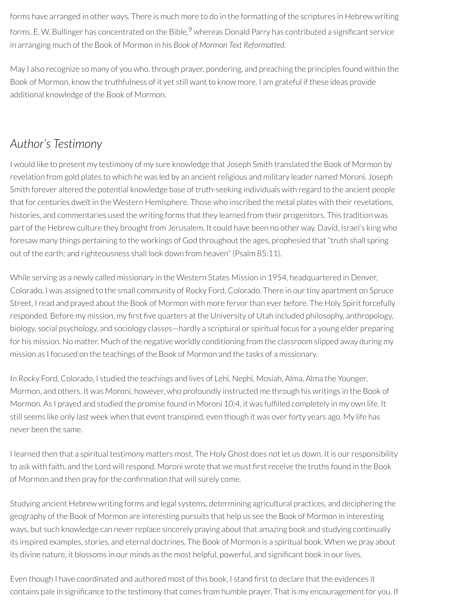forms have arranged in other ways. There is much more to do in the formatting of the scriptures in Hebrew writing forms. E. W. Bullinger has concentrated on the Bible,<sup>9</sup> whereas Donald Parry has contributed a significant service in arranging much of the Book of Mormon in his *Book of Mormon Text Reformatted.*

May I also recognize so many of you who, through prayer, pondering, and preaching the principles found within the Book of Mormon, know the truthfulness of it yet still want to know more. I am grateful if these ideas provide additional knowledge of the Book of Mormon.

# *Author's Testimony*

I would like to present my testimony of my sure knowledge that Joseph Smith translated the Book of Mormon by revelation from gold plates to which he was led by an ancient religious and military leader named Moroni. Joseph Smith forever altered the potential knowledge base of truth-seeking individuals with regard to the ancient people that for centuries dwelt in the Western Hemisphere. Those who inscribed the metal plates with their revelations, histories, and commentaries used the writing forms that they learned from their progenitors. This tradition was part of the Hebrew culture they brought from Jerusalem. It could have been no other way. David, Israel's king who foresaw many things pertaining to the workings of God throughout the ages, prophesied that "truth shall spring out of the earth; and righteousness shall look down from heaven" (Psalm 85:11).

While serving as a newly called missionary in the Western States Mission in 1954, headquartered in Denver, Colorado, I was assigned to the small community of Rocky Ford, Colorado. There in our tiny apartment on Spruce Street, I read and prayed about the Book of Mormon with more fervor than ever before. The Holy Spirit forcefully responded. Before my mission, my first five quarters at the University of Utah included philosophy, anthropology, biology, social psychology, and sociology classes—hardly a scriptural or spiritual focus for a young elder preparing for his mission. No matter. Much of the negative worldly conditioning from the classroom slipped away during my mission as I focused on the teachings of the Book of Mormon and the tasks of a missionary.

In Rocky Ford, Colorado, I studied the teachings and lives of Lehi, Nephi, Mosiah, Alma, Alma the Younger, Mormon, and others. It was Moroni, however, who profoundly instructed me through his writings in the Book of Mormon. As I prayed and studied the promise found in Moroni 10:4, it was fulfilled completely in my own life. It still seems like only last week when that event transpired, even though it was overforty years ago. My life has never been the same.

I learned then that a spiritual testimony matters most. The Holy Ghost does not let us down. It is ourresponsibility to ask with faith, and the Lord will respond. Moroni wrote that we must first receive the truths found in the Book of Mormon and then pray for the confirmation that will surely come.

Studying ancient Hebrew writing forms and legal systems, determining agricultural practices, and deciphering the geography of the Book of Mormon are interesting pursuits that help us see the Book of Mormon in interesting ways, but such knowledge can neverreplace sincerely praying about that amazing book and studying continually its inspired examples, stories, and eternal doctrines. The Book of Mormon is a spiritual book. When we pray about its divine nature, it blossoms in our minds as the most helpful, powerful, and significant book in our lives.

Even though I have coordinated and authored most of this book, I stand first to declare that the evidences it contains pale in significance to the testimony that comes from humble prayer. That is my encouragement for you. If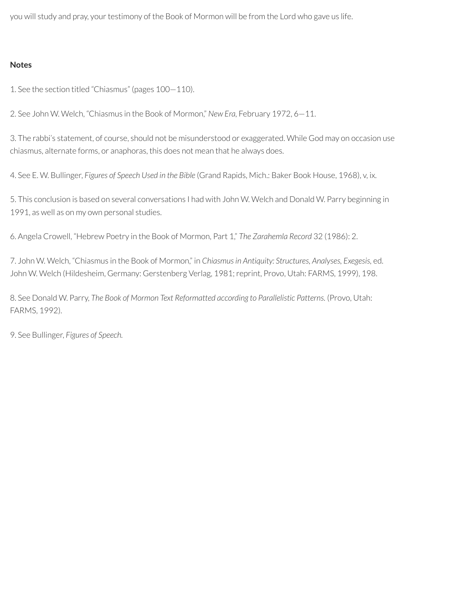you will study and pray, your testimony of the Book of Mormon will be from the Lord who gave us life.

#### **Notes**

1. See the section titled "Chiasmus" (pages 100—110).

2. See John W. Welch, "Chiasmus in the Book of Mormon," *New Era,* February 1972, 6—11.

3. The rabbi's statement, of course, should not be misunderstood or exaggerated. While God may on occasion use chiasmus, alternate forms, or anaphoras, this does not mean that he always does.

4. See E. W. Bullinger, *Figures of Speech Used in the Bible* (Grand Rapids, Mich.: Baker Book House, 1968), v, ix.

5. This conclusion is based on several conversations I had with John W. Welch and Donald W. Parry beginning in 1991, as well as on my own personal studies.

6. Angela Crowell, "Hebrew Poetry in the Book of Mormon, Part 1," *The Zarahemla Record* 32 (1986): 2.

7. John W. Welch, "Chiasmus in the Book of Mormon," in *Chiasmusin Antiquity: Structures, Analyses, Exegesis,* ed. John W. Welch (Hildesheim, Germany: Gerstenberg Verlag, 1981; reprint, Provo, Utah: FARMS, 1999), 198.

8. See Donald W. Parry, *The Book of Mormon Text Reformatted according to Parallelistic Patterns.* (Provo, Utah: FARMS, 1992).

9. See Bullinger, *Figures of Speech.*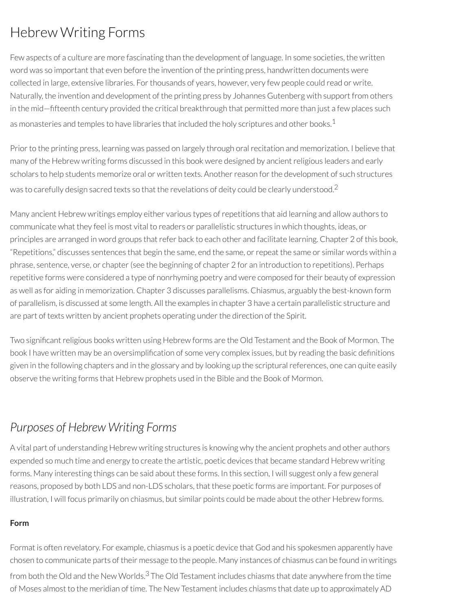# Hebrew Writing Forms

Few aspects of a culture are more fascinating than the development of language. In some societies, the written word was so important that even before the invention of the printing press, handwritten documents were collected in large, extensive libraries. For thousands of years, however, very few people could read or write. Naturally, the invention and development of the printing press by Johannes Gutenberg with support from others in the mid—fteenth century provided the critical breakthrough that permitted more than just a few places such as monasteries and temples to have libraries that included the holy scriptures and other books. $^1$ 

Prior to the printing press, learning was passed on largely through oral recitation and memorization. I believe that many of the Hebrew writing forms discussed in this book were designed by ancientreligious leaders and early scholars to help students memorize oral or written texts. Another reason for the development of such structures was to carefully design sacred texts so that the revelations of deity could be clearly understood. $^2$ 

Many ancient Hebrew writings employ either various types ofrepetitions that aid learning and allow authors to communicate what they feel is most vital to readers or parallelistic structures in which thoughts, ideas, or principles are arranged in word groups that refer back to each other and facilitate learning. Chapter 2 of this book, "Repetitions," discusses sentences that begin the same, end the same, orrepeat the same or similar words within a phrase, sentence, verse, or chapter (see the beginning of chapter 2 for an introduction to repetitions). Perhaps repetitive forms were considered a type of nonrhyming poetry and were composed fortheir beauty of expression as well as for aiding in memorization. Chapter 3 discusses parallelisms. Chiasmus, arguably the best-known form of parallelism, is discussed at some length. All the examples in chapter 3 have a certain parallelistic structure and are part of texts written by ancient prophets operating under the direction of the Spirit.

Two significant religious books written using Hebrew forms are the Old Testament and the Book of Mormon. The book I have written may be an oversimplification of some very complex issues, but by reading the basic definitions given in the following chapters and in the glossary and by looking up the scriptural references, one can quite easily observe the writing forms that Hebrew prophets used in the Bible and the Book of Mormon.

# *Purposes of Hebrew Writing Forms*

A vital part of understanding Hebrew writing structures is knowing why the ancient prophets and other authors expended so much time and energy to create the artistic, poetic devices that became standard Hebrew writing forms. Many interesting things can be said about these forms. In this section, I will suggest only a few general reasons, proposed by both LDS and non-LDS scholars, that these poetic forms are important. For purposes of illustration, I will focus primarily on chiasmus, but similar points could be made about the other Hebrew forms.

## **Form**

Format is often revelatory. For example, chiasmus is a poetic device that God and his spokesmen apparently have chosen to communicate parts of their message to the people. Many instances of chiasmus can be found in writings from both the Old and the New Worlds. $^3$  The Old Testament includes chiasms that date anywhere from the time of Moses almost to the meridian of time. The New Testament includes chiasms that date up to approximately AD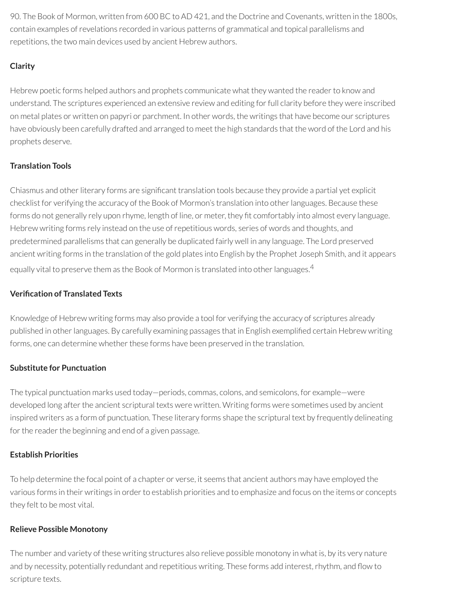90. The Book of Mormon, written from 600 BC to AD 421, and the Doctrine and Covenants, written in the 1800s, contain examples ofrevelations recorded in various patterns of grammatical and topical parallelisms and repetitions, the two main devices used by ancient Hebrew authors.

## **Clarity**

Hebrew poetic forms helped authors and prophets communicate what they wanted the reader to know and understand. The scriptures experienced an extensive review and editing forfull clarity before they were inscribed on metal plates or written on papyri or parchment. In other words, the writings that have become our scriptures have obviously been carefully drafted and arranged to meet the high standards that the word of the Lord and his prophets deserve.

## **Translation Tools**

Chiasmus and other literary forms are significant translation tools because they provide a partial yet explicit checklist for verifying the accuracy of the Book of Mormon's translation into otherlanguages. Because these forms do not generally rely upon rhyme, length of line, or meter, they fit comfortably into almost every language. Hebrew writing forms rely instead on the use ofrepetitious words, series of words and thoughts, and predetermined parallelisms that can generally be duplicated fairly well in any language. The Lord preserved ancient writing forms in the translation of the gold plates into English by the Prophet Joseph Smith, and it appears equally vital to preserve them as the Book of Mormon is translated into other languages. $^{\rm 4}$ 

## **Verication of Translated Texts**

Knowledge of Hebrew writing forms may also provide a tool for verifying the accuracy of scriptures already published in other languages. By carefully examining passages that in English exemplified certain Hebrew writing forms, one can determine whether these forms have been preserved in the translation.

### **Substitute for Punctuation**

The typical punctuation marks used today—periods, commas, colons, and semicolons, for example—were developed long after the ancient scriptural texts were written. Writing forms were sometimes used by ancient inspired writers as a form of punctuation. These literary forms shape the scriptural text by frequently delineating for the reader the beginning and end of a given passage.

### **Establish Priorities**

To help determine the focal point of a chapter or verse, it seems that ancient authors may have employed the various forms in their writings in order to establish priorities and to emphasize and focus on the items or concepts they felt to be most vital.

### **Relieve Possible Monotony**

The number and variety of these writing structures also relieve possible monotony in what is, by its very nature and by necessity, potentially redundant and repetitious writing. These forms add interest, rhythm, and flow to scripture texts.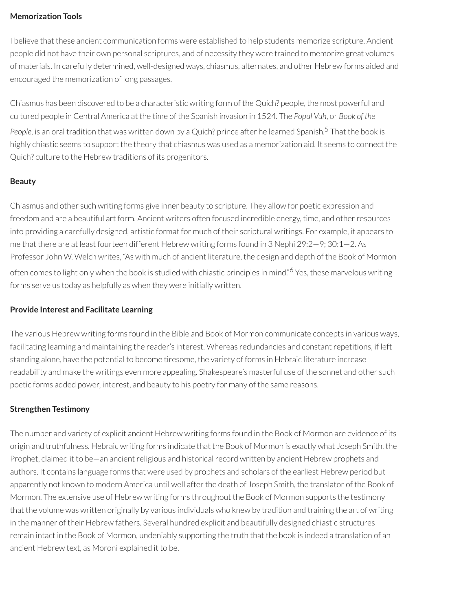#### **Memorization Tools**

I believe that these ancient communication forms were established to help students memorize scripture. Ancient people did not have their own personal scriptures, and of necessity they were trained to memorize great volumes of materials. In carefully determined, well-designed ways, chiasmus, alternates, and other Hebrew forms aided and encouraged the memorization of long passages.

Chiasmus has been discovered to be a characteristic writing form of the Quich? people, the most powerful and cultured people in Central America at the time of the Spanish invasion in 1524. The *Popul Vuh*, or *Book of the People,* is an oral tradition that was written down by a Quich? prince after he learned Spanish. <sup>5</sup> That the book is highly chiastic seems to support the theory that chiasmus was used as a memorization aid. It seems to connect the Quich? culture to the Hebrew traditions of its progenitors.

#### **Beauty**

Chiasmus and other such writing forms give inner beauty to scripture. They allow for poetic expression and freedom and are a beautiful art form. Ancient writers often focused incredible energy, time, and other resources into providing a carefully designed, artistic format for much of their scriptural writings. For example, it appears to me that there are at least fourteen different Hebrew writing forms found in 3 Nephi 29:2—9; 30:1—2. As Professor John W. Welch writes, "As with much of ancient literature, the design and depth of the Book of Mormon often comes to light only when the book is studied with chiastic principles in mind." <sup>6</sup> Yes, these marvelous writing forms serve us today as helpfully as when they were initially written.

#### **Provide Interest and Facilitate Learning**

The various Hebrew writing forms found in the Bible and Book of Mormon communicate concepts in various ways, facilitating learning and maintaining the reader's interest. Whereas redundancies and constant repetitions, if left standing alone, have the potential to become tiresome, the variety of forms in Hebraic literature increase readability and make the writings even more appealing. Shakespeare's masterful use of the sonnet and other such poetic forms added power, interest, and beauty to his poetry for many of the same reasons.

#### **Strengthen Testimony**

The number and variety of explicit ancient Hebrew writing forms found in the Book of Mormon are evidence of its origin and truthfulness. Hebraic writing forms indicate that the Book of Mormon is exactly what Joseph Smith, the Prophet, claimed it to be—an ancient religious and historical record written by ancient Hebrew prophets and authors. It contains language forms that were used by prophets and scholars of the earliest Hebrew period but apparently not known to modern America until well after the death of Joseph Smith, the translator of the Book of Mormon. The extensive use of Hebrew writing forms throughout the Book of Mormon supports the testimony that the volume was written originally by various individuals who knew by tradition and training the art of writing in the manner of their Hebrew fathers. Several hundred explicit and beautifully designed chiastic structures remain intact in the Book of Mormon, undeniably supporting the truth that the book is indeed a translation of an ancient Hebrew text, as Moroni explained it to be.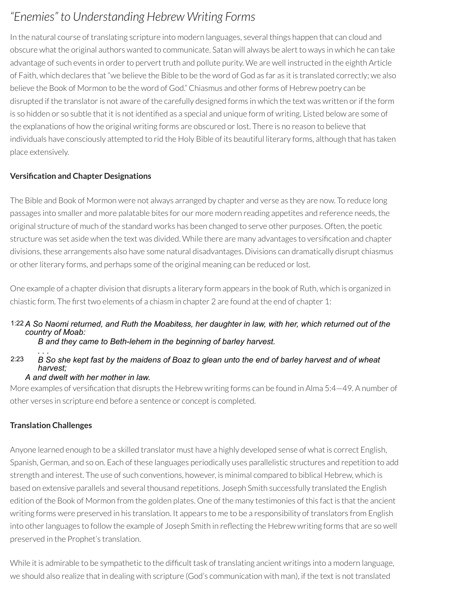# *"Enemies" to Understanding Hebrew Writing Forms*

In the natural course of translating scripture into modern languages, several things happen that can cloud and obscure what the original authors wanted to communicate. Satan will always be alert to ways in which he can take advantage of such events in order to pervert truth and pollute purity. We are well instructed in the eighth Article of Faith, which declares that "we believe the Bible to be the word of God as far as it is translated correctly; we also believe the Book of Mormon to be the word of God." Chiasmus and other forms of Hebrew poetry can be disrupted if the translator is not aware of the carefully designed forms in which the text was written or if the form is so hidden or so subtle that it is not identified as a special and unique form of writing. Listed below are some of the explanations of how the original writing forms are obscured or lost. There is no reason to believe that individuals have consciously attempted to rid the Holy Bible of its beautiful literary forms, although that has taken place extensively.

### **Versification and Chapter Designations**

The Bible and Book of Mormon were not always arranged by chapter and verse as they are now. To reduce long passages into smaller and more palatable bites for our more modern reading appetites and reference needs, the original structure of much of the standard works has been changed to serve other purposes. Often, the poetic structure was set aside when the text was divided. While there are many advantages to versification and chapter divisions, these arrangements also have some natural disadvantages. Divisions can dramatically disrupt chiasmus or otherliterary forms, and perhaps some of the original meaning can be reduced orlost.

One example of a chapter division that disrupts a literary form appears in the book of Ruth, which is organized in chiastic form. The first two elements of a chiasm in chapter 2 are found at the end of chapter 1:

#### 1:22*A So Naomi returned, and Ruth the Moabitess, her daughter in law, with her, which returned out of the country of Moab: B and they came to Beth-lehem in the beginning of barley harvest.*

#### *. . .* 2:23 *B So she kept fast by the maidens of Boaz to glean unto the end of barley harvest and of wheat harvest;*

## *A and dwelt with her mother in law.*

More examples of versification that disrupts the Hebrew writing forms can be found in Alma 5:4–49. A number of other verses in scripture end before a sentence or concept is completed.

### **Translation Challenges**

Anyone learned enough to be a skilled translator must have a highly developed sense of what is correct English, Spanish, German, and so on. Each of these languages periodically uses parallelistic structures and repetition to add strength and interest. The use of such conventions, however, is minimal compared to biblical Hebrew, which is based on extensive parallels and several thousand repetitions. Joseph Smith successfully translated the English edition of the Book of Mormon from the golden plates. One of the many testimonies of this fact is that the ancient writing forms were preserved in his translation. It appears to me to be a responsibility of translators from English into other languages to follow the example of Joseph Smith in reflecting the Hebrew writing forms that are so well preserved in the Prophet's translation.

While it is admirable to be sympathetic to the difficult task of translating ancient writings into a modern language, we should also realize that in dealing with scripture (God's communication with man), if the text is not translated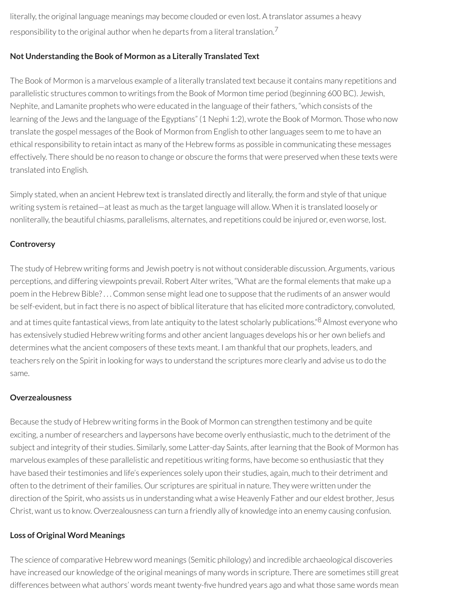literally, the original language meanings may become clouded or even lost. A translator assumes a heavy responsibility to the original author when he departs from a literal translation. $^7$ 

#### **Not Understanding the Book of Mormon as a Literally Translated Text**

The Book of Mormon is a marvelous example of a literally translated text because it contains many repetitions and parallelistic structures common to writings from the Book of Mormon time period (beginning 600 BC). Jewish, Nephite, and Lamanite prophets who were educated in the language of their fathers, "which consists of the learning of the Jews and the language of the Egyptians" (1 Nephi 1:2), wrote the Book of Mormon. Those who now translate the gospel messages of the Book of Mormon from English to otherlanguages seem to me to have an ethical responsibility to retain intact as many of the Hebrew forms as possible in communicating these messages effectively. There should be no reason to change or obscure the forms that were preserved when these texts were translated into English.

Simply stated, when an ancient Hebrew text is translated directly and literally, the form and style of that unique writing system is retained—at least as much as the target language will allow. When it is translated loosely or nonliterally, the beautiful chiasms, parallelisms, alternates, and repetitions could be injured or, even worse, lost.

#### **Controversy**

The study of Hebrew writing forms and Jewish poetry is not without considerable discussion. Arguments, various perceptions, and differing viewpoints prevail. Robert Alter writes, "What are the formal elements that make up a poem in the Hebrew Bible? . . . Common sense might lead one to suppose that the rudiments of an answer would be self-evident, but in fact there is no aspect of biblical literature that has elicited more contradictory, convoluted, and at times quite fantastical views, from late antiquity to the latest scholarly publications."<sup>8</sup> Almost everyone who has extensively studied Hebrew writing forms and other ancient languages develops his or her own beliefs and determines what the ancient composers of these texts meant. I am thankful that our prophets, leaders, and teachers rely on the Spirit in looking for ways to understand the scriptures more clearly and advise us to do the same.

#### **Overzealousness**

Because the study of Hebrew writing forms in the Book of Mormon can strengthen testimony and be quite exciting, a number of researchers and laypersons have become overly enthusiastic, much to the detriment of the subject and integrity of their studies. Similarly, some Latter-day Saints, afterlearning that the Book of Mormon has marvelous examples of these parallelistic and repetitious writing forms, have become so enthusiastic that they have based their testimonies and life's experiences solely upon their studies, again, much to their detriment and often to the detriment of their families. Our scriptures are spiritual in nature. They were written under the direction of the Spirit, who assists us in understanding what a wise Heavenly Father and our eldest brother, Jesus Christ, want us to know. Overzealousness can turn a friendly ally of knowledge into an enemy causing confusion.

#### **Loss of Original Word Meanings**

The science of comparative Hebrew word meanings (Semitic philology) and incredible archaeological discoveries have increased our knowledge of the original meanings of many words in scripture. There are sometimes still great differences between what authors' words meant twenty-five hundred years ago and what those same words mean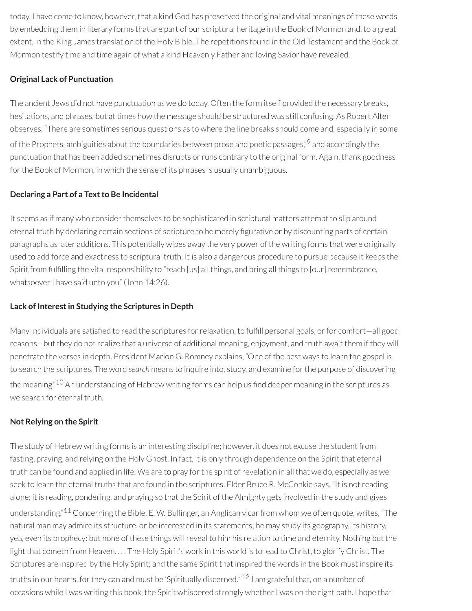today. I have come to know, however, that a kind God has preserved the original and vital meanings of these words by embedding them in literary forms that are part of our scriptural heritage in the Book of Mormon and, to a great extent, in the King James translation of the Holy Bible. The repetitions found in the Old Testament and the Book of Mormon testify time and time again of what a kind Heavenly Father and loving Savior have revealed.

## **Original Lack of Punctuation**

The ancient Jews did not have punctuation as we do today. Often the form itself provided the necessary breaks, hesitations, and phrases, but at times how the message should be structured was still confusing. As Robert Alter observes, "There are sometimes serious questions as to where the line breaks should come and, especially in some of the Prophets, ambiguities about the boundaries between prose and poetic passages,"<sup>9</sup> and accordingly the punctuation that has been added sometimes disrupts orruns contrary to the original form. Again, thank goodness for the Book of Mormon, in which the sense of its phrases is usually unambiguous.

### **Declaring a Part of a Text to Be Incidental**

It seems as if many who consider themselves to be sophisticated in scriptural matters attempt to slip around eternal truth by declaring certain sections of scripture to be merely figurative or by discounting parts of certain paragraphs as later additions. This potentially wipes away the very power of the writing forms that were originally used to add force and exactness to scriptural truth. It is also a dangerous procedure to pursue because it keeps the Spirit from fulfilling the vital responsibility to "teach [us] all things, and bring all things to [our] remembrance, whatsoever I have said unto you" (John 14:26).

### **Lack of Interestin Studying the Scriptures in Depth**

Many individuals are satisfied to read the scriptures for relaxation, to fulfill personal goals, or for comfort—all good reasons—but they do notrealize that a universe of additional meaning, enjoyment, and truth await them if they will penetrate the verses in depth. President Marion G. Romney explains, "One of the best ways to learn the gospel is to search the scriptures. The word *search* means to inquire into, study, and examine forthe purpose of discovering the meaning." <sup>10</sup> An understanding of Hebrew writing forms can help us find deeper meaning in the scriptures as we search for eternal truth.

## **Not Relying on the Spirit**

The study of Hebrew writing forms is an interesting discipline; however, it does not excuse the student from fasting, praying, and relying on the Holy Ghost. In fact, it is only through dependence on the Spirit that eternal truth can be found and applied in life. We are to pray for the spirit of revelation in all that we do, especially as we seek to learn the eternal truths that are found in the scriptures. Elder Bruce R. McConkie says, "It is notreading alone; it is reading, pondering, and praying so that the Spirit of the Almighty gets involved in the study and gives understanding."<sup>11</sup> Concerning the Bible, E. W. Bullinger, an Anglican vicar from whom we often quote, writes, "The natural man may admire its structure, or be interested in its statements; he may study its geography, its history, yea, even its prophecy: but none of these things will reveal to him his relation to time and eternity. Nothing but the light that cometh from Heaven. . . . The Holy Spirit's work in this world is to lead to Christ, to glorify Christ. The Scriptures are inspired by the Holy Spirit; and the same Spirit that inspired the words in the Book must inspire its truths in our hearts, for they can and must be 'Spiritually discerned.'"<sup>12</sup> I am grateful that, on a number of

occasions while I was writing this book, the Spirit whispered strongly whether I was on the right path. I hope that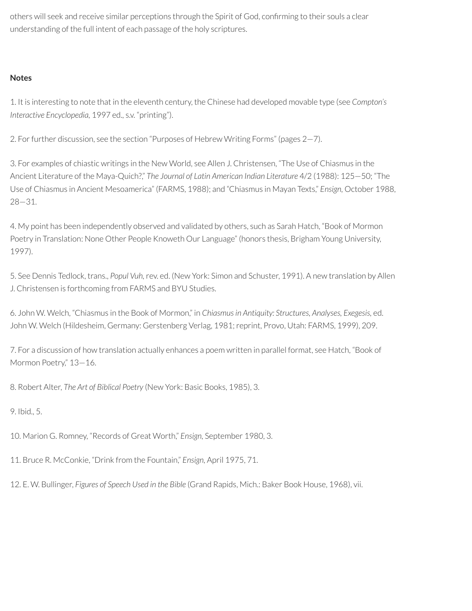others will seek and receive similar perceptions through the Spirit of God, confirming to their souls a clear understanding of the full intent of each passage of the holy scriptures.

#### **Notes**

1. It is interesting to note that in the eleventh century, the Chinese had developed movable type (see *Compton's Interactive Encyclopedia,* 1997 ed., s.v. "printing").

2. For further discussion, see the section "Purposes of Hebrew Writing Forms" (pages 2–7).

3. For examples of chiastic writings in the New World, see Allen J. Christensen, "The Use of Chiasmus in the Ancient Literature of the Maya-Quich?," *The Journal of Latin American Indian Literature* 4/2 (1988): 125—50; "The Use of Chiasmus in Ancient Mesoamerica" (FARMS, 1988); and "Chiasmus in Mayan Texts," *Ensign,* October 1988, 28—31.

4. My point has been independently observed and validated by others, such as Sarah Hatch, "Book of Mormon Poetry in Translation: None Other People Knoweth Our Language" (honors thesis, Brigham Young University, 1997).

5. See Dennis Tedlock, trans., *Popul Vuh,*rev. ed. (New York: Simon and Schuster, 1991). A new translation by Allen J. Christensen is forthcoming from FARMS and BYU Studies.

6. John W. Welch, "Chiasmus in the Book of Mormon," in *Chiasmusin Antiquity: Structures, Analyses, Exegesis,* ed. John W. Welch (Hildesheim, Germany: Gerstenberg Verlag, 1981;reprint, Provo, Utah: FARMS, 1999), 209.

7. For a discussion of how translation actually enhances a poem written in parallel format, see Hatch, "Book of Mormon Poetry," 13—16.

8. Robert Alter, *The Art of Biblical Poetry* (New York: Basic Books, 1985), 3.

9. Ibid., 5.

10. Marion G. Romney, "Records of Great Worth," *Ensign,* September 1980, 3.

11. Bruce R. McConkie, "Drink from the Fountain," *Ensign,* April 1975, 71.

12. E. W. Bullinger, *Figures of Speech Used in the Bible* (Grand Rapids, Mich.: Baker Book House, 1968), vii.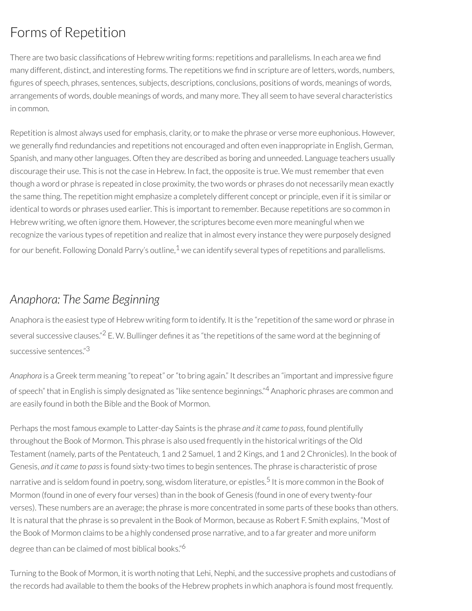# Forms of Repetition

There are two basic classifications of Hebrew writing forms: repetitions and parallelisms. In each area we find many different, distinct, and interesting forms. The repetitions we find in scripture are of letters, words, numbers, figures of speech, phrases, sentences, subjects, descriptions, conclusions, positions of words, meanings of words, arrangements of words, double meanings of words, and many more. They all seem to have several characteristics in common.

Repetition is almost always used for emphasis, clarity, or to make the phrase or verse more euphonious. However, we generally find redundancies and repetitions not encouraged and often even inappropriate in English, German, Spanish, and many other languages. Often they are described as boring and unneeded. Language teachers usually discourage their use. This is not the case in Hebrew. In fact, the opposite is true. We mustrememberthat even though a word or phrase is repeated in close proximity, the two words or phrases do not necessarily mean exactly the same thing. The repetition might emphasize a completely different concept or principle, even if it is similar or identical to words or phrases used earlier. This is important to remember. Because repetitions are so common in Hebrew writing, we often ignore them. However, the scriptures become even more meaningful when we recognize the various types ofrepetition and realize that in almost every instance they were purposely designed for our benefit. Following Donald Parry's outline, $^1$  we can identify several types of repetitions and parallelisms.

# *Anaphora: The Same Beginning*

Anaphora is the easiest type of Hebrew writing form to identify. It is the "repetition of the same word or phrase in several successive clauses."<sup>2</sup> E. W. Bullinger defines it as "the repetitions of the same word at the beginning of successive sentences."<sup>3</sup>

Anaphora is a Greek term meaning "to repeat" or "to bring again." It describes an "important and impressive figure of speech" that in English is simply designated as "like sentence beginnings."<sup>4</sup> Anaphoric phrases are common and are easily found in both the Bible and the Book of Mormon.

Perhaps the most famous example to Latter-day Saints is the phrase *and it came to pass,* found plentifully throughout the Book of Mormon. This phrase is also used frequently in the historical writings of the Old Testament (namely, parts of the Pentateuch, 1 and 2 Samuel, 1 and 2 Kings, and 1 and 2 Chronicles). In the book of Genesis, *and it came to pass*is found sixty-two times to begin sentences. The phrase is characteristic of prose narrative and is seldom found in poetry, song, wisdom literature, or epistles.<sup>5</sup> It is more common in the Book of Mormon (found in one of every four verses) than in the book of Genesis (found in one of every twenty-four verses). These numbers are an average; the phrase is more concentrated in some parts of these books than others. It is natural that the phrase is so prevalent in the Book of Mormon, because as Robert F. Smith explains, "Most of the Book of Mormon claims to be a highly condensed prose narrative, and to a far greater and more uniform degree than can be claimed of most biblical books." 6

Turning to the Book of Mormon, it is worth noting that Lehi, Nephi, and the successive prophets and custodians of the records had available to them the books of the Hebrew prophets in which anaphora is found most frequently.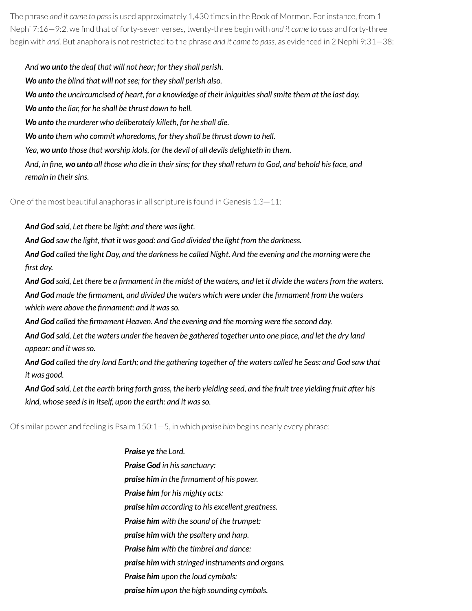The phrase *and it came to pass*is used approximately 1,430 times in the Book of Mormon. Forinstance, from 1 Nephi 7:16–9:2, we find that of forty-seven verses, twenty-three begin with *and* it *came to pass* and forty-three begin with *and.* But anaphora is notrestricted to the phrase *and it came to pass,* as evidenced in 2 Nephi 9:31—38:

*And wo unto the deaf that will not hear; for they shall perish. Wo unto the blind that will notsee; for they shall perish also. Wo unto the uncircumcised of heart, for a knowledge of their iniquitiesshallsmite them at the last day. Wo unto the liar, for he shall be thrust down to hell. Wo unto the murderer who deliberately killeth, for he shall die. Wo unto them who commit whoredoms, for they shall be thrust down to hell. Yea, wo unto those that worship idols, for the devil of all devils delighteth in them.* And, in fine, wo unto all those who die in their sins; for they shall return to God, and behold his face, and *remain in their sins.* 

One of the most beautiful anaphoras in all scripture is found in Genesis 1:3—11:

*And God said, Let there be light: and there waslight.*

*And God saw the light, that it was good: and God divided the light from the darkness.*

And God called the light Day, and the darkness he called Night. And the evening and the morning were the *rst day.*

And God said, Let there be a firmament in the midst of the waters, and let it divide the waters from the waters. *And God made the rmament, and divided the waters which were under the rmament from the waters which were above the rmament: and it wasso.*

*And God called the rmament Heaven. And the evening and the morning were the second day.*

And God said, Let the waters under the heaven be gathered together unto one place, and let the dry land *appear: and it wasso.*

And God called the dry land Earth; and the gathering together of the waters called he Seas: and God saw that *it was good.*

And God said, Let the earth bring forth grass, the herb yielding seed, and the fruit tree yielding fruit after his *kind, whose seed isin itself, upon the earth: and it wasso.*

Of similar power and feeling is Psalm 150:1—5, in which *praise him* begins nearly every phrase:

*Praise ye the Lord. Praise God in hissanctuary: praise him in the rmament of his power. Praise him for his mighty acts: praise him according to his excellent greatness. Praise him with the sound of the trumpet: praise him with the psaltery and harp. Praise him with the timbrel and dance: praise him with stringed instruments and organs. Praise him upon the loud cymbals: praise him upon the high sounding cymbals.*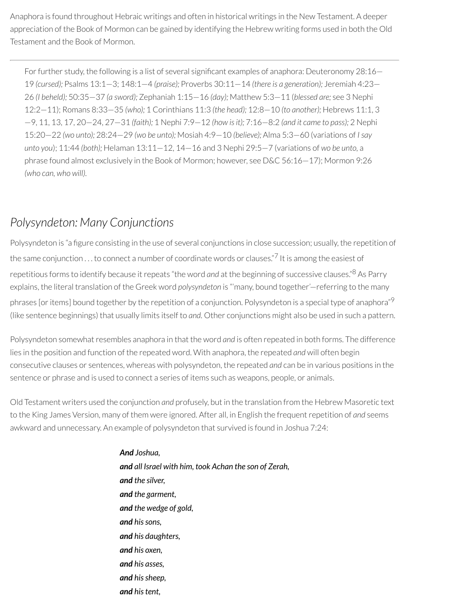Anaphora is found throughout Hebraic writings and often in historical writings in the New Testament. A deeper appreciation of the Book of Mormon can be gained by identifying the Hebrew writing forms used in both the Old Testament and the Book of Mormon.

For further study, the following is a list of several significant examples of anaphora: Deuteronomy 28:16– 19 *(cursed);* Psalms 13:1—3; 148:1—4 *(praise);* Proverbs 30:11—14 *(there is a generation);* Jeremiah 4:23— 26 *(I beheld);* 50:35—37 *(a sword);* Zephaniah 1:15—16 *(day);* Matthew 5:3—11 (*blessed are;* see 3 Nephi 12:2—11); Romans 8:33—35 *(who);* 1 Corinthians 11:3 *(the head);* 12:8—10 *(to another);* Hebrews 11:1, 3 —9, 11, 13, 17, 20—24, 27—31 *(faith);* 1 Nephi 7:9—12 *(how isit);* 7:16—8:2 *(and it came to pass);* 2 Nephi 15:20—22 *(wo unto);* 28:24—29 *(wo be unto);* Mosiah 4:9—10 *(believe);* Alma 5:3—60 (variations of *Isay unto you*); 11:44 *(both);* Helaman 13:11—12, 14—16 and 3 Nephi 29:5—7 (variations of *wo be unto,* a phrase found almost exclusively in the Book of Mormon; however, see D&C 56:16—17); Mormon 9:26 *(who can, who will).*

# *Polysyndeton: Many Conjunctions*

Polysyndeton is "a figure consisting in the use of several conjunctions in close succession; usually, the repetition of the same conjunction…to connect a number of coordinate words or clauses."<sup>7</sup> It is among the easiest of repetitious forms to identify because it repeats "the word *and* at the beginning of successive clauses."<sup>8</sup> As Parry explains, the literal translation of the Greek word *polysyndeton* is "'many, bound together'—referring to the many phrases [or items] bound together by the repetition of a conjunction. Polysyndeton is a special type of anaphora"<sup>9</sup> (like sentence beginnings) that usually limits itself to *and.* Other conjunctions might also be used in such a pattern.

Polysyndeton somewhat resembles anaphora in that the word *and* is often repeated in both forms. The difference lies in the position and function of the repeated word. With anaphora, the repeated *and* will often begin consecutive clauses or sentences, whereas with polysyndeton, the repeated *and* can be in various positions in the sentence or phrase and is used to connect a series of items such as weapons, people, or animals.

Old Testament writers used the conjunction *and* profusely, but in the translation from the Hebrew Masoretic text to the King James Version, many of them were ignored. After all, in English the frequentrepetition of *and* seems awkward and unnecessary. An example of polysyndeton that survived is found in Joshua 7:24:

> *And Joshua, and all Israel with him, took Achan the son of Zerah, and the silver, and the garment, and the wedge of gold, and hissons, and his daughters, and his oxen, and his asses, and hissheep, and histent,*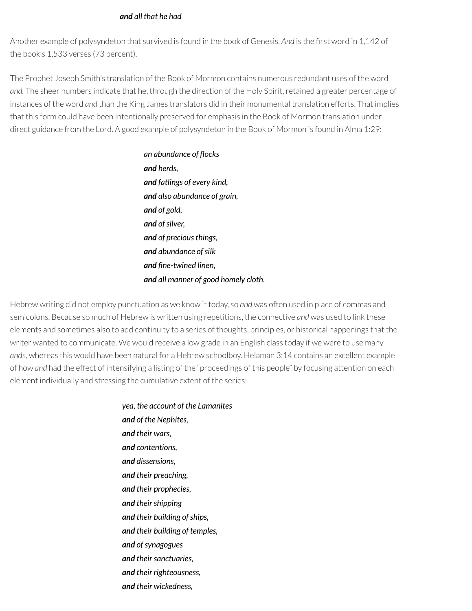#### *and all that he had*

Another example of polysyndeton that survived is found in the book of Genesis. And is the first word in 1,142 of the book's 1,533 verses (73 percent).

The Prophet Joseph Smith's translation of the Book of Mormon contains numerous redundant uses of the word and. The sheer numbers indicate that he, through the direction of the Holy Spirit, retained a greater percentage of instances of the word *and* than the King James translators did in their monumental translation efforts. That implies that this form could have been intentionally preserved for emphasis in the Book of Mormon translation under direct guidance from the Lord. A good example of polysyndeton in the Book of Mormon is found in Alma 1:29:

> *an abundance of ocks and herds, and fatlings of every kind, and also abundance of grain, and of gold, and* of silver, *and of preciousthings, and abundance ofsilk and ne-twined linen, and all manner of good homely cloth.*

Hebrew writing did not employ punctuation as we know it today, so *and* was often used in place of commas and semicolons. Because so much of Hebrew is written using repetitions, the connective *and* was used to link these elements and sometimes also to add continuity to a series of thoughts, principles, or historical happenings that the writer wanted to communicate. We would receive a low grade in an English class today if we were to use many *and*s*,* whereas this would have been natural for a Hebrew schoolboy. Helaman 3:14 contains an excellent example of how *and* had the effect of intensifying a listing of the "proceedings of this people" by focusing attention on each element individually and stressing the cumulative extent of the series:

> *yea, the account of the Lamanites and of the Nephites, and their wars, and contentions, and dissensions, and their preaching, and their prophecies, and* their shipping *and their building* of *ships*, *and their building of temples, and ofsynagogues*  $and$  *their sanctuaries*, *and their righteousness, and their wickedness,*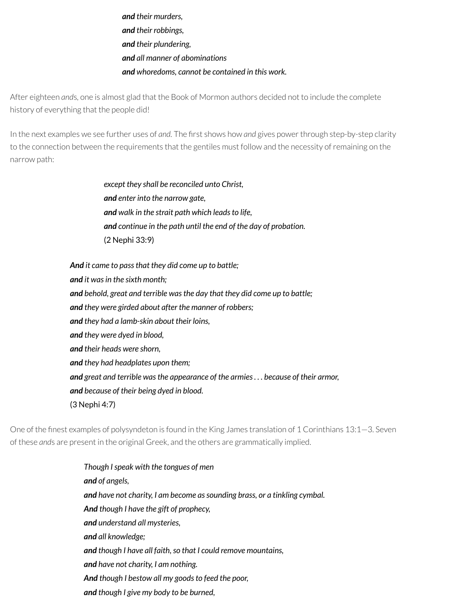*and their murders, and their robbings, and their plundering, and all manner of abominations and whoredoms, cannot be contained in this work.*

After eighteen *and*s*,* one is almost glad that the Book of Mormon authors decided not to include the complete history of everything that the people did!

In the next examples we see further uses of *and*. The first shows how *and* gives power through step-by-step clarity to the connection between the requirements that the gentiles must follow and the necessity ofremaining on the narrow path:

> *except they shall be reconciled unto Christ, and enter into the narrow gate, and walk in the strait path which leadsto life, and continue in the path until the end of the day of probation.* (2 Nephi 33:9)

*And it came to passthat they did come up to battle; and it wasin the sixth month; and behold, great and terrible wasthe day that they did come up to battle; and they were girded about after the manner of robbers; and they had a lamb-skin about their loins, and they were dyed in blood, and their heads were shorn, and they had headplates upon them; and great and terrible wasthe appearance of the armies. . . because of their armor, and because of their being dyed in blood.* (3 Nephi 4:7)

One of the finest examples of polysyndeton is found in the King James translation of 1 Corinthians 13:1–3. Seven of these *and*s are present in the original Greek, and the others are grammatically implied.

> *Though Ispeak with the tongues of men and of angels, and have not charity, I am become assounding brass, or a tinkling cymbal. And though I have the gift of prophecy, and understand all mysteries, and all knowledge; and though I have all faith,so that I could remove mountains, and have not charity, I am nothing. And though I bestow all my goodsto feed the poor, and though I give my body to be burned,*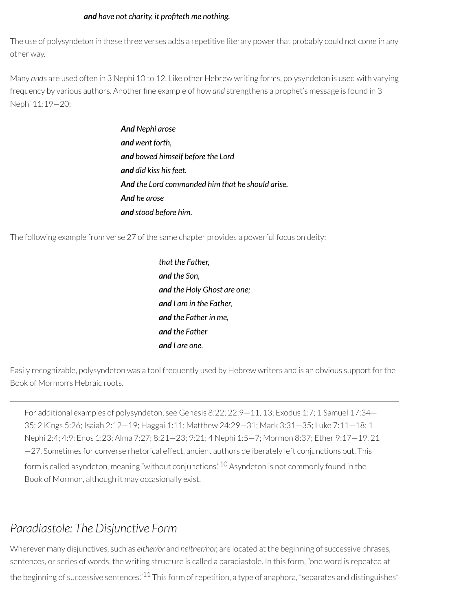#### *and* have not charity, it profiteth me nothing.

The use of polysyndeton in these three verses adds a repetitive literary power that probably could not come in any other way.

Many *and*s are used often in 3 Nephi 10 to 12. Like other Hebrew writing forms, polysyndeton is used with varying frequency by various authors. Another fine example of how *and* strengthens a prophet's message is found in 3 Nephi 11:19—20:

> *And Nephi arose and went forth, and bowed himself before the Lord and did kiss hisfeet. And the Lord commanded him that he should arise. And he arose and stood before him.*

The following example from verse 27 of the same chapter provides a powerful focus on deity:

*that the Father, and the Son, and the Holy Ghost are one; and I am in the Father, and the Father in me, and the Father and I are one.*

Easily recognizable, polysyndeton was a tool frequently used by Hebrew writers and is an obvious support for the Book of Mormon's Hebraic roots.

For additional examples of polysyndeton, see Genesis 8:22; 22:9—11, 13; Exodus 1:7; 1 Samuel 17:34— 35; 2 Kings 5:26; Isaiah 2:12—19; Haggai 1:11; Matthew 24:29—31; Mark 3:31—35; Luke 7:11—18; 1 Nephi 2:4; 4:9; Enos 1:23; Alma 7:27; 8:21—23; 9:21; 4 Nephi 1:5—7; Mormon 8:37; Ether 9:17—19, 21 —27. Sometimes for converse rhetorical effect, ancient authors deliberately left conjunctions out. This form is called asyndeton, meaning "without conjunctions." <sup>10</sup> Asyndeton is not commonly found in the Book of Mormon, although it may occasionally exist.

## *Paradiastole: The Disjunctive Form*

Wherever many disjunctives, such as *either/or* and *neither/nor,* are located at the beginning of successive phrases, sentences, or series of words, the writing structure is called a paradiastole. In this form, "one word is repeated at the beginning of successive sentences."<sup>11</sup> This form of repetition, a type of anaphora, "separates and distinguishes"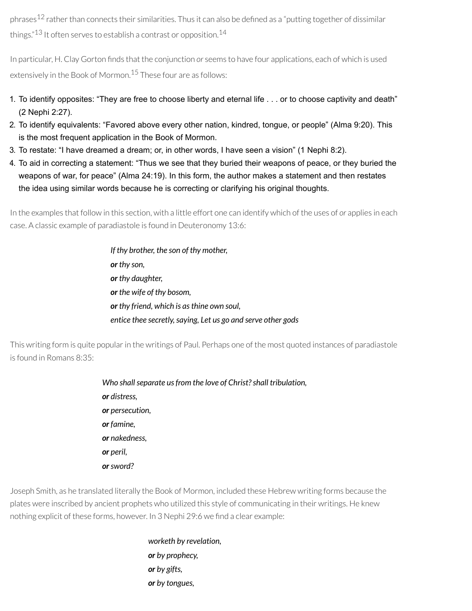phrases<sup>12</sup> rather than connects their similarities. Thus it can also be defined as a "putting together of dissimilar things."<sup>13</sup> It often serves to establish a contrast or opposition.<sup>14</sup>

In particular, H. Clay Gorton finds that the conjunction *or* seems to have four applications, each of which is used extensively in the Book of Mormon.<sup>15</sup> These four are as follows:

- 1. To identify opposites: "They are free to choose liberty and eternal life . . . or to choose captivity and death" (2 Nephi 2:27).
- 2. To identify equivalents: "Favored above every other nation, kindred, tongue, or people" (Alma 9:20). This is the most frequent application in the Book of Mormon.
- 3. To restate: "I have dreamed a dream; or, in other words, I have seen a vision" (1 Nephi 8:2).
- 4. To aid in correcting a statement: "Thus we see that they buried their weapons of peace, or they buried the weapons of war, for peace" (Alma 24:19). In this form, the author makes a statement and then restates the idea using similar words because he is correcting or clarifying his original thoughts.

In the examples that follow in this section, with a little effort one can identify which of the uses of *or* applies in each case. A classic example of paradiastole is found in Deuteronomy 13:6:

> *If thy brother, the son of thy mother, or thy son, or thy daughter, or the wife of thy bosom, or thy friend, which is asthine own soul, entice thee secretly, saying, Let us go and serve other gods*

This writing form is quite popular in the writings of Paul. Perhaps one of the most quoted instances of paradiastole is found in Romans 8:35:

> *Who shallseparate usfrom the love of Christ?shall tribulation, or distress, or persecution, or famine, or nakedness, or peril, orsword?*

Joseph Smith, as he translated literally the Book of Mormon, included these Hebrew writing forms because the plates were inscribed by ancient prophets who utilized this style of communicating in their writings. He knew nothing explicit of these forms, however. In 3 Nephi 29:6 we find a clear example:

> *worketh by revelation, or by prophecy, or by gifts, or by tongues,*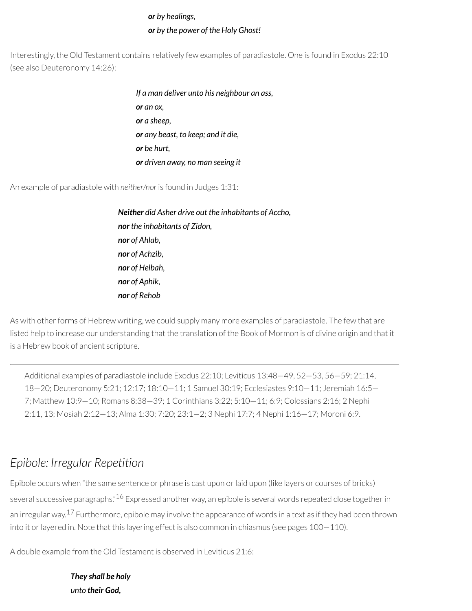#### *or by healings,*

#### *or by the power of the Holy Ghost!*

Interestingly, the Old Testament contains relatively few examples of paradiastole. One is found in Exodus 22:10 (see also Deuteronomy 14:26):

> *If a man deliver unto his neighbour an ass, or an ox, or a sheep, or any beast, to keep; and it die, or be hurt, or driven away, no man seeing it*

An example of paradiastole with *neither/nor* is found in Judges 1:31:

*Neither did Asher drive out the inhabitants of Accho, nor the inhabitants of Zidon, nor of Ahlab, nor of Achzib, nor of Helbah, nor of Aphik, nor of Rehob*

As with other forms of Hebrew writing, we could supply many more examples of paradiastole. The few that are listed help to increase our understanding that the translation of the Book of Mormon is of divine origin and that it is a Hebrew book of ancient scripture.

Additional examples of paradiastole include Exodus 22:10; Leviticus 13:48—49, 52—53, 56—59; 21:14, 18—20; Deuteronomy 5:21; 12:17; 18:10—11; 1 Samuel 30:19; Ecclesiastes 9:10—11; Jeremiah 16:5— 7; Matthew 10:9—10; Romans 8:38—39; 1 Corinthians 3:22; 5:10—11; 6:9; Colossians 2:16; 2 Nephi 2:11, 13; Mosiah 2:12—13; Alma 1:30; 7:20; 23:1—2; 3 Nephi 17:7; 4 Nephi 1:16—17; Moroni 6:9.

## *Epibole: Irregular Repetition*

Epibole occurs when "the same sentence or phrase is cast upon orlaid upon (like layers or courses of bricks) several successive paragraphs."<sup>16</sup> Expressed another way, an epibole is several words repeated close together in an irregular way.<sup>17</sup> Furthermore, epibole may involve the appearance of words in a text as if they had been thrown into it or layered in. Note that this layering effect is also common in chiasmus (see pages  $100-110$ ).

A double example from the Old Testament is observed in Leviticus 21:6:

*They shall be holy unto their God,*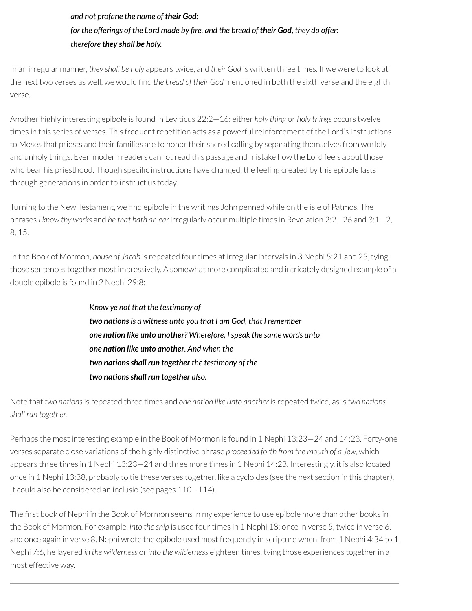## *and not profane the name of their God: for the offerings of the Lord made by re, and the bread of their God, they do offer: therefore they shall be holy.*

In an irregular manner, *they shall be holy* appears twice, and *their God* is written three times. If we were to look at the next two verses as well, we would find *the bread of their God* mentioned in both the sixth verse and the eighth verse.

Another highly interesting epibole is found in Leviticus 22:2—16: either *holy thing* or *holy things* occurs twelve times in this series of verses. This frequent repetition acts as a powerful reinforcement of the Lord's instructions to Moses that priests and their families are to honor their sacred calling by separating themselves from worldly and unholy things. Even modern readers cannot read this passage and mistake how the Lord feels about those who bear his priesthood. Though specific instructions have changed, the feeling created by this epibole lasts through generations in order to instruct us today.

Turning to the New Testament, we find epibole in the writings John penned while on the isle of Patmos. The phrases *I know thy works* and *he that hath an ear* irregularly occur multiple times in Revelation 2:2—26 and 3:1—2, 8, 15.

In the Book of Mormon, *house* of *Jacob* is repeated four times at irregular intervals in 3 Nephi 5:21 and 25, tying those sentences together most impressively. A somewhat more complicated and intricately designed example of a double epibole is found in 2 Nephi 29:8:

> *Know ye not that the testimony of two nationsis a witness unto you that I am God, that I remember one nation like unto another? Wherefore, Ispeak the same words unto one nation like unto another. And when the two nationsshall run together the testimony of the two nationsshall run together also.*

Note that *two nations*is repeated three times and *one nation like unto another* is repeated twice, as is *two nations shall run together.*

Perhaps the most interesting example in the Book of Mormon is found in 1 Nephi 13:23—24 and 14:23. Forty-one verses separate close variations of the highly distinctive phrase *proceeded forth from the mouth of a Jew,* which appears three times in 1 Nephi 13:23—24 and three more times in 1 Nephi 14:23. Interestingly, it is also located once in 1 Nephi 13:38, probably to tie these verses together, like a cycloides (see the next section in this chapter). It could also be considered an inclusio (see pages 110—114).

The first book of Nephi in the Book of Mormon seems in my experience to use epibole more than other books in the Book of Mormon. For example, *into the ship* is used fourtimes in 1 Nephi 18: once in verse 5, twice in verse 6, and once again in verse 8. Nephi wrote the epibole used most frequently in scripture when, from 1 Nephi 4:34 to 1 Nephi 7:6, he layered *in the wilderness* or*into the wilderness* eighteen times, tying those experiences togetherin a most effective way.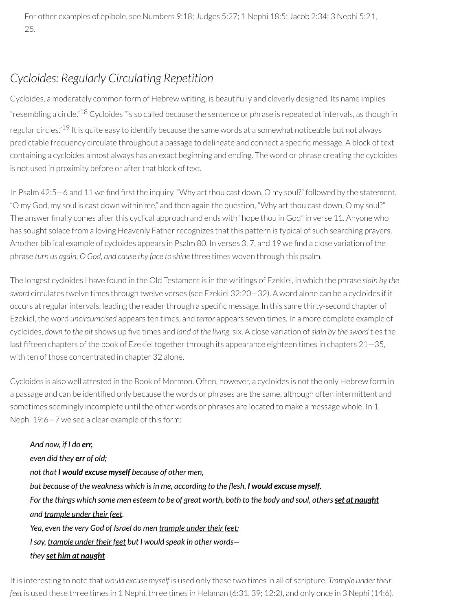For other examples of epibole, see Numbers 9:18; Judges 5:27; 1 Nephi 18:5; Jacob 2:34; 3 Nephi 5:21, 25.

# *Cycloides: Regularly Circulating Repetition*

Cycloides, a moderately common form of Hebrew writing, is beautifully and cleverly designed. Its name implies "resembling a circle."<sup>18</sup> Cycloides "is so called because the sentence or phrase is repeated at intervals, as though in regular circles."<sup>19</sup> It is quite easy to identify because the same words at a somewhat noticeable but not always predictable frequency circulate throughout a passage to delineate and connect a specific message. A block of text containing a cycloides almost always has an exact beginning and ending. The word or phrase creating the cycloides is not used in proximity before or after that block of text.

In Psalm 42:5—6 and 11 we find first the inquiry, "Why art thou cast down, O my soul?" followed by the statement, "O my God, my soul is cast down within me," and then again the question, "Why art thou cast down, O my soul?" The answer finally comes after this cyclical approach and ends with "hope thou in God" in verse 11. Anyone who has sought solace from a loving Heavenly Father recognizes that this pattern is typical of such searching prayers. Another biblical example of cycloides appears in Psalm 80. In verses 3, 7, and 19 we find a close variation of the phrase *turn us again, O God, and cause thy face to shine* three times woven through this psalm.

The longest cycloides I have found in the Old Testament is in the writings of Ezekiel, in which the phrase *slain by the sword* circulates twelve times through twelve verses (see Ezekiel 32:20—32). A word alone can be a cycloides if it occurs at regular intervals, leading the reader through a specific message. In this same thirty-second chapter of Ezekiel, the word *uncircumcised* appears ten times, and *terror* appears seven times. In a more complete example of cycloides, *down to the pit* shows up five times and *land* of the living, six. A close variation of *slain* by the *sword* ties the last fifteen chapters of the book of Ezekiel together through its appearance eighteen times in chapters 21–35, with ten of those concentrated in chapter 32 alone.

Cycloides is also well attested in the Book of Mormon. Often, however, a cycloides is not the only Hebrew form in a passage and can be identified only because the words or phrases are the same, although often intermittent and sometimes seemingly incomplete until the other words or phrases are located to make a message whole. In 1 Nephi 19:6—7 we see a clear example of this form:

*And now, if I do err, even did they err of old; not that I would excuse myself because of other men, but because of the weakness which isin me, according to the esh, I would excuse myself.* For the things which some men esteem to be of great worth, both to the body and soul, others set at naught *and trample under their feet. Yea, even the very God of Israel do men trample under their feet; Isay, trample under their feet but I would speak in other words they set him at naught*

It is interesting to note that *would excuse myself* is used only these two times in all of scripture. *Trample under their feet* is used these three times in 1 Nephi, three times in Helaman (6:31, 39; 12:2), and only once in 3 Nephi (14:6).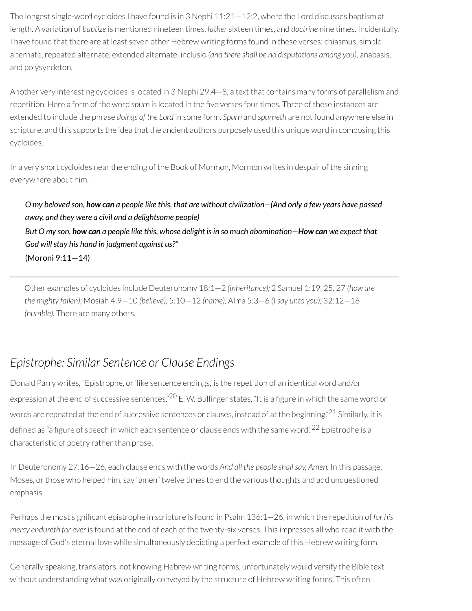The longest single-word cycloides I have found is in 3 Nephi 11:21—12:2, where the Lord discusses baptism at length. A variation of *baptize* is mentioned nineteen times, *father* sixteen times, and *doctrine* nine times. Incidentally, I have found that there are at least seven other Hebrew writing forms found in these verses: chiasmus, simple alternate,repeated alternate, extended alternate, inclusio *(and there shall be no disputations among you),* anabasis, and polysyndeton.

Another very interesting cycloides is located in 3 Nephi 29:4—8, a text that contains many forms of parallelism and repetition. Here a form of the word *spurn* is located in the five verses four times. Three of these instances are extended to include the phrase *doings of the Lord* in some form. *Spurn* and *spurneth* are not found anywhere else in scripture, and this supports the idea that the ancient authors purposely used this unique word in composing this cycloides.

In a very short cycloides nearthe ending of the Book of Mormon, Mormon writes in despair of the sinning everywhere about him:

## O my beloved son, how can a people like this, that are without civilization-(And only a few years have passed *away, and they were a civil and a delightsome people)* But O my son, how can a people like this, whose delight is in so much abomination-How can we expect that *God willstay his hand in judgment against us?"* (Moroni 9:11—14)

Other examples of cycloides include Deuteronomy 18:1—2 *(inheritance);* 2 Samuel 1:19, 25, 27 *(how are the mighty fallen);* Mosiah 4:9—10 *(believe);* 5:10—12 *(name);* Alma 5:3—6 *(I say unto you);* 32:12—16 *(humble).* There are many others.

# *Epistrophe: Similar Sentence or Clause Endings*

Donald Parry writes, "Epistrophe, or'like sentence endings,' is the repetition of an identical word and/or expression at the end of successive sentences."<sup>20</sup> E. W. Bullinger states, "It is a figure in which the same word or words are repeated at the end of successive sentences or clauses, instead of at the beginning."<sup>21</sup> Similarly, it is defined as "a figure of speech in which each sentence or clause ends with the same word."<sup>22</sup> Epistrophe is a characteristic of poetry rather than prose.

In Deuteronomy 27:16—26, each clause ends with the words *And all the people shall say, Amen.* In this passage, Moses, or those who helped him, say "amen" twelve times to end the various thoughts and add unquestioned emphasis.

Perhaps the most significant epistrophe in scripture is found in Psalm 136:1–26, in which the repetition of *for his mercy endureth for ever* is found at the end of each of the twenty-six verses. This impresses all who read it with the message of God's eternal love while simultaneously depicting a perfect example of this Hebrew writing form.

Generally speaking, translators, not knowing Hebrew writing forms, unfortunately would versify the Bible text without understanding what was originally conveyed by the structure of Hebrew writing forms. This often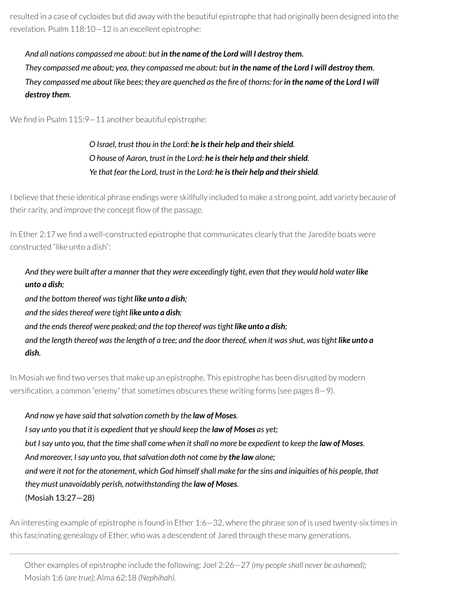resulted in a case of cycloides but did away with the beautiful epistrophe that had originally been designed into the revelation. Psalm 118:10—12 is an excellent epistrophe:

*And all nations compassed me about: but in the name of the Lord will I destroy them.* They compassed me about: yea, they compassed me about: but in the name of the Lord I will destroy them. They compassed me about like bees; they are auenched as the fire of thorns; for in the name of the Lord I will *destroy them.*

We find in Psalm  $115:9-11$  another beautiful epistrophe:

*O Israel, trust thou in the Lord: he istheir help and theirshield. O house of Aaron, trust in the Lord: he istheir help and theirshield. Ye that fear the Lord, trust in the Lord: he istheir help and theirshield.*

I believe that these identical phrase endings were skillfully included to make a strong point, add variety because of their rarity, and improve the concept flow of the passage.

In Ether 2:17 we find a well-constructed epistrophe that communicates clearly that the Jaredite boats were constructed "like unto a dish":

And they were built after a manner that they were exceedingly tight, even that they would hold water like *unto a dish;*

*and the bottom thereof wastight like unto a dish;*

*and the sidesthereof were tight like unto a dish;*

*and the endsthereof were peaked; and the top thereof wastight like unto a dish;*

and the length thereof was the length of a tree; and the door thereof, when it was shut, was tight like unto a *dish.*

In Mosiah we find two verses that make up an epistrophe. This epistrophe has been disrupted by modern versification, a common "enemy" that sometimes obscures these writing forms (see pages  $8-9$ ).

*And now ye have said thatsalvation cometh by the law of Moses. Isay unto you that it is expedient that ye should keep the law of Moses as yet;* but I say unto you, that the time shall come when it shall no more be expedient to keep the law of Moses. *And moreover, Isay unto you, thatsalvation doth not come by the law alone;* and were it not for the atonement, which God himself shall make for the sins and iniquities of his people, that *they must unavoidably perish, notwithstanding the law of Moses.* (Mosiah 13:27—28)

An interesting example of epistrophe is found in Ether 1:6—32, where the phrase *son of* is used twenty-six times in this fascinating genealogy of Ether, who was a descendent of Jared through these many generations.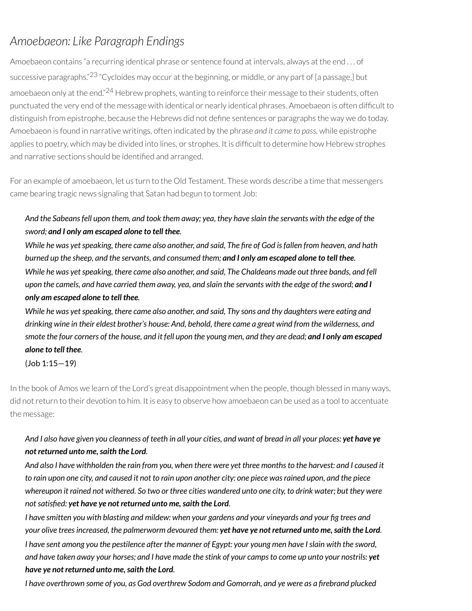# *Amoebaeon: Like Paragraph Endings*

Amoebaeon contains "a recurring identical phrase or sentence found at intervals, always at the end . . . of successive paragraphs."<sup>23</sup> "Cycloides may occur at the beginning, or middle, or any part of [a passage,] but amoebaeon only at the end."<sup>24</sup> Hebrew prophets, wanting to reinforce their message to their students, often punctuated the very end of the message with identical or nearly identical phrases. Amoebaeon is often difficult to distinguish from epistrophe, because the Hebrews did not define sentences or paragraphs the way we do today. Amoebaeon is found in narrative writings, often indicated by the phrase *and it came to pass,* while epistrophe applies to poetry, which may be divided into lines, or strophes. It is difficult to determine how Hebrew strophes and narrative sections should be identified and arranged.

For an example of amoebaeon, let us turn to the Old Testament. These words describe a time that messengers came bearing tragic news signaling that Satan had begun to torment Job:

And the Sabeans fell upon them, and took them away; yea, they have slain the servants with the edge of the *sword; and I only am escaped alone to tell thee.*

While he was vet speaking, there came also another, and said. The fire of God is fallen from heaven, and hath burned up the sheep, and the servants, and consumed them; and I only am escaped alone to tell thee. While he was vet speaking, there came also another, and said. The Chaldeans made out three bands, and fell upon the camels, and have carried them away, yea, and slain the servants with the edge of the sword; and I *only am escaped alone to tell thee.*

While he was yet speaking, there came also another, and said, Thy sons and thy daughters were eating and drinking wine in their eldest brother's house: And, behold, there came a great wind from the wilderness, and smote the four corners of the house, and it fell upon the young men, and they are dead; and I only am escaped *alone to tell thee.*

(Job 1:15—19)

In the book of Amos we learn of the Lord's great disappointment when the people, though blessed in many ways, did notreturn to their devotion to him. It is easy to observe how amoebaeon can be used as a tool to accentuate the message:

## And I also have given you cleanness of teeth in all your cities, and want of bread in all your places: yet have ye *not returned unto me,saith the Lord.*

And also I have withholden the rain from you, when there were yet three months to the harvest: and I caused it to rain upon one city, and caused it not to rain upon another city: one piece was rained upon, and the piece whereupon it rained not withered. So two or three cities wandered unto one city, to drink water; but they were *notsatised: yet have ye not returned unto me,saith the Lord.*

I have smitten you with blasting and mildew: when your gardens and your vineyards and your fig trees and *your olive treesincreased, the palmerworm devoured them: yet have ye not returned unto me,saith the Lord.* I have sent among you the pestilence after the manner of Egypt: your young men have I slain with the sword, and have taken away your horses; and I have made the stink of your camps to come up unto your nostrils: yet *have ye not returned unto me,saith the Lord.*

I have overthrown some of you, as God overthrew Sodom and Gomorrah, and ye were as a firebrand plucked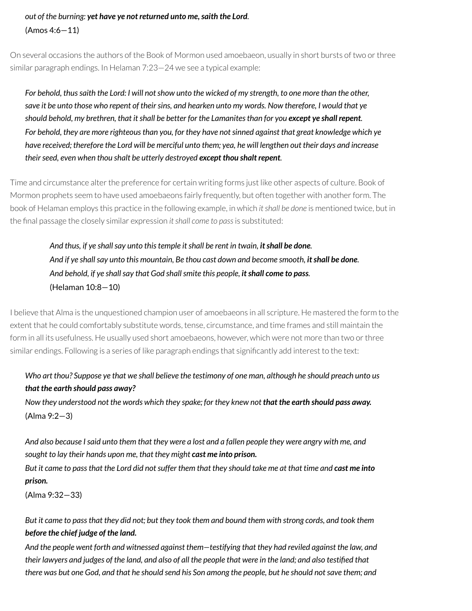## *out of the burning: yet have ye not returned unto me,saith the Lord.* (Amos 4:6—11)

On several occasions the authors of the Book of Mormon used amoebaeon, usually in short bursts of two orthree similar paragraph endings. In Helaman 7:23—24 we see a typical example:

For behold, thus saith the Lord: I will not show unto the wicked of my strength, to one more than the other, save it be unto those who repent of their sins, and hearken unto my words. Now therefore, I would that ye should behold, my brethren, that it shall be better for the Lamanites than for you except ye shall repent. For behold, they are more righteous than you, for they have not sinned against that great knowledge which ye have received: therefore the Lord will be merciful unto them: yea, he will lengthen out their days and increase *theirseed, even when thou shalt be utterly destroyed except thou shalt repent.*

Time and circumstance alter the preference for certain writing forms just like other aspects of culture. Book of Mormon prophets seem to have used amoebaeons fairly frequently, but often together with another form. The book of Helaman employs this practice in the following example, in which *itshall be done* is mentioned twice, but in the nal passage the closely similar expression *itshall come to pass*is substituted:

> *And thus, if ye shallsay unto thistemple itshall be rent in twain, itshall be done. And if ye shallsay unto this mountain, Be thou cast down and become smooth, itshall be done. And behold, if ye shallsay that God shallsmite this people, itshall come to pass.* (Helaman 10:8—10)

I believe that Alma is the unquestioned champion user of amoebaeons in all scripture. He mastered the form to the extent that he could comfortably substitute words, tense, circumstance, and time frames and still maintain the form in all its usefulness. He usually used short amoebaeons, however, which were not more than two or three similar endings. Following is a series of like paragraph endings that significantly add interest to the text:

Who art thou? Suppose ye that we shall believe the testimony of one man, although he should preach unto us *that the earth should pass away?*

Now they understood not the words which they spake; for they knew not **that the earth should pass away.** (Alma 9:2—3)

And also because I said unto them that they were a lost and a fallen people they were angry with me, and *sought to lay their hands upon me, that they might cast me into prison.*

But it came to pass that the Lord did not suffer them that they should take me at that time and cast me into *prison.*

(Alma 9:32—33)

But it came to pass that they did not; but they took them and bound them with strong cords, and took them *before the chief judge of the land.*

And the people went forth and witnessed against them—testifying that they had reviled against the law, and their lawyers and judges of the land, and also of all the people that were in the land; and also testified that there was but one God, and that he should send his Son among the people, but he should not save them; and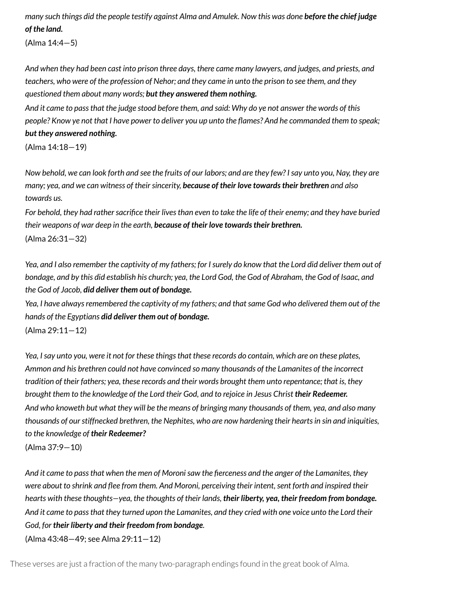many such things did the people testify against Alma and Amulek. Now this was done before the chief judge *of the land.*

(Alma 14:4—5)

And when they had been cast into prison three days, there came many lawyers, and judges, and priests, and teachers, who were of the profession of Nehor; and they came in unto the prison to see them, and they *questioned them about many words; but they answered them nothing.*

And it came to pass that the judge stood before them, and said: Why do ye not answer the words of this people? Know ye not that I have power to deliver you up unto the flames? And he commanded them to speak; *but they answered nothing.*

(Alma 14:18—19)

Now behold, we can look forth and see the fruits of our labors; and are they few? I say unto you. Nay, they are *many;* yea, and we can witness of their sincerity, because of their love towards their brethren and also *towards us.*

For behold, they had rather sacrifice their lives than even to take the life of their enemy; and they have buried *their weapons of war deep in the earth, because of their love towardstheir brethren.* (Alma 26:31—32)

Yea, and I also remember the captivity of my fathers: for I surely do know that the Lord did deliver them out of bondage, and by this did establish his church: yea, the Lord God, the God of Abraham, the God of Isaac, and *the God of Jacob, did deliver them out of bondage.*

Yea, I have always remembered the captivity of my fathers; and that same God who delivered them out of the *hands of the Egyptians did deliver them out of bondage.*

(Alma 29:11—12)

Yea. I say unto you, were it not for these things that these records do contain, which are on these plates, *Ammon and his brethren could not have convinced so many thousands of the Lamanites of the incorrect* tradition of their fathers; yea, these records and their words brought them unto repentance; that is, they brought them to the knowledge of the Lord their God, and to rejoice in Jesus Christ their Redeemer. And who knoweth but what they will be the means of bringing many thousands of them, yea, and also many *thousands of ourstiffnecked brethren, the Nephites, who are now hardening their heartsin sin and iniquities, to the knowledge of their Redeemer?*

(Alma 37:9—10)

And it came to pass that when the men of Moroni saw the fierceness and the anger of the Lamanites, they *were about to shrink and ee from them. And Moroni, perceiving their intent,sent forth and inspired their hearts with these thoughts—yea, the thoughts of their lands, their liberty, yea, their freedom from bondage.* And it came to pass that they turned upon the Lamanites, and they cried with one voice unto the Lord their *God, for their liberty and their freedom from bondage.* (Alma 43:48—49; see Alma 29:11—12)

These verses are just a fraction of the many two-paragraph endings found in the great book of Alma.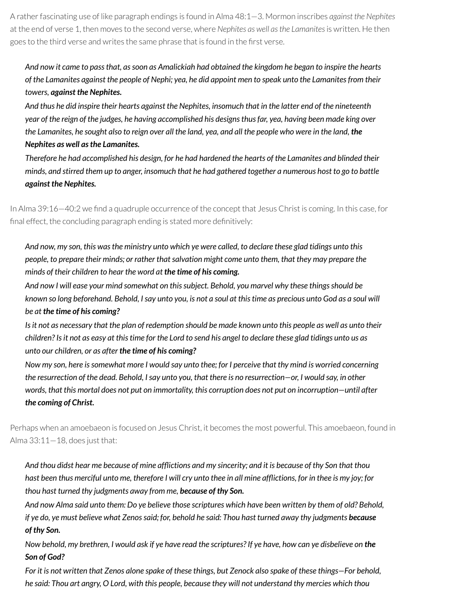A ratherfascinating use of like paragraph endings is found in Alma 48:1—3. Mormon inscribes *against the Nephites* at the end of verse 1, then moves to the second verse, where *Nephites as well asthe Lamanites*is written. He then goes to the third verse and writes the same phrase that is found in the first verse.

And now it came to pass that, as soon as Amalickiah had obtained the kingdom he began to inspire the hearts of the Lamanites against the people of Nephi; yea, he did appoint men to speak unto the Lamanites from their *towers, against the Nephites.*

And thus he did inspire their hearts against the Nephites, insomuch that in the latter end of the nineteenth year of the reign of the judges, he having accomplished his designs thus far, yea, having been made king over the Lamanites, he sought also to reign over all the land, yea, and all the people who were in the land, the *Nephites as well asthe Lamanites.*

Therefore he had accomplished his design, for he had hardened the hearts of the Lamanites and blinded their minds, and stirred them up to anger, insomuch that he had gathered together a numerous host to go to battle *against the Nephites.*

In Alma 39:16–40:2 we find a quadruple occurrence of the concept that Jesus Christ is coming. In this case, for final effect, the concluding paragraph ending is stated more definitively:

And now, my son, this was the ministry unto which ye were called, to declare these glad tidings unto this *people, to prepare their minds; or rather thatsalvation might come unto them, that they may prepare the minds of their children to hear the word at the time of his coming.*

*And now I will ease your mind somewhat on thissubject. Behold, you marvel why these thingsshould be* known so long beforehand. Behold, I say unto you, is not a soul at this time as precious unto God as a soul will *be at the time of his coming?*

Is it not as necessary that the plan of redemption should be made known unto this people as well as unto their children? Is it not as easy at this time for the Lord to send his angel to declare these glad tidings unto us as *unto our children, or as after the time of his coming?*

Now my son, here is somewhat more I would say unto thee; for I perceive that thy mind is worried concerning the resurrection of the dead. Behold, I say unto you, that there is no resurrection-or, I would say, in other words, that this mortal does not put on immortality, this corruption does not put on incorruption—until after *the coming of Christ.*

Perhaps when an amoebaeon is focused on Jesus Christ, it becomes the most powerful. This amoebaeon, found in Alma 33:11—18, does just that:

And thou didst hear me because of mine afflictions and my sincerity; and it is because of thy Son that thou hast been thus merciful unto me, therefore I will cry unto thee in all mine afflictions, for in thee is my joy; for *thou hast turned thy judgments away from me, because of thy Son.*

And now Alma said unto them: Do ye believe those scriptures which have been written by them of old? Behold, if ye do, ye must believe what Zenos said; for, behold he said: Thou hast turned away thy judgments because *of thy Son.*

Now behold, my brethren, I would ask if ye have read the scriptures? If ye have, how can ye disbelieve on the *Son of God?*

For it is not written that Zenos alone spake of these things, but Zenock also spake of these things—For behold, he said: Thou art angry, O Lord, with this people, because they will not understand thy mercies which thou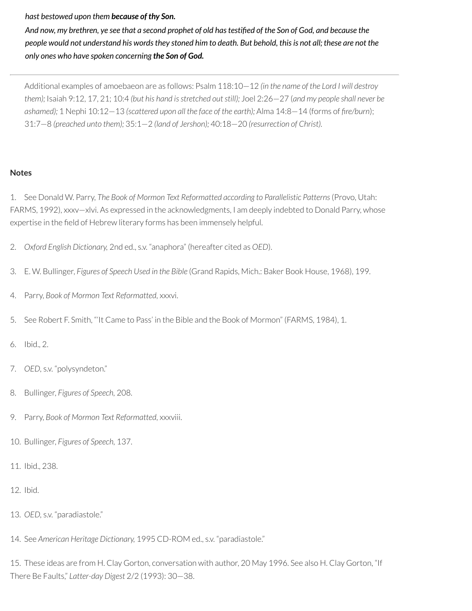*hast bestowed upon them because of thy Son.*

And now, my brethren, ye see that a second prophet of old has testified of the Son of God, and because the people would not understand his words they stoned him to death. But behold, this is not all; these are not the *only ones who have spoken concerning the Son of God.*

Additional examples of amoebaeon are as follows: Psalm 118:10—12 *(in the name of the Lord I will destroy them);* Isaiah 9:12, 17, 21; 10:4 *(but his hand isstretched outstill);* Joel 2:26—27 (*and my people shall never be ashamed);* 1 Nephi 10:12—13 *(scattered upon all the face of the earth);* Alma 14:8—14 (forms of *re/burn*); 31:7—8 *(preached unto them);* 35:1—2 *(land of Jershon);* 40:18—20 *(resurrection of Christ).*

#### **Notes**

1. See Donald W. Parry, *The Book of Mormon Text Reformatted according to Parallelistic Patterns*(Provo, Utah: FARMS, 1992), xxxv—xlvi. As expressed in the acknowledgments, I am deeply indebted to Donald Parry, whose expertise in the field of Hebrew literary forms has been immensely helpful.

- 2. *Oxford English Dictionary,* 2nd ed., s.v. "anaphora" (hereafter cited as *OED*).
- 3. E. W. Bullinger, *Figures of Speech Used in the Bible* (Grand Rapids, Mich.: Baker Book House, 1968), 199.
- 4. Parry, *Book of Mormon Text Reformatted,* xxxvi.
- 5. See Robert F. Smith, "'It Came to Pass' in the Bible and the Book of Mormon" (FARMS, 1984), 1.
- 6. Ibid., 2.
- 7. *OED,* s.v. "polysyndeton."
- 8. Bullinger, *Figures of Speech,* 208.
- 9. Parry, *Book of Mormon Text Reformatted,* xxxviii.
- 10. Bullinger, *Figures of Speech,* 137.
- 11. Ibid., 238.
- 12. Ibid.
- 13. *OED,* s.v. "paradiastole."

14. See *American Heritage Dictionary,* 1995 CD-ROM ed., s.v. "paradiastole."

15. These ideas are from H. Clay Gorton, conversation with author, 20 May 1996. See also H. Clay Gorton, "If There Be Faults," *Latter-day Digest* 2/2 (1993): 30—38.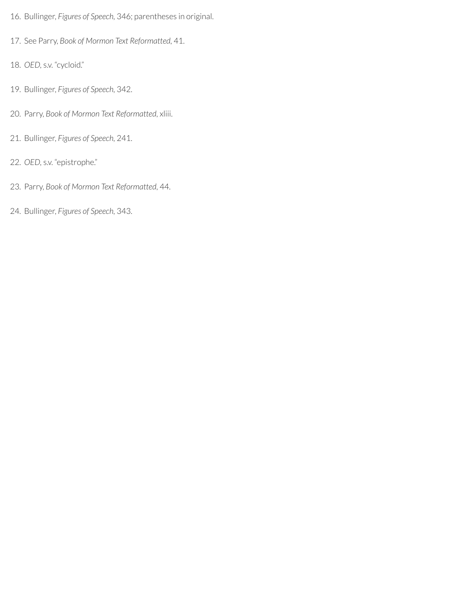- 16. Bullinger, *Figures of Speech,* 346; parentheses in original.
- 17. See Parry, *Book of Mormon Text Reformatted,* 41.
- 18. *OED,* s.v. "cycloid."
- 19. Bullinger, *Figures of Speech,* 342.
- 20. Parry, *Book of Mormon Text Reformatted,* xliii.
- 21. Bullinger, *Figures of Speech,* 241.
- 22. *OED,* s.v. "epistrophe."
- 23. Parry, *Book of Mormon Text Reformatted,* 44.
- 24. Bullinger, *Figures of Speech,* 343.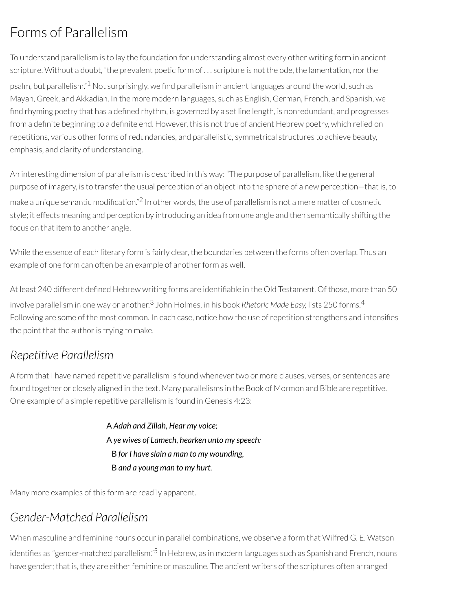# Forms of Parallelism

To understand parallelism is to lay the foundation for understanding almost every other writing form in ancient scripture. Without a doubt, "the prevalent poetic form of ... scripture is not the ode, the lamentation, nor the psalm, but parallelism."<sup>1</sup> Not surprisingly, we find parallelism in ancient languages around the world, such as Mayan, Greek, and Akkadian. In the more modern languages, such as English, German, French, and Spanish, we find rhyming poetry that has a defined rhythm, is governed by a set line length, is nonredundant, and progresses from a definite beginning to a definite end. However, this is not true of ancient Hebrew poetry, which relied on repetitions, various other forms of redundancies, and parallelistic, symmetrical structures to achieve beauty, emphasis, and clarity of understanding.

An interesting dimension of parallelism is described in this way: "The purpose of parallelism, like the general purpose of imagery, is to transfer the usual perception of an object into the sphere of a new perception—that is, to make a unique semantic modification."<sup>2</sup> In other words, the use of parallelism is not a mere matter of cosmetic style; it effects meaning and perception by introducing an idea from one angle and then semantically shifting the focus on that item to another angle.

While the essence of each literary form is fairly clear, the boundaries between the forms often overlap. Thus an example of one form can often be an example of another form as well.

At least 240 different defined Hebrew writing forms are identifiable in the Old Testament. Of those, more than 50 involve parallelism in one way or another. <sup>3</sup> John Holmes, in his book *Rhetoric Made Easy,* lists 250 forms. 4 Following are some of the most common. In each case, notice how the use of repetition strengthens and intensifies the point that the author is trying to make.

# *Repetitive Parallelism*

A form that I have named repetitive parallelism is found whenevertwo or more clauses, verses, or sentences are found together or closely aligned in the text. Many parallelisms in the Book of Mormon and Bible are repetitive. One example of a simple repetitive parallelism is found in Genesis 4:23:

> A *Adah and Zillah, Hear my voice;* A *ye wives of Lamech, hearken unto my speech:* B *for I have slain a man to my wounding,* B *and a young man to my hurt.*

Many more examples of this form are readily apparent.

# *Gender-Matched Parallelism*

When masculine and feminine nouns occur in parallel combinations, we observe a form that Wilfred G. E. Watson identifies as "gender-matched parallelism."<sup>5</sup> In Hebrew, as in modern languages such as Spanish and French, nouns have gender; that is, they are either feminine or masculine. The ancient writers of the scriptures often arranged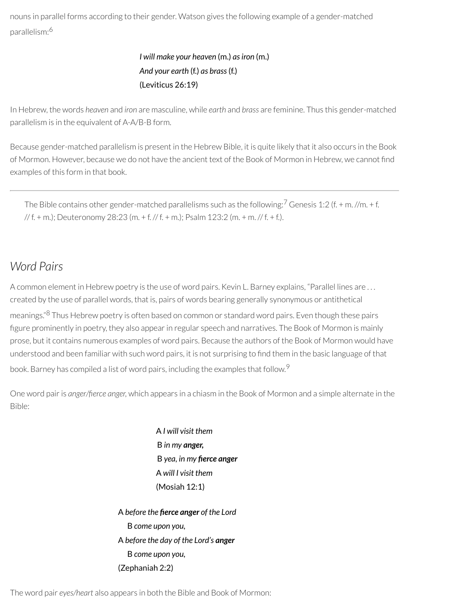nouns in parallel forms according to their gender. Watson gives the following example of a gender-matched parallelism: 6

> *I will make your heaven* (m.) *asiron* (m.) *And your earth* (f.) *as brass*(f.) (Leviticus 26:19)

In Hebrew, the words *heaven* and *iron* are masculine, while *earth* and *brass* are feminine. Thus this gender-matched parallelism is in the equivalent of A-A/B-B form.

Because gender-matched parallelism is present in the Hebrew Bible, it is quite likely that it also occurs in the Book of Mormon. However, because we do not have the ancient text of the Book of Mormon in Hebrew, we cannot find examples of this form in that book.

The Bible contains other gender-matched parallelisms such as the following:  $^7$  Genesis 1:2 (f. + m. //m. + f. // f. + m.); Deuteronomy 28:23 (m. + f. // f. + m.); Psalm 123:2 (m. + m. // f. + f.).

# *Word Pairs*

A common element in Hebrew poetry is the use of word pairs. Kevin L. Barney explains, "Parallel lines are . . . created by the use of parallel words, that is, pairs of words bearing generally synonymous or antithetical meanings." <sup>8</sup> Thus Hebrew poetry is often based on common or standard word pairs. Even though these pairs figure prominently in poetry, they also appear in regular speech and narratives. The Book of Mormon is mainly prose, but it contains numerous examples of word pairs. Because the authors of the Book of Mormon would have understood and been familiar with such word pairs, it is not surprising to find them in the basic language of that book. Barney has compiled a list of word pairs, including the examples that follow. $^9$ 

One word pairis *anger/erce anger,* which appears in a chiasm in the Book of Mormon and a simple alternate in the Bible:

> A *I will visit them* B *in my anger,* **B** yea, in my fierce anger A *will I visit them* (Mosiah 12:1)

A *before the erce anger of the Lord* B *come upon you,* A *before the day of the Lord's anger* B *come upon you,* (Zephaniah 2:2)

The word pair *eyes/heart* also appears in both the Bible and Book of Mormon: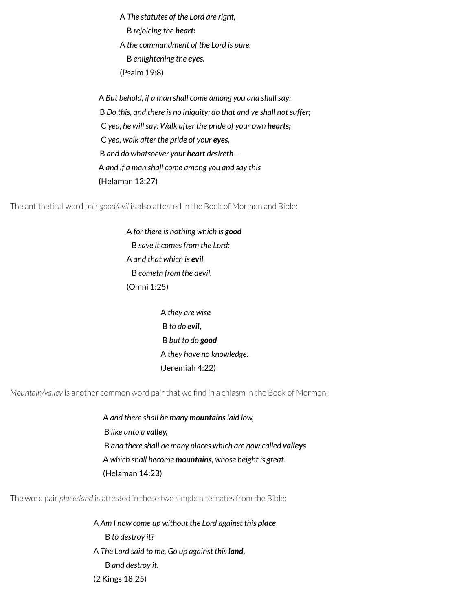A *The statutes of the Lord are right,* B *rejoicing the heart:* A *the commandment of the Lord is pure,* B *enlightening the eyes.* (Psalm 19:8)

A *But behold, if a man shall come among you and shallsay:* B *Do this, and there is no iniquity; do that and ye shall notsuffer;* C *yea, he willsay: Walk after the pride of your own hearts;* C *yea, walk after the pride of your eyes,* B *and do whatsoever your heart desireth—* A *and if a man shall come among you and say this* (Helaman 13:27)

The antithetical word pair *good/evil* is also attested in the Book of Mormon and Bible:

A *for there is nothing which is good* B *save it comesfrom the Lord:* A *and that which is evil* B *cometh from the devil.* (Omni 1:25)

> A *they are wise* B *to do evil,* B *but to do good* A *they have no knowledge.* (Jeremiah 4:22)

*Mountain/valley* is another common word pair that we find in a chiasm in the Book of Mormon:

A *and there shall be many mountainslaid low,* B *like unto a valley,* B *and there shall be many places which are now called valleys* A *which shall become mountains, whose height is great.* (Helaman 14:23)

The word pair *place/land* is attested in these two simple alternates from the Bible:

A *Am I now come up without the Lord against this place* B *to destroy it?* A *The Lord said to me, Go up against thisland,* B *and destroy it.* (2 Kings 18:25)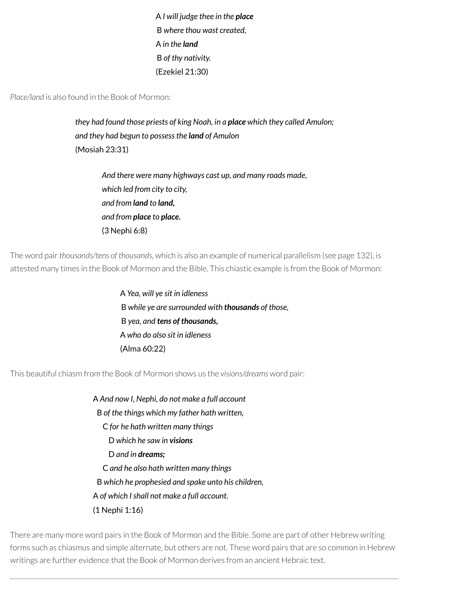A *I will judge thee in the place* B *where thou wast created,* A *in the land* B *of thy nativity.* (Ezekiel 21:30)

*Place/land* is also found in the Book of Mormon:

*they had found those priests of king Noah, in a place which they called Amulon; and they had begun to possessthe land of Amulon* (Mosiah 23:31)

> *And there were many highways cast up, and many roads made, which led from city to city, and from land to land, and from place to place.* (3 Nephi 6:8)

The word pair*thousands/tens of thousands,* which is also an example of numerical parallelism (see page 132), is attested many times in the Book of Mormon and the Bible. This chiastic example is from the Book of Mormon:

> A *Yea, will ye sit in idleness* B *while ye are surrounded with thousands of those,* B *yea, and tens of thousands,* A *who do also sit in idleness* (Alma 60:22)

This beautiful chiasm from the Book of Mormon shows us the *visions/dreams* word pair:

A *And now I, Nephi, do not make a full account* B *of the things which my father hath written,* C *for he hath written many things* D *which he saw in visions* D *and in dreams;* C *and he also hath written many things* B *which he prophesied and spake unto his children,* A *of which Ishall not make a full account.* (1 Nephi 1:16)

There are many more word pairs in the Book of Mormon and the Bible. Some are part of other Hebrew writing forms such as chiasmus and simple alternate, but others are not. These word pairs that are so common in Hebrew writings are further evidence that the Book of Mormon derives from an ancient Hebraic text.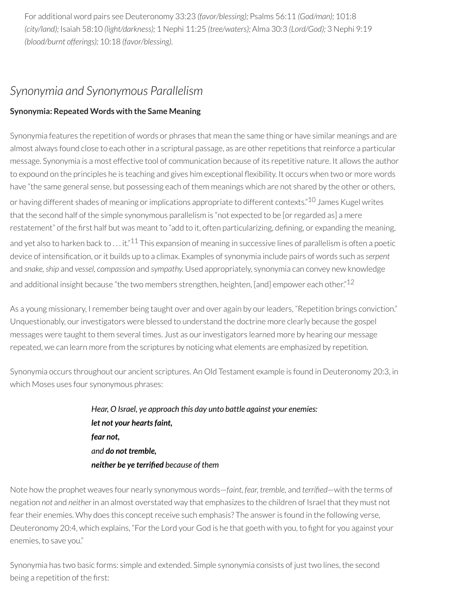For additional word pairs see Deuteronomy 33:23 *(favor/blessing);* Psalms 56:11 *(God/man);* 101:8 *(city/land);* Isaiah 58:10 *(light/darkness);* 1 Nephi 11:25 *(tree/waters);* Alma 30:3 *(Lord/God);* 3 Nephi 9:19 *(blood/burnt offerings);* 10:18 *(favor/blessing).*

# *Synonymia and Synonymous Parallelism*

## **Synonymia: Repeated Words with the Same Meaning**

Synonymia features the repetition of words or phrases that mean the same thing or have similar meanings and are almost always found close to each other in a scriptural passage, as are other repetitions that reinforce a particular message. Synonymia is a most effective tool of communication because of its repetitive nature. It allows the author to expound on the principles he is teaching and gives him exceptional flexibility. It occurs when two or more words have "the same general sense, but possessing each of them meanings which are not shared by the other or others, or having different shades of meaning or implications appropriate to different contexts."<sup>10</sup> James Kugel writes that the second half of the simple synonymous parallelism is "not expected to be [orregarded as] a mere restatement" of the first half but was meant to "add to it, often particularizing, defining, or expanding the meaning, and yet also to harken back to …it."<sup>11</sup> This expansion of meaning in successive lines of parallelism is often a poetic device of intensification, or it builds up to a climax. Examples of synonymia include pairs of words such as *serpent* and *snake, ship* and *vessel, compassion* and *sympathy.* Used appropriately, synonymia can convey new knowledge and additional insight because "the two members strengthen, heighten, [and] empower each other." $^{12}$ 

As a young missionary, Iremember being taught over and over again by ourleaders, "Repetition brings conviction." Unquestionably, ourinvestigators were blessed to understand the doctrine more clearly because the gospel messages were taught to them several times. Just as ourinvestigators learned more by hearing our message repeated, we can learn more from the scriptures by noticing what elements are emphasized by repetition.

Synonymia occurs throughout our ancient scriptures. An Old Testament example is found in Deuteronomy 20:3, in which Moses uses four synonymous phrases:

> *Hear, O Israel, ye approach this day unto battle against your enemies: let not your heartsfaint, fear not, and do not tremble, neither be ye terried because of them*

Note how the prophet weaves four nearly synonymous words—*faint, fear, tremble,* and *terried*—with the terms of negation *not* and *neither* in an almost overstated way that emphasizes to the children of Israel that they must not fear their enemies. Why does this concept receive such emphasis? The answer is found in the following verse, Deuteronomy 20:4, which explains, "For the Lord your God is he that goeth with you, to fight for you against your enemies, to save you."

Synonymia has two basic forms: simple and extended. Simple synonymia consists of just two lines, the second being a repetition of the first: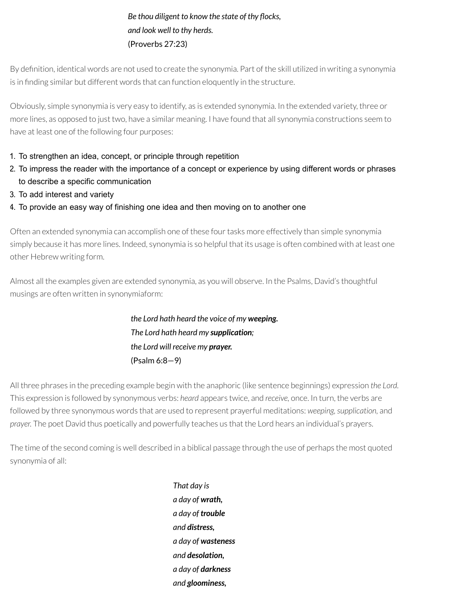## *Be thou diligent to know the state of thy ocks, and look well to thy herds.* (Proverbs 27:23)

By definition, identical words are not used to create the synonymia. Part of the skill utilized in writing a synonymia is in finding similar but different words that can function eloquently in the structure.

Obviously, simple synonymia is very easy to identify, as is extended synonymia. In the extended variety, three or more lines, as opposed to just two, have a similar meaning. I have found that all synonymia constructions seem to have at least one of the following four purposes:

- 1. To strengthen an idea, concept, or principle through repetition
- 2. To impress the reader with the importance of a concept or experience by using different words or phrases to describe a specific communication
- 3. To add interest and variety
- 4. To provide an easy way of finishing one idea and then moving on to another one

Often an extended synonymia can accomplish one of these four tasks more effectively than simple synonymia simply because it has more lines. Indeed, synonymia is so helpful that its usage is often combined with at least one other Hebrew writing form.

Almost all the examples given are extended synonymia, as you will observe. In the Psalms, David's thoughtful musings are often written in synonymiaform:

> *the Lord hath heard the voice of my weeping. The Lord hath heard my supplication; the Lord will receive my prayer.* (Psalm 6:8—9)

All three phrases in the preceding example begin with the anaphoric (like sentence beginnings) expression *the Lord.* This expression is followed by synonymous verbs: *heard* appears twice, and *receive,* once. In turn, the verbs are followed by three synonymous words that are used to represent prayerful meditations: *weeping, supplication,* and *prayer.* The poet David thus poetically and powerfully teaches us that the Lord hears an individual's prayers.

The time of the second coming is well described in a biblical passage through the use of perhaps the most quoted synonymia of all:

> *That day is a day of wrath, a day of trouble and distress, a day of wasteness and desolation, a day of darkness and gloominess,*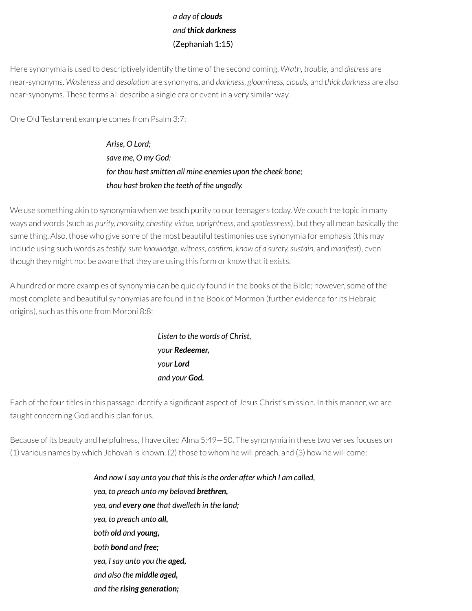## *a day of clouds and thick darkness* (Zephaniah 1:15)

Here synonymia is used to descriptively identify the time of the second coming. *Wrath, trouble,* and *distress* are near-synonyms. *Wasteness* and *desolation* are synonyms, and *darkness, gloominess, clouds,* and *thick darkness* are also near-synonyms. These terms all describe a single era or event in a very similar way.

One Old Testament example comes from Psalm 3:7:

*Arise, O Lord; save me, O my God: for thou hastsmitten all mine enemies upon the cheek bone; thou hast broken the teeth of the ungodly.*

We use something akin to synonymia when we teach purity to our teenagers today. We couch the topic in many ways and words (such as *purity, morality, chastity, virtue, uprightness,* and *spotlessness*), but they all mean basically the same thing. Also, those who give some of the most beautiful testimonies use synonymia for emphasis (this may include using such words as *testify, sure knowledge, witness, conrm, know of a surety, sustain,* and *manifest*), even though they might not be aware that they are using this form or know that it exists.

A hundred or more examples of synonymia can be quickly found in the books of the Bible; however, some of the most complete and beautiful synonymias are found in the Book of Mormon (further evidence forits Hebraic origins), such as this one from Moroni 8:8:

> *Listen to the words of Christ, your Redeemer, your Lord and your God.*

Each of the four titles in this passage identify a significant aspect of Jesus Christ's mission. In this manner, we are taught concerning God and his plan for us.

Because of its beauty and helpfulness, I have cited Alma 5:49—50. The synonymia in these two verses focuses on (1) various names by which Jehovah is known, (2) those to whom he will preach, and (3) how he will come:

> *And now Isay unto you that thisisthe order after which I am called, yea, to preach unto my beloved brethren, yea, and every one that dwelleth in the land; yea, to preach unto all, both old and young, both bond and free; yea, Isay unto you the aged, and also the middle aged, and the rising generation;*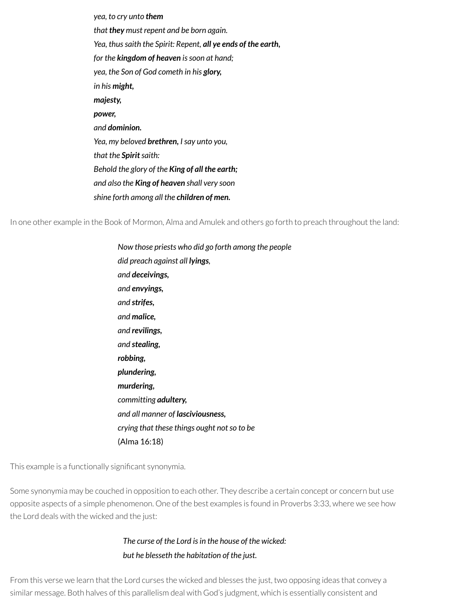*yea, to cry unto them that they must repent and be born again. Yea, thussaith the Spirit: Repent, all ye ends of the earth, for the kingdom of heaven issoon at hand; yea, the Son of God cometh in his glory, in his might, majesty, power, and dominion. Yea, my beloved brethren, Isay unto you, that the Spiritsaith: Behold the glory of the King of all the earth; and also the King of heaven shall very soon shine forth among all the children of men.*

In one other example in the Book of Mormon, Alma and Amulek and others go forth to preach throughout the land:

*Now those priests who did go forth among the people did preach against all lyings, and deceivings, and envyings, and strifes, and malice, and revilings, and stealing, robbing, plundering, murdering, committing adultery, and all manner of lasciviousness, crying that these things ought notso to be* (Alma 16:18)

This example is a functionally significant synonymia.

Some synonymia may be couched in opposition to each other. They describe a certain concept or concern but use opposite aspects of a simple phenomenon. One of the best examples is found in Proverbs 3:33, where we see how the Lord deals with the wicked and the just:

### *The curse of the Lord isin the house of the wicked: but he blesseth the habitation of the just.*

From this verse we learn that the Lord curses the wicked and blesses the just, two opposing ideas that convey a similar message. Both halves of this parallelism deal with God's judgment, which is essentially consistent and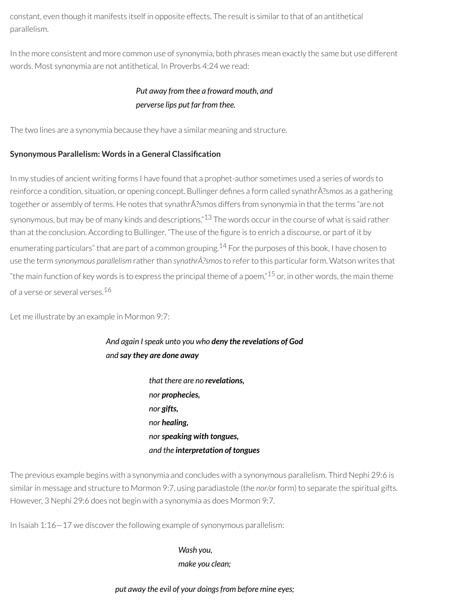constant, even though it manifests itself in opposite effects. The result is similarto that of an antithetical parallelism.

In the more consistent and more common use of synonymia, both phrases mean exactly the same but use different words. Most synonymia are not antithetical. In Proverbs 4:24 we read:

### *Put away from thee a froward mouth, and perverse lips put far from thee.*

The two lines are a synonymia because they have a similar meaning and structure.

#### **Synonymous Parallelism: Words in a General Classication**

In my studies of ancient writing forms I have found that a prophet-author sometimes used a series of words to reinforce a condition, situation, or opening concept. Bullinger defines a form called synathrÃ?smos as a gathering together or assembly of terms. He notes that synathrÃ?smos differs from synonymia in that the terms "are not synonymous, but may be of many kinds and descriptions."<sup>13</sup> The words occur in the course of what is said rather than at the conclusion. According to Bullinger, "The use of the gure is to enrich a discourse, or part of it by enumerating particulars" that are part of a common grouping.<sup>14</sup> For the purposes of this book, I have chosen to use the term *synonymous parallelism* ratherthan *synathrÃ?smos*to referto this particularform. Watson writes that "the main function of key words is to express the principal theme of a poem," $^{15}$  or, in other words, the main theme of a verse or several verses. 16

Let me illustrate by an example in Mormon 9:7:

*And again Ispeak unto you who deny the revelations of God and say they are done away*

> *that there are no revelations, nor prophecies, nor gifts, nor healing, norspeaking with tongues, and the interpretation of tongues*

The previous example begins with a synonymia and concludes with a synonymous parallelism. Third Nephi 29:6 is similar in message and structure to Mormon 9:7, using paradiastole (the *nor/or* form) to separate the spiritual gifts. However, 3 Nephi 29:6 does not begin with a synonymia as does Mormon 9:7.

In Isaiah  $1:16-17$  we discover the following example of synonymous parallelism:

*Wash you, make you clean;*

### *put away the evil of your doingsfrom before mine eyes;*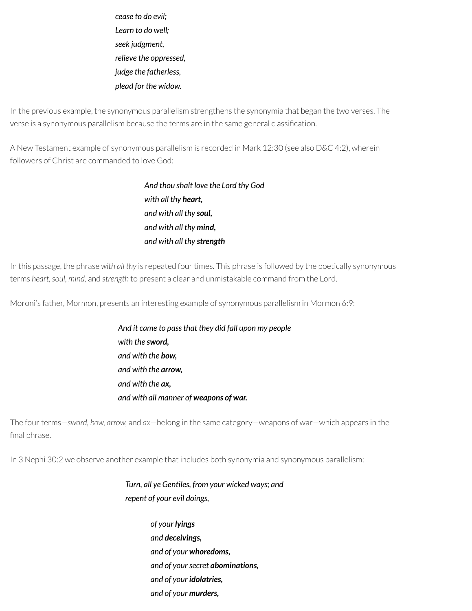*cease to do evil; Learn to do well; seek judgment, relieve the oppressed, judge the fatherless, plead for the widow.*

In the previous example, the synonymous parallelism strengthens the synonymia that began the two verses. The verse is a synonymous parallelism because the terms are in the same general classification.

A New Testament example of synonymous parallelism is recorded in Mark 12:30 (see also D&C 4:2), wherein followers of Christ are commanded to love God:

> *And thou shalt love the Lord thy God with all thy heart, and with all thy soul, and with all thy mind, and with all thy strength*

In this passage, the phrase *with all thy* is repeated four times. This phrase is followed by the poetically synonymous terms *heart, soul, mind,* and *strength* to present a clear and unmistakable command from the Lord.

Moroni's father, Mormon, presents an interesting example of synonymous parallelism in Mormon 6:9:

*And it came to passthat they did fall upon my people with the sword, and with the bow, and with the arrow, and with the ax, and with all manner of weapons of war.*

The four terms—sword, bow, arrow, and ax—belong in the same category—weapons of war—which appears in the final phrase.

In 3 Nephi 30:2 we observe another example that includes both synonymia and synonymous parallelism:

## *Turn, all ye Gentiles, from your wicked ways; and repent of your evil doings,*

*of your lyings and deceivings, and of your whoredoms, and* of your secret *abominations*, *and of your idolatries, and of your murders,*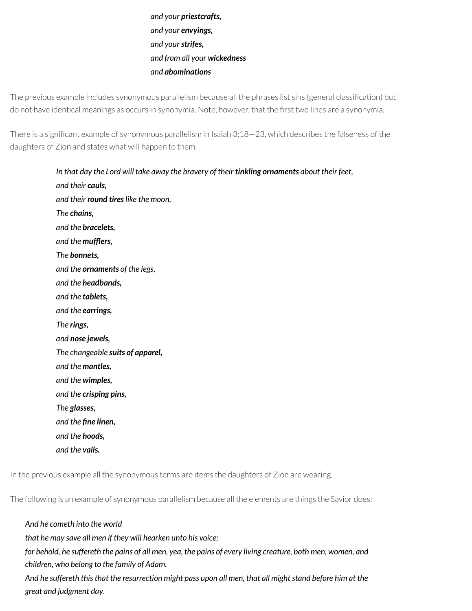*and your priestcrafts, and your envyings, and yourstrifes, and from all your wickedness and abominations*

The previous example includes synonymous parallelism because all the phrases list sins (general classification) but do not have identical meanings as occurs in synonymia. Note, however, that the first two lines are a synonymia.

There is a significant example of synonymous parallelism in Isaiah  $3:18-23$ , which describes the falseness of the daughters of Zion and states what will happen to them:

> *In that day the Lord will take away the bravery of their tinkling ornaments about their feet, and their cauls, and their round tireslike the moon, The chains, and the bracelets, and the mufers, The bonnets, and the ornaments of the legs, and the headbands, and the tablets, and the earrings, The rings, and nose jewels, The changeable suits of apparel, and the mantles, and the wimples, and the crisping pins, The glasses, and the ne linen, and the hoods,*

In the previous example all the synonymous terms are items the daughters of Zion are wearing.

The following is an example of synonymous parallelism because all the elements are things the Savior does:

#### *And he cometh into the world*

*and the vails.*

*that he may save all men if they will hearken unto his voice;*

for behold, he suffereth the pains of all men, yea, the pains of every living creature, both men, women, and *children, who belong to the family of Adam.*

And he suffereth this that the resurrection might pass upon all men, that all might stand before him at the *great and judgment day.*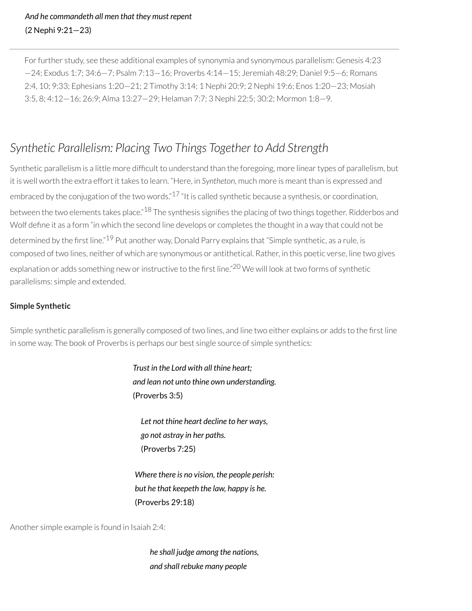For further study, see these additional examples of synonymia and synonymous parallelism: Genesis 4:23 —24; Exodus 1:7; 34:6—7; Psalm 7:13—16; Proverbs 4:14—15; Jeremiah 48:29; Daniel 9:5—6; Romans 2:4, 10; 9:33; Ephesians 1:20—21; 2 Timothy 3:14; 1 Nephi 20:9; 2 Nephi 19:6; Enos 1:20—23; Mosiah 3:5, 8; 4:12—16; 26:9; Alma 13:27—29; Helaman 7:7; 3 Nephi 22:5; 30:2; Mormon 1:8—9.

# *Synthetic Parallelism: Placing Two Things Together to Add Strength*

Synthetic parallelism is a little more difficult to understand than the foregoing, more linear types of parallelism, but it is well worth the extra effort it takes to learn. "Here, in *Syntheton,* much more is meant than is expressed and embraced by the conjugation of the two words."<sup>17</sup> "It is called synthetic because a synthesis, or coordination, between the two elements takes place."<sup>18</sup> The synthesis signifies the placing of two things together. Ridderbos and Wolf define it as a form "in which the second line develops or completes the thought in a way that could not be determined by the first line."<sup>19</sup> Put another way, Donald Parry explains that "Simple synthetic, as a rule, is composed of two lines, neither of which are synonymous or antithetical. Rather, in this poetic verse, line two gives explanation or adds something new or instructive to the first line."<sup>20</sup> We will look at two forms of synthetic parallelisms: simple and extended.

### **Simple Synthetic**

Simple synthetic parallelism is generally composed of two lines, and line two either explains or adds to the first line in some way. The book of Proverbs is perhaps our best single source of simple synthetics:

> *Trust in the Lord with all thine heart; and lean not unto thine own understanding.* (Proverbs 3:5)

*Let not thine heart decline to her ways, go not astray in her paths.* (Proverbs 7:25)

*Where there is no vision, the people perish: but he that keepeth the law, happy is he.* (Proverbs 29:18)

Another simple example is found in Isaiah 2:4:

*he shall judge among the nations, and shall rebuke many people*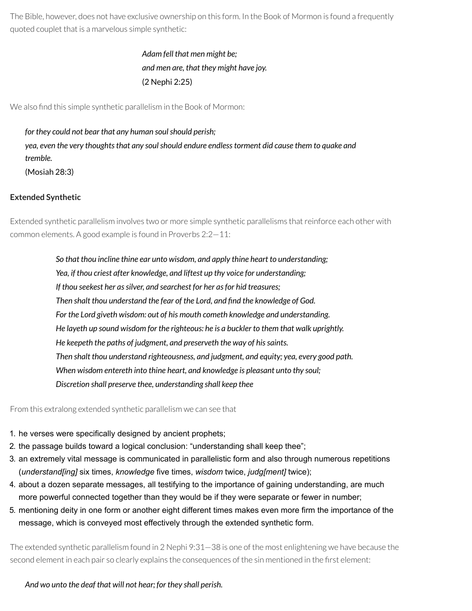The Bible, however, does not have exclusive ownership on this form. In the Book of Mormon is found a frequently quoted couplet that is a marvelous simple synthetic:

## *Adam fell that men might be; and men are, that they might have joy.* (2 Nephi 2:25)

We also find this simple synthetic parallelism in the Book of Mormon:

*for they could not bear that any human soulshould perish; yea, even the very thoughtsthat any soulshould endure endlesstorment did cause them to quake and tremble.*

(Mosiah 28:3)

#### **Extended Synthetic**

Extended synthetic parallelism involves two or more simple synthetic parallelisms that reinforce each other with common elements. A good example is found in Proverbs 2:2—11:

> *So that thou incline thine ear unto wisdom, and apply thine heart to understanding; Yea, if thou criest after knowledge, and liftest up thy voice for understanding; If thou seekest her assilver, and searchest for her asfor hid treasures; Then shalt thou understand the fear of the Lord, and nd the knowledge of God. For the Lord giveth wisdom: out of his mouth cometh knowledge and understanding. He layeth up sound wisdom for the righteous: he is a buckler to them that walk uprightly. He keepeth the paths of judgment, and preserveth the way of hissaints. Then shalt thou understand righteousness, and judgment, and equity; yea, every good path. When wisdom entereth into thine heart, and knowledge is pleasant unto thy soul; Discretion shall preserve thee, understanding shall keep thee*

From this extralong extended synthetic parallelism we can see that

- 1. he verses were specifically designed by ancient prophets;
- 2. the passage builds toward a logical conclusion: "understanding shall keep thee";
- 3. an extremely vital message is communicated in parallelistic form and also through numerous repetitions (*understand[ing]* six times, *knowledge* five times, *wisdom* twice, *judg[ment]* twice);
- 4. about a dozen separate messages, all testifying to the importance of gaining understanding, are much more powerful connected together than they would be if they were separate or fewer in number;
- 5. mentioning deity in one form or another eight different times makes even more firm the importance of the message, which is conveyed most effectively through the extended synthetic form.

The extended synthetic parallelism found in 2 Nephi 9:31—38 is one of the most enlightening we have because the second element in each pair so clearly explains the consequences of the sin mentioned in the first element:

*And wo unto the deaf that will not hear; for they shall perish.*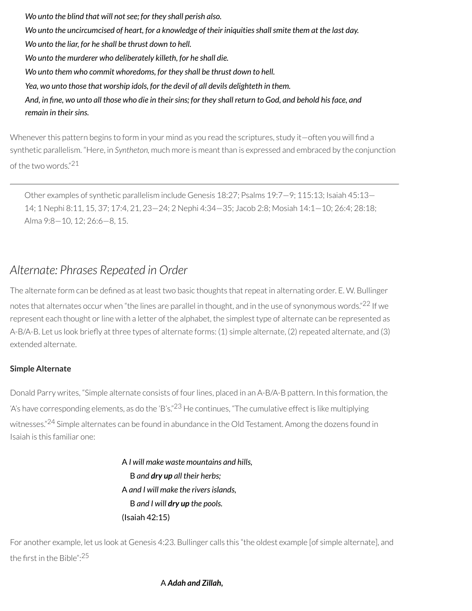*Wo unto the blind that will notsee; for they shall perish also. Wo unto the uncircumcised of heart, for a knowledge of their iniquitiesshallsmite them at the last day. Wo unto the liar, for he shall be thrust down to hell. Wo unto the murderer who deliberately killeth, for he shall die. Wo unto them who commit whoredoms, for they shall be thrust down to hell. Yea, wo unto those that worship idols, for the devil of all devils delighteth in them.* And, in fine, wo unto all those who die in their sins: for they shall return to God, and behold his face, and *remain in their sins.* 

Whenever this pattern begins to form in your mind as you read the scriptures, study it—often you will find a synthetic parallelism. "Here, in *Syntheton,* much more is meant than is expressed and embraced by the conjunction of the two words." 21

Other examples of synthetic parallelism include Genesis 18:27; Psalms 19:7—9; 115:13; Isaiah 45:13— 14; 1 Nephi 8:11, 15, 37; 17:4, 21, 23—24; 2 Nephi 4:34—35; Jacob 2:8; Mosiah 14:1—10; 26:4; 28:18; Alma 9:8—10, 12; 26:6—8, 15.

# *Alternate: Phrases Repeated in Order*

The alternate form can be defined as at least two basic thoughts that repeat in alternating order. E. W. Bullinger notes that alternates occur when "the lines are parallel in thought, and in the use of synonymous words." <sup>22</sup> If we represent each thought or line with a letter of the alphabet, the simplest type of alternate can be represented as A-B/A-B. Let us look briefly at three types of alternate forms: (1) simple alternate, (2) repeated alternate, and (3) extended alternate.

### **Simple Alternate**

Donald Parry writes, "Simple alternate consists of four lines, placed in an A-B/A-B pattern. In this formation, the 'A's have corresponding elements, as do the 'B's."<sup>23</sup> He continues, "The cumulative effect is like multiplying witnesses." <sup>24</sup> Simple alternates can be found in abundance in the Old Testament. Among the dozens found in Isaiah is this familiar one:

> A *I will make waste mountains and hills,* B *and dry up all their herbs;* A *and I will make the riversislands,* B *and I will dry up the pools.* (Isaiah 42:15)

For another example, let us look at Genesis 4:23. Bullinger calls this "the oldest example [of simple alternate], and the first in the Bible": $25$ 

#### A *Adah and Zillah,*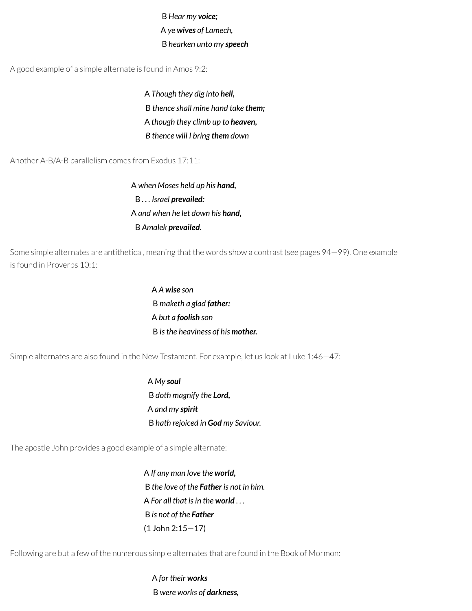## B *Hear my voice;* A *ye wives of Lamech,* B *hearken unto my speech*

A good example of a simple alternate is found in Amos 9:2:

A *Though they dig into hell,* B *thence shall mine hand take them;* A *though they climb up to heaven, B thence will I bring them down*

Another A-B/A-B parallelism comes from Exodus 17:11:

A *when Moses held up his hand,* B *. . . Israel prevailed:* A *and when he let down his hand,* B *Amalek prevailed.*

Some simple alternates are antithetical, meaning that the words show a contrast (see pages 94—99). One example is found in Proverbs 10:1:

> A *A wise son* B *maketh a glad father:* A *but a foolish son* B *isthe heaviness of his mother.*

Simple alternates are also found in the New Testament. For example, let us look at Luke 1:46—47:

A *My soul* B *doth magnify the Lord,* A *and my spirit* B *hath rejoiced in God my Saviour.*

The apostle John provides a good example of a simple alternate:

A *If any man love the world,* B *the love of the Father is not in him.* A *For all that isin the world . . .* B *is not of the Father* (1 John 2:15—17)

Following are but a few of the numerous simple alternates that are found in the Book of Mormon:

A *for their works* B *were works of darkness,*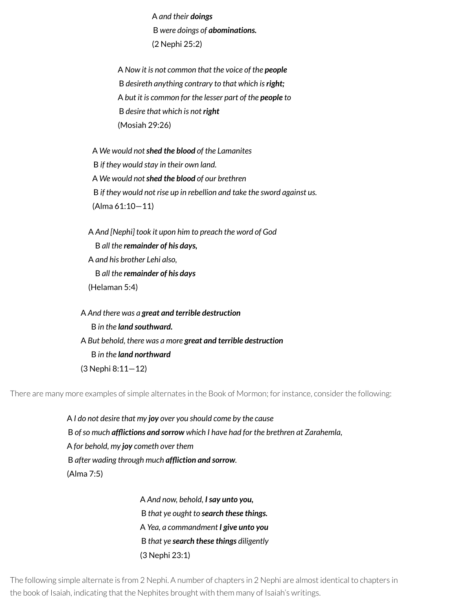A *and their doings* B *were doings of abominations.* (2 Nephi 25:2)

A *Now it is not common that the voice of the people* B *desireth anything contrary to that which isright;* A *but it is common for the lesser part of the people to* B *desire that which is not right* (Mosiah 29:26)

A *We would notshed the blood of the Lamanites* B *if they would stay in their own land.* A *We would notshed the blood of our brethren* B *if they would not rise up in rebellion and take the sword against us.* (Alma 61:10—11)

A *And [Nephi] took it upon him to preach the word of God* B *all the remainder of his days,* A *and his brother Lehi also,* B *all the remainder of his days* (Helaman 5:4)

A *And there was a great and terrible destruction* B *in the land southward.* A *But behold, there was a more great and terrible destruction* B *in the land northward* (3 Nephi 8:11—12)

There are many more examples of simple alternates in the Book of Mormon; for instance, consider the following:

A *I do not desire that my joy over you should come by the cause* B *ofso much afictions and sorrow which I have had for the brethren at Zarahemla,* A *for behold, my joy cometh over them* B *after wading through much afiction and sorrow.* (Alma 7:5)

> A *And now, behold, Isay unto you,* B *that ye ought to search these things.* A *Yea, a commandment I give unto you* B *that ye search these things diligently* (3 Nephi 23:1)

The following simple alternate is from 2 Nephi. A number of chapters in 2 Nephi are almost identical to chapters in the book of Isaiah, indicating that the Nephites brought with them many of Isaiah's writings.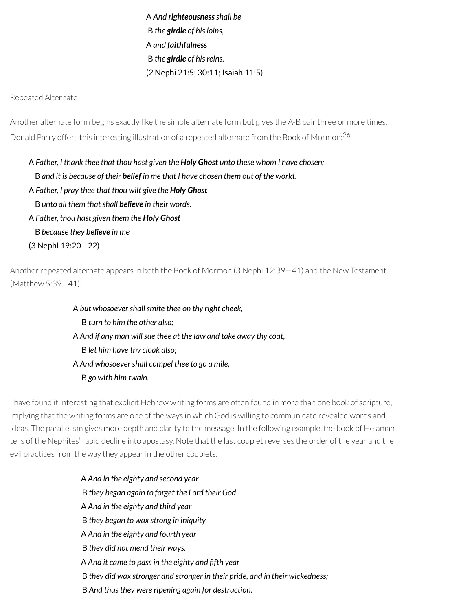A *And righteousnessshall be* B *the girdle of hisloins,* A *and faithfulness* B *the girdle of hisreins.* (2 Nephi 21:5; 30:11; Isaiah 11:5)

#### Repeated Alternate

Another alternate form begins exactly like the simple alternate form but gives the A-B pair three or more times. Donald Parry offers this interesting illustration of a repeated alternate from the Book of Mormon: 26

A *Father, I thank thee that thou hast given the Holy Ghost unto these whom I have chosen;* B *and it is because of their belief in me that I have chosen them out of the world.* A *Father, I pray thee that thou wilt give the Holy Ghost* B *unto all them thatshall believe in their words.* A *Father, thou hast given them the Holy Ghost* B *because they believe in me* (3 Nephi 19:20—22)

Another repeated alternate appears in both the Book of Mormon (3 Nephi 12:39–41) and the New Testament (Matthew 5:39—41):

> A *but whosoevershallsmite thee on thy right cheek,* B *turn to him the other also;* A *And if any man willsue thee at the law and take away thy coat,* B *let him have thy cloak also;* A *And whosoevershall compel thee to go a mile,* B *go with him twain.*

I have found it interesting that explicit Hebrew writing forms are often found in more than one book of scripture, implying that the writing forms are one of the ways in which God is willing to communicate revealed words and ideas. The parallelism gives more depth and clarity to the message. In the following example, the book of Helaman tells of the Nephites' rapid decline into apostasy. Note that the last couplet reverses the order of the year and the evil practices from the way they appear in the other couplets:

> A *And in the eighty and second year* B *they began again to forget the Lord their God* A *And in the eighty and third year* B *they began to wax strong in iniquity* A *And in the eighty and fourth year* B *they did not mend their ways.* A *And it came to passin the eighty and fth year* B *they did wax stronger and stronger in their pride, and in their wickedness;* B *And thusthey were ripening again for destruction.*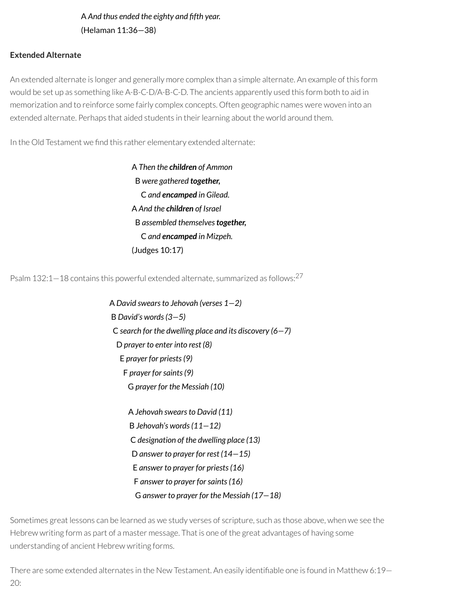A *And thus ended the eighty and fth year.* (Helaman 11:36—38)

#### **Extended Alternate**

An extended alternate is longer and generally more complex than a simple alternate. An example of this form would be set up as something like A-B-C-D/A-B-C-D. The ancients apparently used this form both to aid in memorization and to reinforce some fairly complex concepts. Often geographic names were woven into an extended alternate. Perhaps that aided students in their learning about the world around them.

In the Old Testament we find this rather elementary extended alternate:

A *Then the children of Ammon* B *were gathered together,* C *and encamped in Gilead.* A *And the children of Israel* B *assembled themselvestogether,* C *and encamped in Mizpeh.* (Judges 10:17)

Psalm 132:1-18 contains this powerful extended alternate, summarized as follows:<sup>27</sup>

A *David swearsto Jehovah (verses 1—2)* B *David's words(3—5)* C *search for the dwelling place and its discovery (6—7)* D *prayer to enter into rest (8)* E *prayer for priests(9)* F *prayer forsaints(9)* G *prayer for the Messiah (10)*

> A *Jehovah swearsto David (11)* B *Jehovah's words(11—12)* C *designation of the dwelling place (13)* D *answer to prayer for rest (14—15)* E *answer to prayer for priests(16)* F *answer to prayer forsaints(16)* G *answer to prayer for the Messiah (17—18)*

Sometimes great lessons can be learned as we study verses of scripture, such as those above, when we see the Hebrew writing form as part of a master message. That is one of the great advantages of having some understanding of ancient Hebrew writing forms.

There are some extended alternates in the New Testament. An easily identifiable one is found in Matthew 6:19 $20:$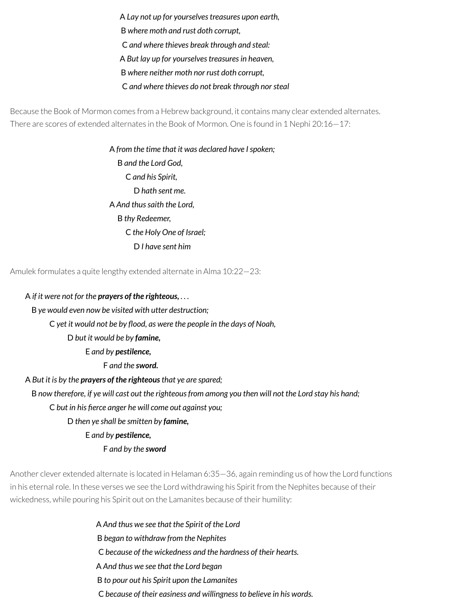A *Lay not up for yourselvestreasures upon earth,* B *where moth and rust doth corrupt,* C *and where thieves break through and steal:* A *But lay up for yourselvestreasuresin heaven,* B *where neither moth nor rust doth corrupt,* C *and where thieves do not break through norsteal*

Because the Book of Mormon comes from a Hebrew background, it contains many clear extended alternates. There are scores of extended alternates in the Book of Mormon. One is found in 1 Nephi 20:16—17:

> A *from the time that it was declared have Ispoken;* B *and the Lord God,* C *and his Spirit,* D *hath sent me.* A *And thussaith the Lord,* B *thy Redeemer,* C *the Holy One of Israel;* D *I have sent him*

Amulek formulates a quite lengthy extended alternate in Alma 10:22—23:

A *if it were not for the prayers of the righteous, . . .* B *ye would even now be visited with utter destruction;* C *yet it would not be by ood, as were the people in the days of Noah,* D *but it would be by famine,* E *and by pestilence,* F *and the sword.* A *But it is by the prayers of the righteousthat ye are spared;* B now therefore, if ye will cast out the righteous from among you then will not the Lord stay his hand; C *but in his erce anger he will come out against you;* D *then ye shall be smitten by famine,* E *and by pestilence,* F *and by the sword*

Another clever extended alternate is located in Helaman 6:35—36, again reminding us of how the Lord functions in his eternal role. In these verses we see the Lord withdrawing his Spirit from the Nephites because of their wickedness, while pouring his Spirit out on the Lamanites because of their humility:

> A *And thus we see that the Spirit of the Lord* B *began to withdraw from the Nephites* C *because of the wickedness and the hardness of their hearts.* A *And thus we see that the Lord began* B *to pour out his Spirit upon the Lamanites* C *because of their easiness and willingnessto believe in his words.*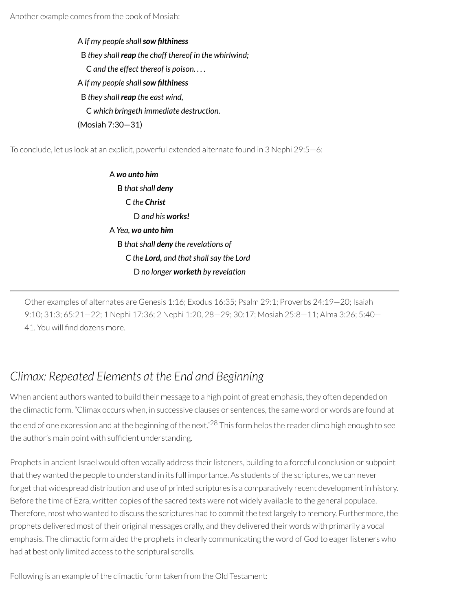A *If my people shallsow lthiness* B *they shall reap the chaff thereof in the whirlwind;* C *and the effect thereof is poison. . . .* A *If my people shallsow lthiness* B *they shall reap the east wind,* C *which bringeth immediate destruction.* (Mosiah 7:30—31)

To conclude, let us look at an explicit, powerful extended alternate found in 3 Nephi 29:5—6:

A *wo unto him* B *thatshall deny* C *the Christ* D *and his works!* A *Yea, wo unto him* B *thatshall deny the revelations of* C *the Lord, and thatshallsay the Lord* D *no longer worketh by revelation*

Other examples of alternates are Genesis 1:16; Exodus 16:35; Psalm 29:1; Proverbs 24:19—20; Isaiah 9:10; 31:3; 65:21—22; 1 Nephi 17:36; 2 Nephi 1:20, 28—29; 30:17; Mosiah 25:8—11; Alma 3:26; 5:40— 41. You will find dozens more.

# *Climax: Repeated Elements at the End and Beginning*

When ancient authors wanted to build their message to a high point of great emphasis, they often depended on the climactic form. "Climax occurs when, in successive clauses or sentences, the same word or words are found at the end of one expression and at the beginning of the next."<sup>28</sup> This form helps the reader climb high enough to see the author's main point with sufficient understanding.

Prophets in ancient Israel would often vocally address their listeners, building to a forceful conclusion or subpoint that they wanted the people to understand in its full importance. As students of the scriptures, we can never forget that widespread distribution and use of printed scriptures is a comparatively recent development in history. Before the time of Ezra, written copies of the sacred texts were not widely available to the general populace. Therefore, most who wanted to discuss the scriptures had to commit the text largely to memory. Furthermore, the prophets delivered most of their original messages orally, and they delivered their words with primarily a vocal emphasis. The climactic form aided the prophets in clearly communicating the word of God to eager listeners who had at best only limited access to the scriptural scrolls.

Following is an example of the climactic form taken from the Old Testament: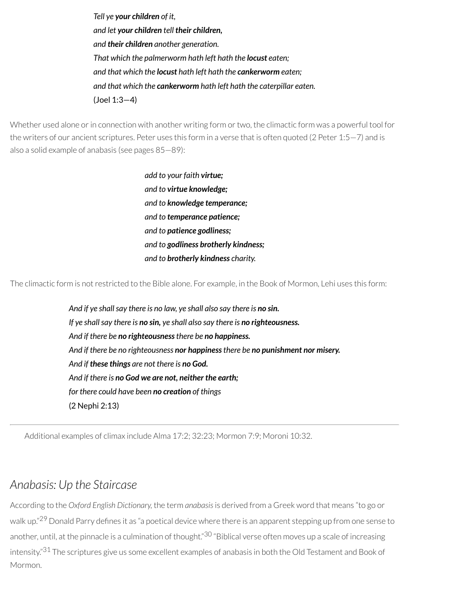*Tell ye your children of it, and let your children tell their children, and their children another generation. That which the palmerworm hath left hath the locust eaten; and that which the locust hath left hath the cankerworm eaten; and that which the cankerworm hath left hath the caterpillar eaten.* (Joel 1:3—4)

Whether used alone or in connection with another writing form or two, the climactic form was a powerful tool for the writers of our ancient scriptures. Peter uses this form in a verse that is often quoted (2 Peter 1:5—7) and is also a solid example of anabasis (see pages 85—89):

> *add to your faith virtue; and to virtue knowledge; and to knowledge temperance; and to temperance patience; and to patience godliness; and to godliness brotherly kindness; and to brotherly kindness charity.*

The climactic form is not restricted to the Bible alone. For example, in the Book of Mormon, Lehi uses this form:

*And if ye shallsay there is no law, ye shall also say there is no sin. If ye shallsay there is no sin, ye shall also say there is no righteousness. And if there be no righteousnessthere be no happiness. And if there be no righteousness nor happinessthere be no punishment nor misery. And if these things are not there is no God. And if there is no God we are not, neither the earth; for there could have been no creation of things* (2 Nephi 2:13)

Additional examples of climax include Alma 17:2; 32:23; Mormon 7:9; Moroni 10:32.

## *Anabasis: Up the Staircase*

According to the *Oxford English Dictionary,* the term *anabasis*is derived from a Greek word that means "to go or walk up."<sup>29</sup> Donald Parry defines it as "a poetical device where there is an apparent stepping up from one sense to another, until, at the pinnacle is a culmination of thought."<sup>30</sup> "Biblical verse often moves up a scale of increasing intensity."<sup>31</sup> The scriptures give us some excellent examples of anabasis in both the Old Testament and Book of Mormon.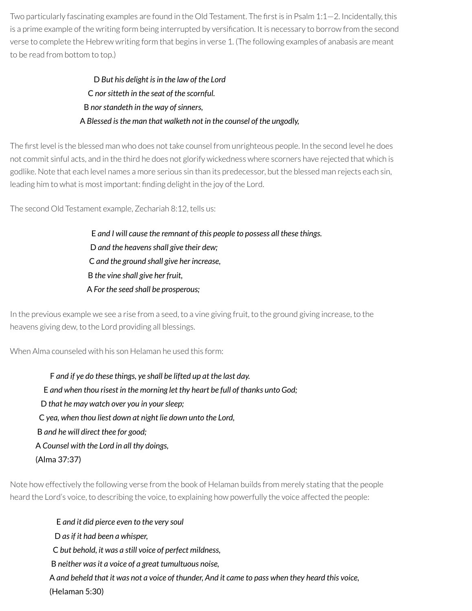Two particularly fascinating examples are found in the Old Testament. The first is in Psalm  $1:1-2$ . Incidentally, this is a prime example of the writing form being interrupted by versification. It is necessary to borrow from the second verse to complete the Hebrew writing form that begins in verse 1. (The following examples of anabasis are meant to be read from bottom to top.)

> D *But his delight isin the law of the Lord* C *norsitteth in the seat of the scornful.* B *norstandeth in the way ofsinners,* A *Blessed isthe man that walketh not in the counsel of the ungodly,*

The first level is the blessed man who does not take counsel from unrighteous people. In the second level he does not commit sinful acts, and in the third he does not glorify wickedness where scorners have rejected that which is godlike. Note that each level names a more serious sin than its predecessor, but the blessed man rejects each sin, leading him to what is most important: finding delight in the joy of the Lord.

The second Old Testament example, Zechariah 8:12, tells us:

E *and I will cause the remnant of this people to possess all these things.* D *and the heavensshall give their dew;* C *and the ground shall give her increase,* B *the vine shall give her fruit,* A *For the seed shall be prosperous;*

In the previous example we see a rise from a seed, to a vine giving fruit, to the ground giving increase, to the heavens giving dew, to the Lord providing all blessings.

When Alma counseled with his son Helaman he used this form:

F *and if ye do these things, ye shall be lifted up at the last day.* E *and when thou risest in the morning let thy heart be full of thanks unto God;* D *that he may watch over you in yoursleep;* C *yea, when thou liest down at night lie down unto the Lord,* B *and he will direct thee for good;* A *Counsel with the Lord in all thy doings,* (Alma 37:37)

Note how effectively the following verse from the book of Helaman builds from merely stating that the people heard the Lord's voice, to describing the voice, to explaining how powerfully the voice affected the people:

> E *and it did pierce even to the very soul* D *asif it had been a whisper,* C *but behold, it was a still voice of perfect mildness,* B *neither wasit a voice of a great tumultuous noise,* A and beheld that it was not a voice of thunder, And it came to pass when they heard this voice, (Helaman 5:30)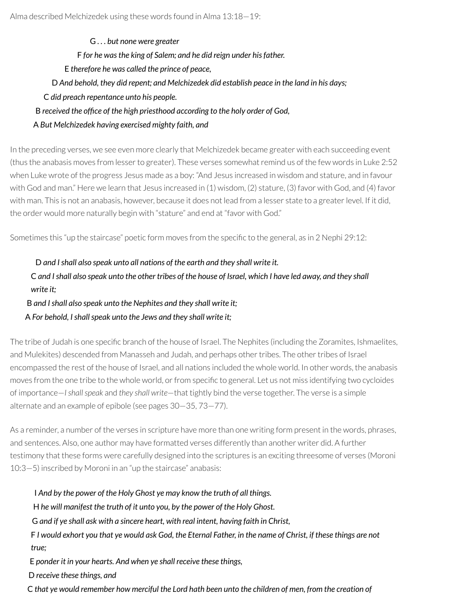#### G *. . . but none were greater*

F *for he wasthe king of Salem; and he did reign under hisfather.*

E *therefore he was called the prince of peace,*

D *And behold, they did repent; and Melchizedek did establish peace in the land in his days;*

C *did preach repentance unto his people.*

B *received the ofce of the high priesthood according to the holy order of God,*

### A *But Melchizedek having exercised mighty faith, and*

In the preceding verses, we see even more clearly that Melchizedek became greater with each succeeding event (thus the anabasis moves from lesser to greater). These verses somewhat remind us of the few words in Luke 2:52 when Luke wrote of the progress Jesus made as a boy: "And Jesus increased in wisdom and stature, and in favour with God and man." Here we learn that Jesus increased in (1) wisdom, (2) stature, (3) favor with God, and (4) favor with man. This is not an anabasis, however, because it does not lead from a lesser state to a greater level. If it did, the order would more naturally begin with "stature" and end at "favor with God."

Sometimes this "up the staircase" poetic form moves from the specific to the general, as in 2 Nephi 29:12:

# D *and Ishall also speak unto all nations of the earth and they shall write it.* C and I shall also speak unto the other tribes of the house of Israel, which I have led away, and they shall *write it;*

B *and Ishall also speak unto the Nephites and they shall write it;*

A *For behold, Ishallspeak unto the Jews and they shall write it;*

The tribe of Judah is one specific branch of the house of Israel. The Nephites (including the Zoramites, Ishmaelites, and Mulekites) descended from Manasseh and Judah, and perhaps othertribes. The othertribes of Israel encompassed the rest of the house of Israel, and all nations included the whole world. In other words, the anabasis moves from the one tribe to the whole world, or from specific to general. Let us not miss identifying two cycloides of importance—*Ishallspeak* and *they shall write*—that tightly bind the verse together. The verse is a simple alternate and an example of epibole (see pages 30—35, 73—77).

As a reminder, a number of the verses in scripture have more than one writing form present in the words, phrases, and sentences. Also, one author may have formatted verses differently than another writer did. A further testimony that these forms were carefully designed into the scriptures is an exciting threesome of verses (Moroni 10:3—5) inscribed by Moroni in an "up the staircase" anabasis:

I *And by the power of the Holy Ghost ye may know the truth of all things.* H *he will manifest the truth of it unto you, by the power of the Holy Ghost.* G *and if ye shall ask with a sincere heart, with real intent, having faith in Christ,* F I would exhort you that ye would ask God, the Eternal Father, in the name of Christ, if these things are not *true;* E *ponder it in your hearts. And when ye shall receive these things,* D *receive these things, and*

C that ye would remember how merciful the Lord hath been unto the children of men, from the creation of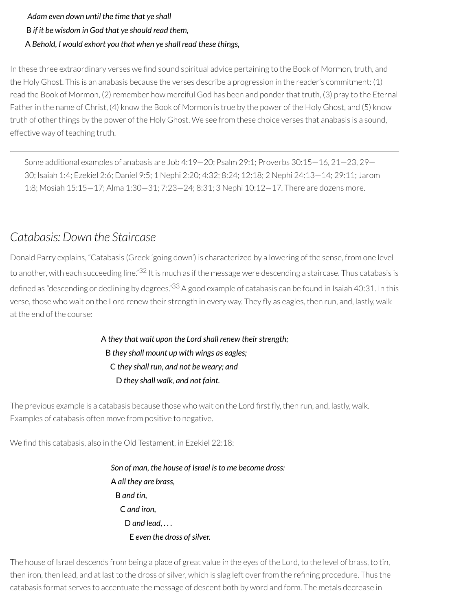## *Adam even down until the time that ye shall* B *if it be wisdom in God that ye should read them,* A *Behold, I would exhort you that when ye shall read these things,*

In these three extraordinary verses we find sound spiritual advice pertaining to the Book of Mormon, truth, and the Holy Ghost. This is an anabasis because the verses describe a progression in the reader's commitment: (1) read the Book of Mormon, (2) remember how merciful God has been and ponder that truth, (3) pray to the Eternal Fatherin the name of Christ, (4) know the Book of Mormon is true by the power of the Holy Ghost, and (5) know truth of other things by the power of the Holy Ghost. We see from these choice verses that anabasis is a sound, effective way of teaching truth.

Some additional examples of anabasis are Job 4:19—20; Psalm 29:1; Proverbs 30:15—16, 21—23, 29— 30; Isaiah 1:4; Ezekiel 2:6; Daniel 9:5; 1 Nephi 2:20; 4:32; 8:24; 12:18; 2 Nephi 24:13—14; 29:11; Jarom 1:8; Mosiah 15:15—17; Alma 1:30—31; 7:23—24; 8:31; 3 Nephi 10:12—17. There are dozens more.

# *Catabasis: Down the Staircase*

Donald Parry explains, "Catabasis (Greek 'going down') is characterized by a lowering of the sense, from one level to another, with each succeeding line."<sup>32</sup> It is much as if the message were descending a staircase. Thus catabasis is defined as "descending or declining by degrees."<sup>33</sup> A good example of catabasis can be found in Isaiah 40:31. In this verse, those who wait on the Lord renew their strength in every way. They fly as eagles, then run, and, lastly, walk at the end of the course:

> A *they that wait upon the Lord shall renew theirstrength;* B *they shall mount up with wings as eagles;* C *they shall run, and not be weary; and* D *they shall walk, and not faint.*

The previous example is a catabasis because those who wait on the Lord first fly, then run, and, lastly, walk. Examples of catabasis often move from positive to negative.

We find this catabasis, also in the Old Testament, in Ezekiel 22:18:

*Son of man, the house of Israel isto me become dross:* A *all they are brass,* B *and tin,* C *and iron,* D *and lead, . . .* E *even the dross ofsilver.*

The house of Israel descends from being a place of great value in the eyes of the Lord, to the level of brass, to tin, then iron, then lead, and at last to the dross of silver, which is slag left over from the refining procedure. Thus the catabasis format serves to accentuate the message of descent both by word and form. The metals decrease in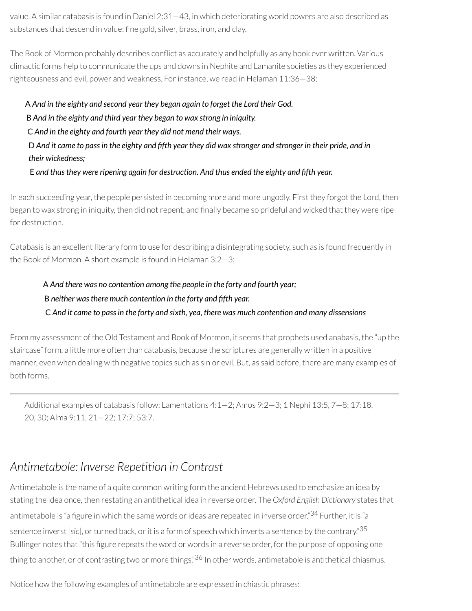value. A similar catabasis is found in Daniel 2:31—43, in which deteriorating world powers are also described as substances that descend in value: fine gold, silver, brass, iron, and clay.

The Book of Mormon probably describes conflict as accurately and helpfully as any book ever written. Various climactic forms help to communicate the ups and downs in Nephite and Lamanite societies as they experienced righteousness and evil, power and weakness. For instance, we read in Helaman 11:36–38:

A *And in the eighty and second year they began again to forget the Lord their God.* B *And in the eighty and third year they began to wax strong in iniquity.* C *And in the eighty and fourth year they did not mend their ways.* D And it came to pass in the eighty and fifth year they did wax stronger and stronger in their pride, and in *their wickedness;* E *and thusthey were ripening again for destruction. And thus ended the eighty and fth year.*

In each succeeding year, the people persisted in becoming more and more ungodly. First they forgot the Lord, then began to wax strong in iniquity, then did not repent, and finally became so prideful and wicked that they were ripe for destruction.

Catabasis is an excellent literary form to use for describing a disintegrating society, such as is found frequently in the Book of Mormon. A short example is found in Helaman 3:2—3:

## A *And there was no contention among the people in the forty and fourth year;* B *neither wasthere much contention in the forty and fth year.* C *And it came to passin the forty and sixth, yea, there was much contention and many dissensions*

From my assessment of the Old Testament and Book of Mormon, it seems that prophets used anabasis, the "up the staircase" form, a little more often than catabasis, because the scriptures are generally written in a positive manner, even when dealing with negative topics such as sin or evil. But, as said before, there are many examples of both forms.

Additional examples of catabasis follow: Lamentations 4:1—2; Amos 9:2—3; 1 Nephi 13:5, 7—8; 17:18, 20, 30; Alma 9:11, 21—22; 17:7; 53:7.

# *Antimetabole: Inverse Repetition in Contrast*

Antimetabole is the name of a quite common writing form the ancient Hebrews used to emphasize an idea by stating the idea once, then restating an antithetical idea in reverse order. The *Oxford English Dictionary* states that antimetabole is "a figure in which the same words or ideas are repeated in inverse order."<sup>34</sup> Further, it is "a sentence inverst [sic], or turned back, or it is a form of speech which inverts a sentence by the contrary."<sup>35</sup> Bullinger notes that "this figure repeats the word or words in a reverse order, for the purpose of opposing one thing to another, or of contrasting two or more things."<sup>36</sup> In other words, antimetabole is antithetical chiasmus.

Notice how the following examples of antimetabole are expressed in chiastic phrases: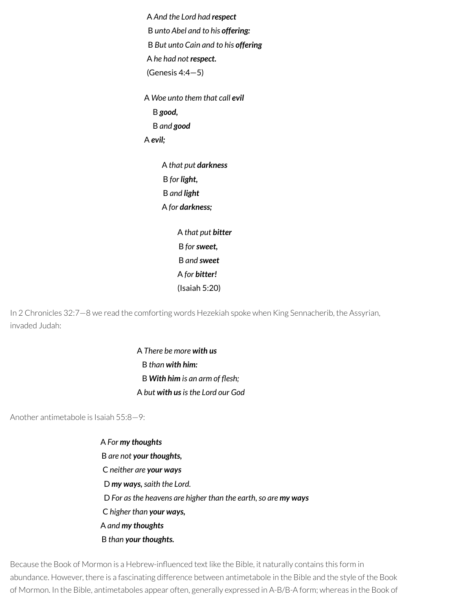A *And the Lord had respect* B *unto Abel and to his offering:* B *But unto Cain and to his offering* A *he had not respect.* (Genesis 4:4—5) A *Woe unto them that call evil* B *good,* B *and good* A *evil;* A *that put darkness* B *for light,* B *and light* A *for darkness;* A *that put bitter*

B *forsweet,* B *and sweet* A *for bitter!* (Isaiah 5:20)

In 2 Chronicles 32:7—8 we read the comforting words Hezekiah spoke when King Sennacherib, the Assyrian, invaded Judah:

> A *There be more with us* B *than with him:* B *With him is an arm of esh;* A *but with usisthe Lord our God*

Another antimetabole is Isaiah 55:8—9:

A *For my thoughts* B *are not your thoughts,* C *neither are your ways* D *my ways,saith the Lord.* D *For asthe heavens are higher than the earth,so are my ways* C *higher than your ways,* A *and my thoughts* B *than your thoughts.*

Because the Book of Mormon is a Hebrew-influenced text like the Bible, it naturally contains this form in abundance. However, there is a fascinating difference between antimetabole in the Bible and the style of the Book of Mormon. In the Bible, antimetaboles appear often, generally expressed in A-B/B-A form; whereas in the Book of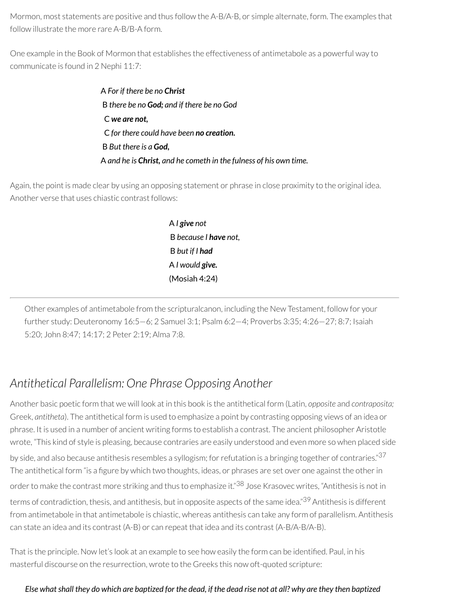Mormon, most statements are positive and thus follow the A-B/A-B, or simple alternate, form. The examples that follow illustrate the more rare A-B/B-A form.

One example in the Book of Mormon that establishes the effectiveness of antimetabole as a powerful way to communicate is found in 2 Nephi 11:7:

> A *For if there be no Christ* B *there be no God; and if there be no God* C *we are not,* C *for there could have been no creation.* B *But there is a God,* A *and he is Christ, and he cometh in the fulness of his own time.*

Again, the point is made clear by using an opposing statement or phrase in close proximity to the original idea. Another verse that uses chiastic contrast follows:

> A *I give not* B *because I have not,* B *but if I had* A *I would give.* (Mosiah 4:24)

Other examples of antimetabole from the scripturalcanon, including the New Testament, follow for your further study: Deuteronomy 16:5—6; 2 Samuel 3:1; Psalm 6:2—4; Proverbs 3:35; 4:26—27; 8:7; Isaiah 5:20; John 8:47; 14:17; 2 Peter 2:19; Alma 7:8.

# *Antithetical Parallelism: One Phrase Opposing Another*

Another basic poetic form that we will look at in this book is the antithetical form (Latin, *opposite* and *contraposita;* Greek, *antitheta*). The antithetical form is used to emphasize a point by contrasting opposing views of an idea or phrase. It is used in a number of ancient writing forms to establish a contrast. The ancient philosopher Aristotle wrote, "This kind of style is pleasing, because contraries are easily understood and even more so when placed side by side, and also because antithesis resembles a syllogism; for refutation is a bringing together of contraries." $^{37}$ The antithetical form "is a figure by which two thoughts, ideas, or phrases are set over one against the other in order to make the contrast more striking and thus to emphasize it."<sup>38</sup> Jose Krasovec writes, "Antithesis is not in terms of contradiction, thesis, and antithesis, but in opposite aspects of the same idea."<sup>39</sup> Antithesis is different from antimetabole in that antimetabole is chiastic, whereas antithesis can take any form of parallelism. Antithesis can state an idea and its contrast (A-B) or can repeat that idea and its contrast (A-B/A-B/A-B).

That is the principle. Now let's look at an example to see how easily the form can be identified. Paul, in his masterful discourse on the resurrection, wrote to the Greeks this now oft-quoted scripture:

### Else what shall they do which are baptized for the dead, if the dead rise not at all? why are they then baptized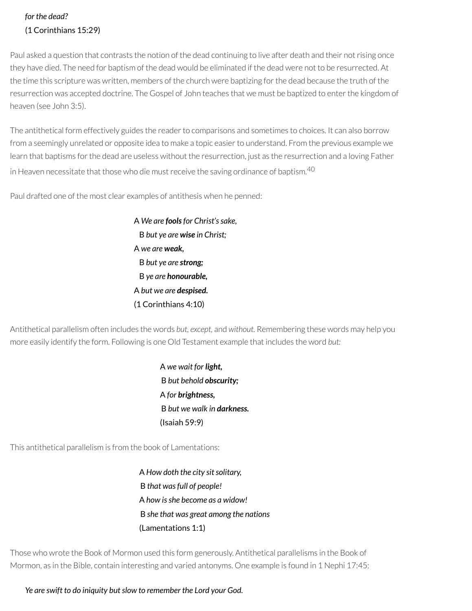### *for the dead?* (1 Corinthians 15:29)

Paul asked a question that contrasts the notion of the dead continuing to live after death and their not rising once they have died. The need for baptism of the dead would be eliminated if the dead were not to be resurrected. At the time this scripture was written, members of the church were baptizing forthe dead because the truth of the resurrection was accepted doctrine. The Gospel of John teaches that we must be baptized to enterthe kingdom of heaven (see John 3:5).

The antithetical form effectively guides the reader to comparisons and sometimes to choices. It can also borrow from a seemingly unrelated or opposite idea to make a topic easier to understand. From the previous example we learn that baptisms forthe dead are useless without the resurrection, just as the resurrection and a loving Father in Heaven necessitate that those who die must receive the saving ordinance of baptism. $^{40}$ 

Paul drafted one of the most clear examples of antithesis when he penned:

A *We are foolsfor Christ'ssake,* B *but ye are wise in Christ;* A *we are weak,* B *but ye are strong;* B *ye are honourable,* A *but we are despised.* (1 Corinthians 4:10)

Antithetical parallelism often includes the words *but, except,* and *without.* Remembering these words may help you more easily identify the form. Following is one Old Testament example that includes the word *but:*

> A *we wait for light,* B *but behold obscurity;* A *for brightness,* B *but we walk in darkness.* (Isaiah 59:9)

This antithetical parallelism is from the book of Lamentations:

A *How doth the city sitsolitary,* B *that wasfull of people!* A *how isshe become as a widow!* B *she that was great among the nations* (Lamentations 1:1)

Those who wrote the Book of Mormon used this form generously. Antithetical parallelisms in the Book of Mormon, as in the Bible, contain interesting and varied antonyms. One example is found in 1 Nephi 17:45:

*Ye* are *swift* to *do iniquity but slow* to *remember the Lord your God.*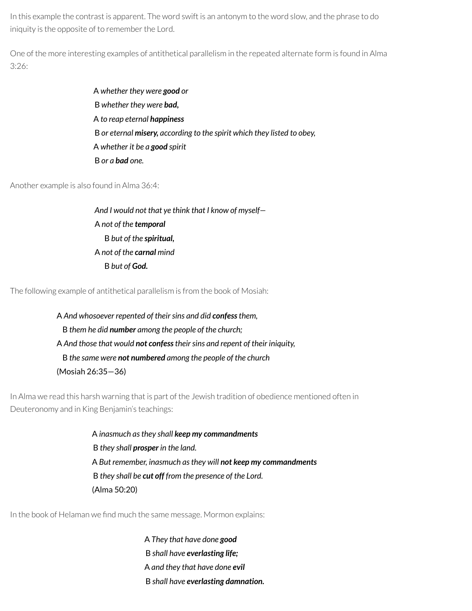In this example the contrast is apparent. The word swift is an antonym to the word slow, and the phrase to do iniquity is the opposite of to remember the Lord.

One of the more interesting examples of antithetical parallelism in the repeated alternate form is found in Alma 3:26:

> A *whether they were good or* B *whether they were bad,* A *to reap eternal happiness* B *or eternal misery, according to the spirit which they listed to obey,* A *whether it be a good spirit* B *or a bad one.*

Another example is also found in Alma 36:4:

*And I would not that ye think that I know of myself—* A *not of the temporal* B *but of the spiritual,* A *not of the carnal mind* B *but of God.*

The following example of antithetical parallelism is from the book of Mosiah:

A *And whosoever repented of theirsins and did confessthem,* B *them he did number among the people of the church;* A And those that would not confess their sins and repent of their iniquity, B *the same were not numbered among the people of the church* (Mosiah 26:35—36)

In Alma we read this harsh warning that is part of the Jewish tradition of obedience mentioned often in Deuteronomy and in King Benjamin's teachings:

> A *inasmuch asthey shall keep my commandments* B *they shall prosper in the land.* A *But remember, inasmuch asthey will not keep my commandments* B *they shall be cut off from the presence of the Lord.* (Alma 50:20)

In the book of Helaman we find much the same message. Mormon explains:

A *They that have done good* B *shall have everlasting life;* A *and they that have done evil* B *shall have everlasting damnation.*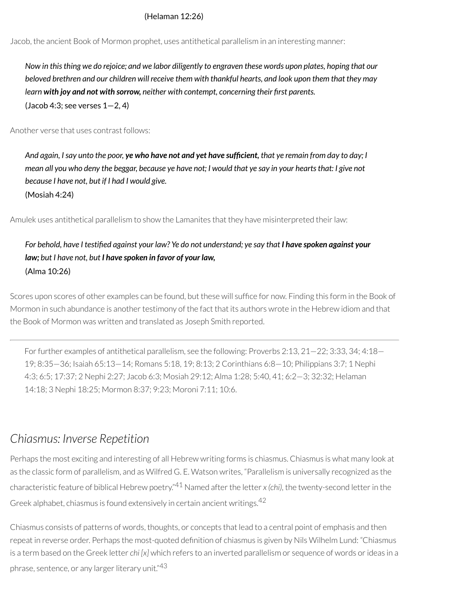#### (Helaman 12:26)

Jacob, the ancient Book of Mormon prophet, uses antithetical parallelism in an interesting manner:

Now in this thing we do rejoice; and we labor diligently to engraven these words upon plates, hoping that our beloved brethren and our children will receive them with thankful hearts, and look upon them that they may *learn* with joy and not with sorrow, neither with contempt, concerning their first parents.  $(Jacob 4:3; see versus  $1-2, 4$ )$ 

Another verse that uses contrast follows:

And again, I say unto the poor, ye who have not and yet have sufficient, that ye remain from day to day; I mean all you who deny the beggar, because ye have not; I would that ye say in your hearts that: I give not *because I have not, but if I had I would give.*

(Mosiah 4:24)

Amulek uses antithetical parallelism to show the Lamanites that they have misinterpreted their law:

### For behold, have I testified against your law? Ye do not understand; ye say that I have spoken against your *law; but I have not, but I have spoken in favor of your law,* (Alma 10:26)

Scores upon scores of other examples can be found, but these will suffice for now. Finding this form in the Book of Mormon in such abundance is another testimony of the fact that its authors wrote in the Hebrew idiom and that the Book of Mormon was written and translated as Joseph Smith reported.

Forfurther examples of antithetical parallelism, see the following: Proverbs 2:13, 21—22; 3:33, 34; 4:18— 19; 8:35—36; Isaiah 65:13—14; Romans 5:18, 19; 8:13; 2 Corinthians 6:8—10; Philippians 3:7; 1 Nephi 4:3; 6:5; 17:37; 2 Nephi 2:27; Jacob 6:3; Mosiah 29:12; Alma 1:28; 5:40, 41; 6:2—3; 32:32; Helaman 14:18; 3 Nephi 18:25; Mormon 8:37; 9:23; Moroni 7:11; 10:6.

## *Chiasmus: Inverse Repetition*

Perhaps the most exciting and interesting of all Hebrew writing forms is chiasmus. Chiasmus is what many look at as the classic form of parallelism, and as Wilfred G. E. Watson writes, "Parallelism is universally recognized as the characteristic feature of biblical Hebrew poetry."<sup>41</sup> Named after the letter x (chi), the twenty-second letter in the Greek alphabet, chiasmus is found extensively in certain ancient writings. 42

Chiasmus consists of patterns of words, thoughts, or concepts that lead to a central point of emphasis and then repeat in reverse order. Perhaps the most-quoted denition of chiasmus is given by Nils Wilhelm Lund: "Chiasmus is a term based on the Greek letter *chi [x]* which refers to an inverted parallelism or sequence of words orideas in a phrase, sentence, or any larger literary unit."<sup>43</sup>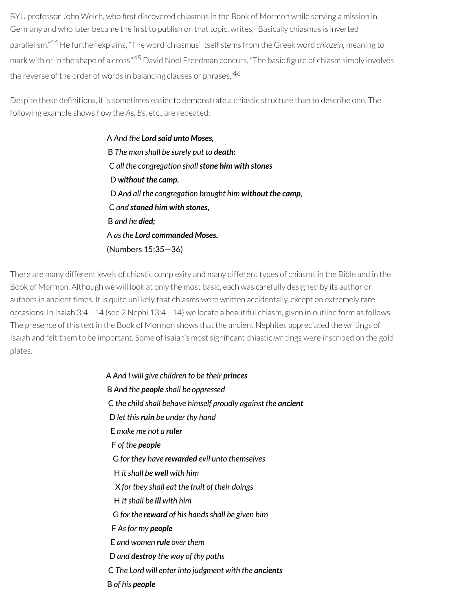BYU professor John Welch, who first discovered chiasmus in the Book of Mormon while serving a mission in Germany and who later became the first to publish on that topic, writes, "Basically chiasmus is inverted parallelism." <sup>44</sup> He further explains, "The word 'chiasmus' itself stems from the Greek word *chiazein,* meaning to mark with or in the shape of a cross."<sup>45</sup> David Noel Freedman concurs, "The basic figure of chiasm simply involves the reverse of the order of words in balancing clauses or phrases."<sup>46</sup>

Despite these definitions, it is sometimes easier to demonstrate a chiastic structure than to describe one. The following example shows how the *A*s, *B*s*,* etc., are repeated:

> A *And the Lord said unto Moses,* B *The man shall be surely put to death:* C *all the congregation shallstone him with stones* D *without the camp.* D *And all the congregation brought him without the camp,* C *and stoned him with stones,* B *and he died;* A *asthe Lord commanded Moses.* (Numbers 15:35—36)

There are many different levels of chiastic complexity and many different types of chiasms in the Bible and in the Book of Mormon. Although we will look at only the most basic, each was carefully designed by its author or authors in ancient times. It is quite unlikely that chiasms were written accidentally, except on extremely rare occasions. In Isaiah 3:4—14 (see 2 Nephi 13:4—14) we locate a beautiful chiasm, given in outline form as follows. The presence of this text in the Book of Mormon shows that the ancient Nephites appreciated the writings of Isaiah and felt them to be important. Some of Isaiah's most significant chiastic writings were inscribed on the gold plates.

> A *And I will give children to be their princes* B *And the people shall be oppressed* C *the child shall behave himself proudly against the ancient* D *let thisruin be under thy hand* E *make me not a ruler* F *of the people* G *for they have rewarded evil unto themselves* H *itshall be well with him* X *for they shall eat the fruit of their doings* H *Itshall be ill with him* G *for the reward of his handsshall be given him* F *Asfor my people* E *and women rule over them* D *and destroy the way of thy paths* C *The Lord will enter into judgment with the ancients* B *of his people*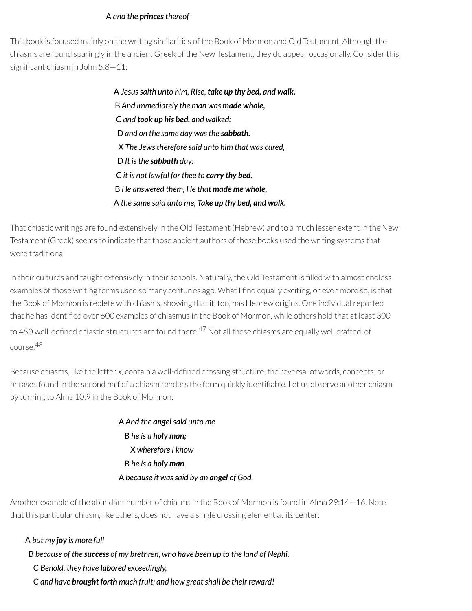#### A *and the princesthereof*

This book is focused mainly on the writing similarities of the Book of Mormon and Old Testament. Although the chiasms are found sparingly in the ancient Greek of the New Testament, they do appear occasionally. Considerthis significant chiasm in John  $5:8-11$ :

> A *Jesussaith unto him, Rise, take up thy bed, and walk.* B *And immediately the man was made whole,* C *and took up his bed, and walked:* D *and on the same day wasthe sabbath.* X *The Jewstherefore said unto him that was cured,* D *It isthe sabbath day:* C *it is not lawful for thee to carry thy bed.* B *He answered them, He that made me whole,* A *the same said unto me, Take up thy bed, and walk.*

That chiastic writings are found extensively in the Old Testament (Hebrew) and to a much lesser extent in the New Testament (Greek) seems to indicate that those ancient authors of these books used the writing systems that were traditional

in their cultures and taught extensively in their schools. Naturally, the Old Testament is filled with almost endless examples of those writing forms used so many centuries ago. What I find equally exciting, or even more so, is that the Book of Mormon is replete with chiasms, showing that it, too, has Hebrew origins. One individualreported that he has identified over 600 examples of chiasmus in the Book of Mormon, while others hold that at least 300 to 450 well-defined chiastic structures are found there.<sup>47</sup> Not all these chiasms are equally well crafted, of course. 48

Because chiasms, like the letter *x,* contain a well-dened crossing structure, the reversal of words, concepts, or phrases found in the second half of a chiasm renders the form quickly identifiable. Let us observe another chiasm by turning to Alma 10:9 in the Book of Mormon:

> A *And the angelsaid unto me* B *he is a holy man;* X *wherefore I know* B *he is a holy man* A *because it wassaid by an angel of God.*

Another example of the abundant number of chiasms in the Book of Mormon is found in Alma 29:14—16. Note that this particular chiasm, like others, does not have a single crossing element at its center:

A *but my joy is more full* B *because of the success of my brethren, who have been up to the land of Nephi.* C *Behold, they have labored exceedingly,* C *and have brought forth much fruit; and how greatshall be their reward!*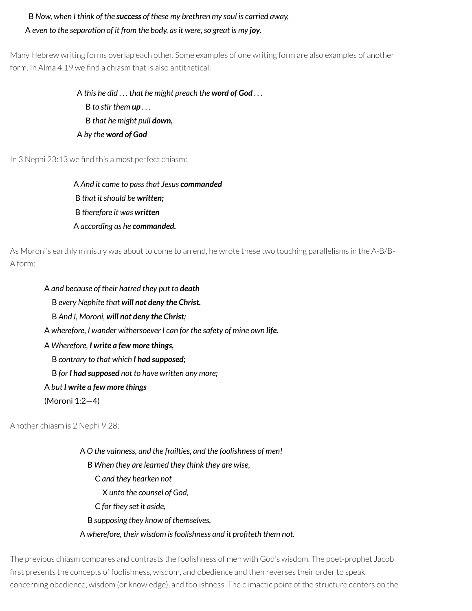### B *Now, when I think of the success of these my brethren my soul is carried away,* A *even to the separation of it from the body, asit were,so great is my joy.*

Many Hebrew writing forms overlap each other. Some examples of one writing form are also examples of another form. In Alma  $4:19$  we find a chiasm that is also antithetical:

> A *this he did . . . that he might preach the word of God . . .* B *to stir them up . . .* B *that he might pull down,* A *by the word of God*

In 3 Nephi 23:13 we find this almost perfect chiasm:

A *And it came to passthat Jesus commanded* B *that itshould be written;* B *therefore it was written* A *according as he commanded.*

As Moroni's earthly ministry was about to come to an end, he wrote these two touching parallelisms in the A-B/B-A form:

#### A *and because of their hatred they put to death*

B *every Nephite that will not deny the Christ.*

B *And I, Moroni, will not deny the Christ;*

A *wherefore, I wander withersoever I can for the safety of mine own life.*

A *Wherefore, I write a few more things,*

B *contrary to that which I had supposed;*

B *for I had supposed not to have written any more;*

#### A *but I write a few more things*

(Moroni 1:2—4)

Another chiasm is 2 Nephi 9:28:

A *O the vainness, and the frailties, and the foolishness of men!* B *When they are learned they think they are wise,* C *and they hearken not* X *unto the counsel of God,* C *for they set it aside,* B *supposing they know of themselves,* A *wherefore, their wisdom isfoolishness and it proteth them not.*

The previous chiasm compares and contrasts the foolishness of men with God's wisdom. The poet-prophet Jacob first presents the concepts of foolishness, wisdom, and obedience and then reverses their order to speak concerning obedience, wisdom (or knowledge), and foolishness. The climactic point of the structure centers on the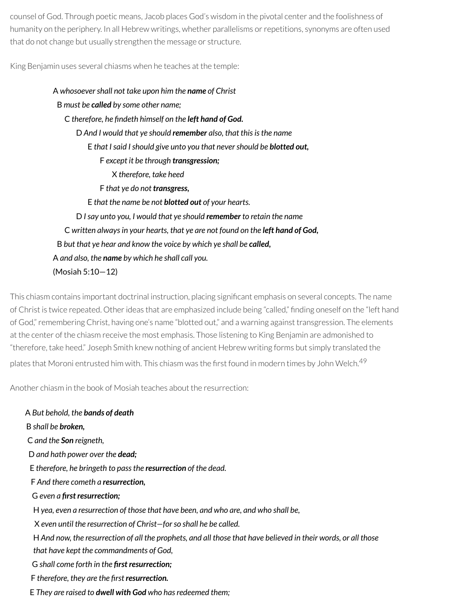counsel of God. Through poetic means, Jacob places God's wisdom in the pivotal center and the foolishness of humanity on the periphery. In all Hebrew writings, whether parallelisms or repetitions, synonyms are often used that do not change but usually strengthen the message or structure.

King Benjamin uses several chiasms when he teaches at the temple:

A *whosoevershall not take upon him the name of Christ* B *must be called by some other name;* C *therefore, he ndeth himself on the left hand of God.* D *And I would that ye should remember also, that thisisthe name* E *that Isaid Ishould give unto you that nevershould be blotted out,* F *except it be through transgression;* X *therefore, take heed* F *that ye do not transgress,* E *that the name be not blotted out of your hearts.* D *Isay unto you, I would that ye should remember to retain the name* C *written alwaysin your hearts, that ye are not found on the left hand of God,* B *but that ye hear and know the voice by which ye shall be called,* A *and also, the name by which he shall call you.* (Mosiah 5:10—12)

This chiasm contains important doctrinal instruction, placing significant emphasis on several concepts. The name of Christ is twice repeated. Other ideas that are emphasized include being "called," finding oneself on the "left hand of God,"remembering Christ, having one's name "blotted out," and a warning against transgression. The elements at the center of the chiasm receive the most emphasis. Those listening to King Benjamin are admonished to "therefore, take heed." Joseph Smith knew nothing of ancient Hebrew writing forms but simply translated the plates that Moroni entrusted him with. This chiasm was the first found in modern times by John Welch.<sup>49</sup>

Another chiasm in the book of Mosiah teaches about the resurrection:

| A But behold, the bands of death                                                                               |
|----------------------------------------------------------------------------------------------------------------|
| B shall be <b>broken</b> ,                                                                                     |
| C and the <b>Son</b> reigneth,                                                                                 |
| D and hath power over the <b>dead</b> ;                                                                        |
| E therefore, he bringeth to pass the resurrection of the dead.                                                 |
| F And there cometh a resurrection,                                                                             |
| G even a first resurrection;                                                                                   |
| H yea, even a resurrection of those that have been, and who are, and who shall be,                             |
| X even until the resurrection of Christ-for so shall he be called.                                             |
| H And now, the resurrection of all the prophets, and all those that have believed in their words, or all those |
| that have kept the commandments of God,                                                                        |
| G shall come forth in the first resurrection;                                                                  |
| F therefore, they are the first resurrection.                                                                  |
| E They are raised to dwell with God who has redeemed them;                                                     |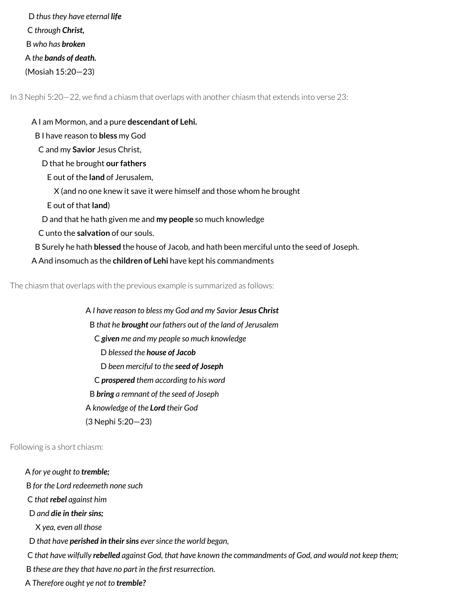D *thusthey have eternal life* C *through Christ,* B *who has broken* A *the bands of death.* (Mosiah 15:20—23)

In 3 Nephi 5:20–22, we find a chiasm that overlaps with another chiasm that extends into verse 23:

A I am Mormon, and a pure **descendant of Lehi.** B I have reason to **bless** my God C and my **Savior** Jesus Christ, D that he brought **our fathers** E out of the **land** of Jerusalem, X (and no one knew it save it were himself and those whom he brought E out of that **land**) D and that he hath given me and **my people** so much knowledge C unto the **salvation** of our souls. B Surely he hath **blessed** the house of Jacob, and hath been merciful unto the seed of Joseph. A And insomuch as the **children of Lehi** have kept his commandments

The chiasm that overlaps with the previous example is summarized as follows:

A *I have reason to bless my God and my Savior Jesus Christ* B *that he brought our fathers out of the land of Jerusalem* C *given me and my people so much knowledge* D *blessed the house of Jacob* D *been merciful to the seed of Joseph* C *prospered them according to his word* B *bring a remnant of the seed of Joseph* A *knowledge of the Lord their God* (3 Nephi 5:20—23)

Following is a short chiasm:

A *for ye ought to tremble;*

B *for the Lord redeemeth none such*

C *that rebel against him*

D *and die in their sins*;

X *yea, even all those*

D *that have perished in theirsins eversince the world began,*

C that have wilfully rebelled against God, that have known the commandments of God, and would not keep them;

B *these are they that have no part in the rst resurrection.*

A *Therefore ought ye not to tremble?*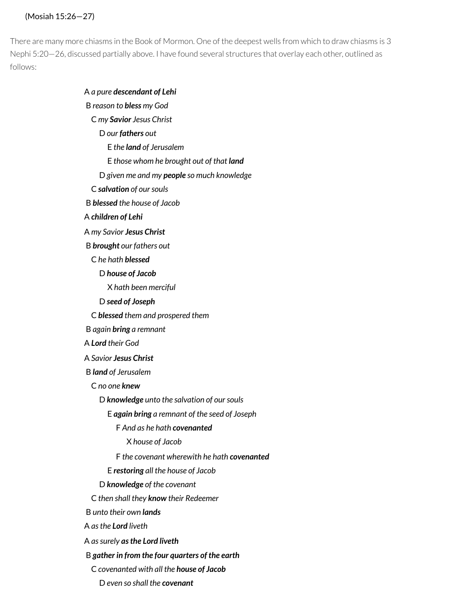There are many more chiasms in the Book of Mormon. One of the deepest wells from which to draw chiasms is 3 Nephi 5:20—26, discussed partially above. I have found several structures that overlay each other, outlined as follows:

> A *a pure descendant of Lehi* B *reason to bless my God* C *my Savior Jesus Christ* D *our fathers out* E *the land of Jerusalem* E *those whom he brought out of that land* D *given me and my people so much knowledge* C *salvation of oursouls* B *blessed the house of Jacob* A *children of Lehi* A *my Savior Jesus Christ* B *brought our fathers out* C *he hath blessed* D *house of Jacob* X *hath been merciful* D *seed of Joseph* C *blessed them and prospered them* B *again bring a remnant* A *Lord their God* A *Savior Jesus Christ* B *land of Jerusalem* C *no one knew* D *knowledge unto the salvation of oursouls* E *again bring a remnant of the seed of Joseph* F *And as he hath covenanted* X *house of Jacob* F *the covenant wherewith he hath covenanted* E *restoring all the house of Jacob* D *knowledge of the covenant* C *then shall they know their Redeemer* B *unto their own lands* A *asthe Lord liveth* A *assurely asthe Lord liveth* B *gather in from the four quarters of the earth* C *covenanted with all the house of Jacob*

D *even so shall the covenant*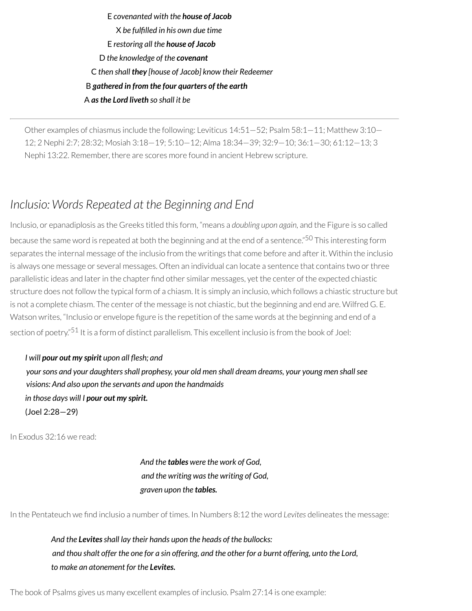E *covenanted with the house of Jacob* X *be fullled in his own due time* E *restoring all the house of Jacob* D *the knowledge of the covenant* C *then shall they [house of Jacob] know their Redeemer* B *gathered in from the four quarters of the earth* A *asthe Lord liveth so shall it be*

Other examples of chiasmus include the following: Leviticus 14:51—52; Psalm 58:1—11; Matthew 3:10— 12; 2 Nephi 2:7; 28:32; Mosiah 3:18—19; 5:10—12; Alma 18:34—39; 32:9—10; 36:1—30; 61:12—13; 3 Nephi 13:22. Remember, there are scores more found in ancient Hebrew scripture.

# *Inclusio: Words Repeated at the Beginning and End*

Inclusio, or epanadiplosis as the Greeks titled this form, "means a *doubling upon again,* and the Figure is so called because the same word is repeated at both the beginning and at the end of a sentence."<sup>50</sup> This interesting form separates the internal message of the inclusio from the writings that come before and afterit. Within the inclusio is always one message or several messages. Often an individual can locate a sentence that contains two orthree parallelistic ideas and later in the chapter find other similar messages, yet the center of the expected chiastic structure does not follow the typical form of a chiasm. It is simply an inclusio, which follows a chiastic structure but is not a complete chiasm. The center of the message is not chiastic, but the beginning and end are. Wilfred G. E. Watson writes, "Inclusio or envelope figure is the repetition of the same words at the beginning and end of a section of poetry."<sup>51</sup> It is a form of distinct parallelism. This excellent inclusio is from the book of Joel:

## *I will pour out my spirit upon all esh; and yoursons and your daughtersshall prophesy, your old men shall dream dreams, your young men shallsee visions: And also upon the servants and upon the handmaids in those days will I pour out my spirit.* (Joel 2:28—29)

In Exodus 32:16 we read:

### *And the tables were the work of God, and the writing wasthe writing of God, graven upon the tables.*

In the Pentateuch we find inclusio a number of times. In Numbers 8:12 the word Levites delineates the message:

## *And the Levitesshall lay their hands upon the heads of the bullocks:* and thou shalt offer the one for a sin offering, and the other for a burnt offering, unto the Lord, *to make an atonement for the Levites.*

The book of Psalms gives us many excellent examples of inclusio. Psalm 27:14 is one example: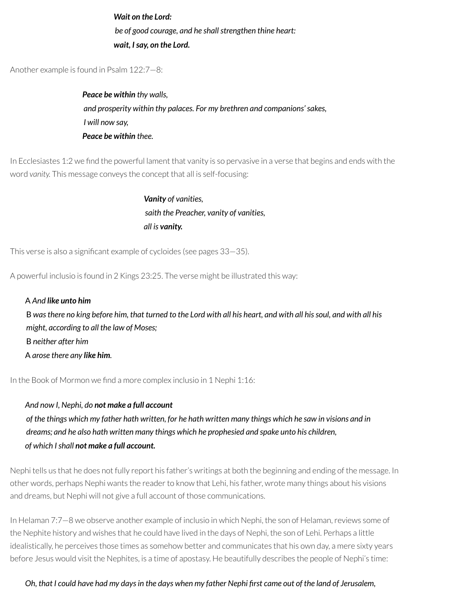*Wait on the Lord: be of good courage, and he shallstrengthen thine heart: wait, Isay, on the Lord.*

Another example is found in Psalm 122:7—8:

*Peace be within thy walls, and prosperity within thy palaces. For my brethren and companions'sakes, I will now say, Peace be within thee.*

In Ecclesiastes 1:2 we find the powerful lament that vanity is so pervasive in a verse that begins and ends with the word *vanity.* This message conveys the concept that all is self-focusing:

> *Vanity of vanities, saith the Preacher, vanity of vanities, all is vanity.*

This verse is also a significant example of cycloides (see pages  $33-35$ ).

A powerful inclusio is found in 2 Kings 23:25. The verse might be illustrated this way:

#### A *And like unto him*

B was there no king before him, that turned to the Lord with all his heart, and with all his soul, and with all his *might, according to all the law of Moses;* B *neither after him* A *arose there any like him.*

In the Book of Mormon we find a more complex inclusio in 1 Nephi 1:16:

#### *And now I, Nephi, do not make a full account*

of the things which my father hath written, for he hath written many things which he saw in visions and in *dreams; and he also hath written many things which he prophesied and spake unto his children, of which Ishall not make a full account.*

Nephi tells us that he does not fully report his father's writings at both the beginning and ending of the message. In other words, perhaps Nephi wants the readerto know that Lehi, his father, wrote many things about his visions and dreams, but Nephi will not give a full account of those communications.

In Helaman 7:7—8 we observe another example of inclusio in which Nephi, the son of Helaman, reviews some of the Nephite history and wishes that he could have lived in the days of Nephi, the son of Lehi. Perhaps a little idealistically, he perceives those times as somehow better and communicates that his own day, a mere sixty years before Jesus would visit the Nephites, is a time of apostasy. He beautifully describes the people of Nephi's time:

Oh, that I could have had my days in the days when my father Nephi first came out of the land of Jerusalem,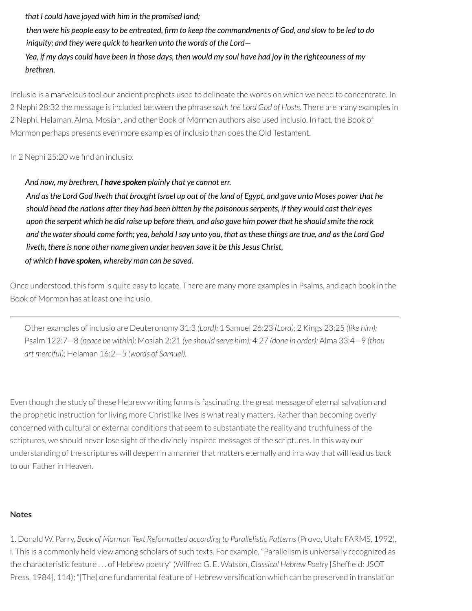*that I could have joyed with him in the promised land;*

then were his people easy to be entreated, firm to keep the commandments of God, and slow to be led to do *iniquity; and they were quick to hearken unto the words of the Lord—*

### Yea, if my days could have been in those days, then would my soul have had joy in the righteouness of my *brethren.*

Inclusio is a marvelous tool our ancient prophets used to delineate the words on which we need to concentrate. In 2 Nephi 28:32 the message is included between the phrase *saith the Lord God of Hosts.* There are many examples in 2 Nephi. Helaman, Alma, Mosiah, and other Book of Mormon authors also used inclusio. In fact, the Book of Mormon perhaps presents even more examples of inclusio than does the Old Testament.

In 2 Nephi 25:20 we find an inclusio:

#### *And now, my brethren, I have spoken plainly that ye cannot err.*

And as the Lord God liveth that brought Israel up out of the land of Egypt, and gave unto Moses power that he should head the nations after they had been bitten by the poisonous serpents, if they would cast their eyes upon the serpent which he did raise up before them, and also gave him power that he should smite the rock and the water should come forth; yea, behold I say unto you, that as these things are true, and as the Lord God *liveth, there is none other name given under heaven save it be this Jesus Christ, of which I have spoken, whereby man can be saved.*

Once understood, this form is quite easy to locate. There are many more examples in Psalms, and each book in the Book of Mormon has at least one inclusio.

Other examples of inclusio are Deuteronomy 31:3 *(Lord);* 1 Samuel 26:23 *(Lord);* 2 Kings 23:25 *(like him);* Psalm 122:7—8 *(peace be within);* Mosiah 2:21 *(ye should serve him);* 4:27 *(done in order);* Alma 33:4—9 *(thou art merciful);* Helaman 16:2—5 *(words of Samuel).*

Even though the study of these Hebrew writing forms is fascinating, the great message of eternal salvation and the prophetic instruction for living more Christlike lives is what really matters. Rather than becoming overly concerned with cultural or external conditions that seem to substantiate the reality and truthfulness of the scriptures, we should never lose sight of the divinely inspired messages of the scriptures. In this way our understanding of the scriptures will deepen in a mannerthat matters eternally and in a way that will lead us back to our Father in Heaven.

#### **Notes**

1. Donald W. Parry, *Book of Mormon Text Reformatted according to Parallelistic Patterns*(Provo, Utah: FARMS, 1992), i. This is a commonly held view among scholars of such texts. For example, "Parallelism is universally recognized as the characteristic feature ... of Hebrew poetry" (Wilfred G. E. Watson, *Classical Hebrew Poetry* [Sheffield: JSOT Press, 1984], 114); "[The] one fundamental feature of Hebrew versification which can be preserved in translation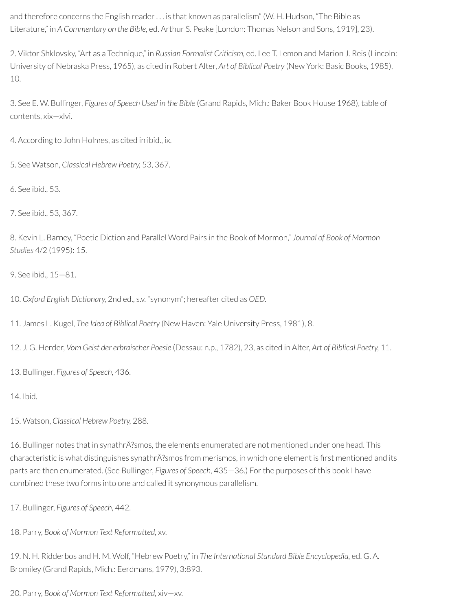and therefore concerns the English reader. . . is that known as parallelism" (W. H. Hudson, "The Bible as Literature," in *A Commentary on the Bible,* ed. Arthur S. Peake [London: Thomas Nelson and Sons, 1919], 23).

2. Viktor Shklovsky, "Art as a Technique," in *Russian Formalist Criticism,* ed. Lee T. Lemon and Marion J. Reis (Lincoln: University of Nebraska Press, 1965), as cited in Robert Alter, *Art of Biblical Poetry* (New York: Basic Books, 1985), 10.

3. See E. W. Bullinger, *Figures of Speech Used in the Bible* (Grand Rapids, Mich.: Baker Book House 1968), table of contents, xix—xlvi.

4. According to John Holmes, as cited in ibid., ix.

5. See Watson, *Classical Hebrew Poetry,* 53, 367.

6. See ibid., 53.

7. See ibid., 53, 367.

8. Kevin L. Barney, "Poetic Diction and Parallel Word Pairs in the Book of Mormon," *Journal of Book of Mormon Studies* 4/2 (1995): 15.

9. See ibid., 15—81.

10. *Oxford English Dictionary,* 2nd ed., s.v. "synonym"; hereafter cited as *OED.*

11. James L. Kugel, *The Idea of Biblical Poetry* (New Haven: Yale University Press, 1981), 8.

12. J. G. Herder, *Vom Geist der erbraischer Poesie* (Dessau: n.p., 1782), 23, as cited in Alter, *Art of Biblical Poetry,* 11.

13. Bullinger, *Figures of Speech,* 436.

14. Ibid.

15. Watson, *Classical Hebrew Poetry,* 288.

16. Bullinger notes that in synathrÃ?smos, the elements enumerated are not mentioned under one head. This characteristic is what distinguishes synathrÂ?smos from merismos, in which one element is first mentioned and its parts are then enumerated. (See Bullinger, *Figures of Speech,* 435—36.) Forthe purposes of this book I have combined these two forms into one and called it synonymous parallelism.

17. Bullinger, *Figures of Speech,* 442.

18. Parry, *Book of Mormon Text Reformatted,* xv.

19. N. H. Ridderbos and H. M. Wolf, "Hebrew Poetry," in *The International Standard Bible Encyclopedia,* ed. G. A. Bromiley (Grand Rapids, Mich.: Eerdmans, 1979), 3:893.

20. Parry, *Book of Mormon Text Reformatted,* xiv—xv.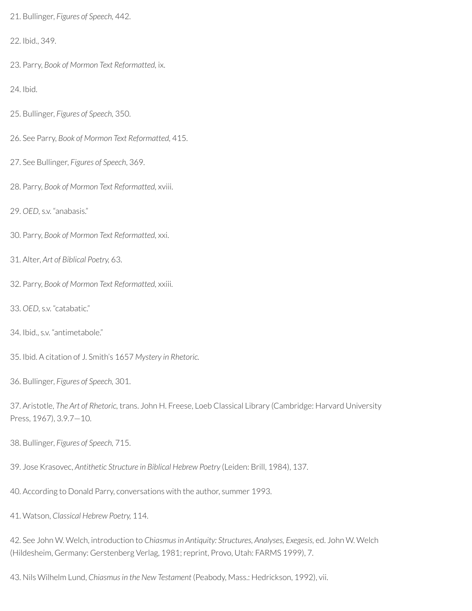21. Bullinger, *Figures of Speech,* 442.

22. Ibid., 349.

23. Parry, *Book of Mormon Text Reformatted,* ix.

24. Ibid.

- 25. Bullinger, *Figures of Speech,* 350.
- 26. See Parry, *Book of Mormon Text Reformatted,* 415.
- 27. See Bullinger, *Figures of Speech*, 369.
- 28. Parry, *Book of Mormon Text Reformatted,* xviii.
- 29. *OED,* s.v. "anabasis."
- 30. Parry, *Book of Mormon Text Reformatted,* xxi.
- 31. Alter, *Art of Biblical Poetry,* 63.
- 32. Parry, *Book of Mormon Text Reformatted,* xxiii.
- 33. *OED,* s.v. "catabatic."
- 34. Ibid., s.v. "antimetabole."
- 35. Ibid. A citation of J. Smith's 1657 *Mystery in Rhetoric.*

36. Bullinger, *Figures of Speech,* 301.

37. Aristotle, *The Art of Rhetoric,* trans. John H. Freese, Loeb Classical Library (Cambridge: Harvard University Press, 1967), 3.9.7—10.

- 38. Bullinger, *Figures of Speech,* 715.
- 39. Jose Krasovec, *Antithetic Structure in Biblical Hebrew Poetry* (Leiden: Brill, 1984), 137.
- 40. According to Donald Parry, conversations with the author, summer 1993.
- 41. Watson, *Classical Hebrew Poetry,* 114.

42. See John W. Welch, introduction to *Chiasmusin Antiquity: Structures, Analyses, Exegesis,* ed. John W. Welch (Hildesheim, Germany: Gerstenberg Verlag, 1981; reprint, Provo, Utah: FARMS 1999), 7.

43. Nils Wilhelm Lund, *Chiasmusin the New Testament* (Peabody, Mass.: Hedrickson, 1992), vii.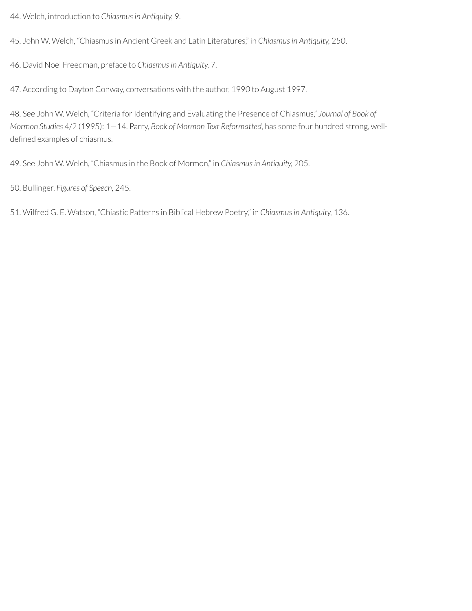44. Welch, introduction to *Chiasmusin Antiquity,* 9.

45. John W. Welch, "Chiasmus in Ancient Greek and Latin Literatures," in *Chiasmus in Antiquity,* 250.

46. David Noel Freedman, preface to *Chiasmusin Antiquity,* 7.

47. According to Dayton Conway, conversations with the author, 1990 to August 1997.

48. See John W. Welch, "Criteria for Identifying and Evaluating the Presence of Chiasmus," Journal of Book of *Mormon Studies* 4/2 (1995): 1—14. Parry, *Book of Mormon Text Reformatted,* has some four hundred strong, welldefined examples of chiasmus.

49. See John W. Welch, "Chiasmus in the Book of Mormon," in *Chiasmusin Antiquity,* 205.

50. Bullinger, *Figures of Speech,* 245.

51. Wilfred G. E. Watson, "Chiastic Patterns in Biblical Hebrew Poetry," in *Chiasmusin Antiquity,* 136.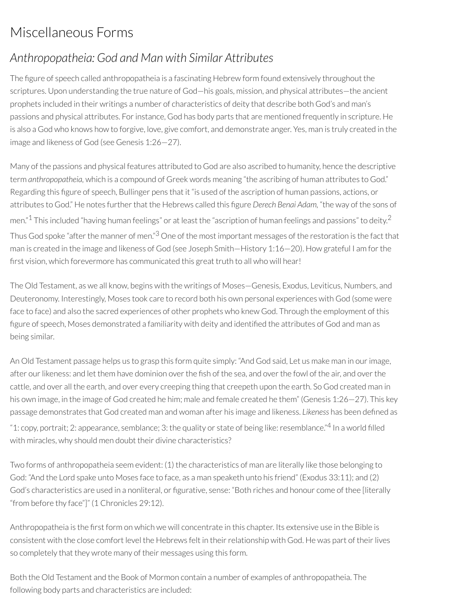# Miscellaneous Forms

# *Anthropopatheia: God and Man with Similar Attributes*

The figure of speech called anthropopatheia is a fascinating Hebrew form found extensively throughout the scriptures. Upon understanding the true nature of God—his goals, mission, and physical attributes—the ancient prophets included in their writings a number of characteristics of deity that describe both God's and man's passions and physical attributes. For instance, God has body parts that are mentioned frequently in scripture. He is also a God who knows how to forgive, love, give comfort, and demonstrate anger. Yes, man is truly created in the image and likeness of God (see Genesis 1:26—27).

Many of the passions and physical features attributed to God are also ascribed to humanity, hence the descriptive term *anthropopatheia,* which is a compound of Greek words meaning "the ascribing of human attributes to God." Regarding this figure of speech, Bullinger pens that it "is used of the ascription of human passions, actions, or attributes to God." He notes further that the Hebrews called this figure *Derech Benai Adam*, "the way of the sons of men." $^1$  This included "having human feelings" or at least the "ascription of human feelings and passions" to deity. $^2$ Thus God spoke "after the manner of men."<sup>3</sup> One of the most important messages of the restoration is the fact that man is created in the image and likeness of God (see Joseph Smith–History 1:16–20). How grateful I am for the first vision, which forevermore has communicated this great truth to all who will hear!

The Old Testament, as we all know, begins with the writings of Moses—Genesis, Exodus, Leviticus, Numbers, and Deuteronomy. Interestingly, Moses took care to record both his own personal experiences with God (some were face to face) and also the sacred experiences of other prophets who knew God. Through the employment of this figure of speech, Moses demonstrated a familiarity with deity and identified the attributes of God and man as being similar.

An Old Testament passage helps us to grasp this form quite simply: "And God said, Let us make man in ourimage, after our likeness: and let them have dominion over the fish of the sea, and over the fowl of the air, and over the cattle, and over all the earth, and over every creeping thing that creepeth upon the earth. So God created man in his own image, in the image of God created he him; male and female created he them" (Genesis 1:26—27). This key passage demonstrates that God created man and woman after his image and likeness. Likeness has been defined as

"1: copy, portrait; 2: appearance, semblance; 3: the quality or state of being like: resemblance." $^4$  In a world filled with miracles, why should men doubt their divine characteristics?

Two forms of anthropopatheia seem evident: (1) the characteristics of man are literally like those belonging to God: "And the Lord spake unto Moses face to face, as a man speaketh unto his friend" (Exodus 33:11); and (2) God's characteristics are used in a nonliteral, or figurative, sense: "Both riches and honour come of thee [literally "from before thy face"]" (1 Chronicles 29:12).

Anthropopatheia is the first form on which we will concentrate in this chapter. Its extensive use in the Bible is consistent with the close comfort level the Hebrews felt in their relationship with God. He was part of their lives so completely that they wrote many of their messages using this form.

Both the Old Testament and the Book of Mormon contain a number of examples of anthropopatheia. The following body parts and characteristics are included: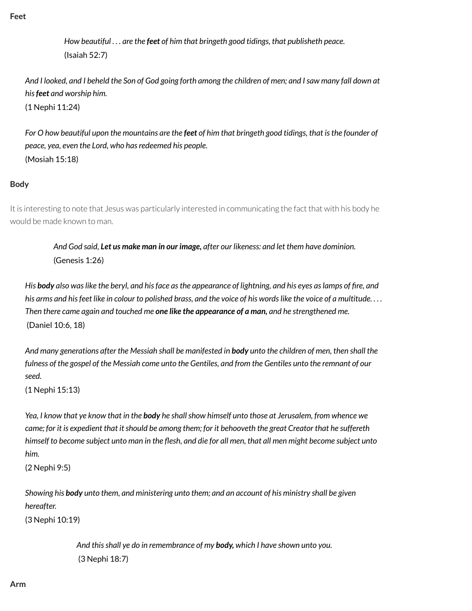*How beautiful . . . are the feet of him that bringeth good tidings, that publisheth peace.* (Isaiah 52:7)

And I looked, and I beheld the Son of God going forth among the children of men; and I saw many fall down at *hisfeet and worship him.* (1 Nephi 11:24)

For O how beautiful upon the mountains are the feet of him that bringeth good tidings, that is the founder of *peace, yea, even the Lord, who hasredeemed his people.* (Mosiah 15:18)

## **Body**

It is interesting to note that Jesus was particularly interested in communicating the fact that with his body he would be made known to man.

> *And God said, Let us make man in our image, after our likeness: and let them have dominion.* (Genesis 1:26)

His body also was like the beryl, and his face as the appearance of lightning, and his eyes as lamps of fire, and his arms and his feet like in colour to polished brass, and the voice of his words like the voice of a multitude.... *Then there came again and touched me one like the appearance of a man, and he strengthened me.* (Daniel 10:6, 18)

And many generations after the Messiah shall be manifested in **body** unto the children of men, then shall the fulness of the gospel of the Messiah come unto the Gentiles, and from the Gentiles unto the remnant of our *seed.*

(1 Nephi 15:13)

Yea, I know that ye know that in the body he shall show himself unto those at Jerusalem, from whence we came; for it is expedient that it should be among them; for it behooveth the great Creator that he suffereth himself to become subject unto man in the flesh, and die for all men, that all men might become subject unto *him.*

(2 Nephi 9:5)

Showing his body unto them, and ministering unto them; and an account of his ministry shall be given *hereafter.*

(3 Nephi 10:19)

*And thisshall ye do in remembrance of my body, which I have shown unto you*. (3 Nephi 18:7)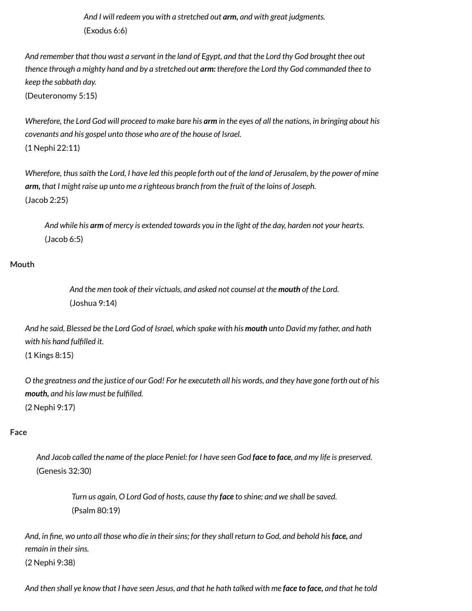*And I will redeem you with a stretched out arm, and with great judgments.* (Exodus 6:6)

And remember that thou wast a servant in the land of Egypt, and that the Lord thy God brought thee out thence through a mighty hand and by a stretched out arm: therefore the Lord thy God commanded thee to *keep the sabbath day.*

(Deuteronomy 5:15)

Wherefore, the Lord God will proceed to make bare his arm in the eyes of all the nations, in bringing about his *covenants and his gospel unto those who are of the house of Israel.* (1 Nephi 22:11)

Wherefore, thus saith the Lord, I have led this people forth out of the land of Jerusalem, by the power of mine arm, that I might raise up unto me a righteous branch from the fruit of the loins of Joseph. (Jacob 2:25)

And while his arm of mercy is extended towards you in the light of the day, harden not your hearts. (Jacob 6:5)

## **Mouth**

*And the men took of their victuals, and asked not counsel at the mouth of the Lord.* (Joshua 9:14)

And he said, Blessed be the Lord God of Israel, which spake with his mouth unto David my father, and hath *with his hand fullled it.* (1 Kings 8:15)

O the greatness and the justice of our God! For he executeth all his words, and they have gone forth out of his *mouth, and hislaw must be fullled.* (2 Nephi 9:17)

#### **Face**

And Jacob called the name of the place Peniel: for I have seen God face to face, and my life is preserved. (Genesis 32:30)

> *Turn us again, O Lord God of hosts, cause thy face to shine; and we shall be saved.* (Psalm 80:19)

And, in fine, wo unto all those who die in their sins; for they shall return to God, and behold his face, and *remain in their sins.* (2 Nephi 9:38)

And then shall ye know that I have seen Jesus, and that he hath talked with me face to face, and that he told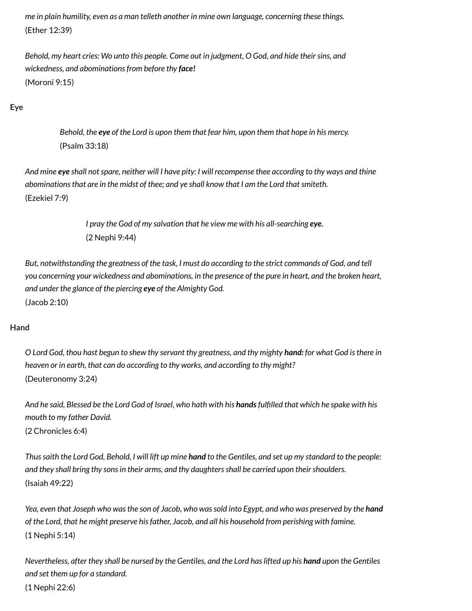*me in plain humility, even as a man telleth another in mine own language, concerning these things.* (Ether 12:39)

*Behold, my heart cries: Wo unto this people. Come out in judgment, O God, and hide theirsins, and wickedness, and abominationsfrom before thy face!* (Moroni 9:15)

#### **Eye**

*Behold, the eye of the Lord is upon them that fear him, upon them that hope in his mercy.* (Psalm 33:18)

And mine eye shall not spare, neither will I have pity: I will recompense thee according to thy ways and thine *abominationsthat are in the midst of thee; and ye shall know that I am the Lord thatsmiteth.* (Ezekiel 7:9)

> *I pray the God of my salvation that he view me with his all-searching eye.* (2 Nephi 9:44)

But, notwithstanding the greatness of the task. I must do according to the strict commands of God, and tell you concerning your wickedness and abominations, in the presence of the pure in heart, and the broken heart, *and under the glance of the piercing eye of the Almighty God.* (Jacob 2:10)

#### **Hand**

O Lord God, thou hast begun to shew thy servant thy greatness, and thy mighty hand: for what God is there in *heaven or in earth, that can do according to thy works, and according to thy might?* (Deuteronomy 3:24)

And he said, Blessed be the Lord God of Israel, who hath with his hands fulfilled that which he spake with his *mouth to my father David.* (2 Chronicles 6:4)

Thus saith the Lord God, Behold, I will lift up mine hand to the Gentiles, and set up my standard to the people: *and they shall bring thy sonsin their arms, and thy daughtersshall be carried upon theirshoulders.* (Isaiah 49:22)

Yea, even that Joseph who was the son of Jacob, who was sold into Egypt, and who was preserved by the hand *of the Lord, that he might preserve hisfather, Jacob, and all his household from perishing with famine.* (1 Nephi 5:14)

Nevertheless, after they shall be nursed by the Gentiles, and the Lord has lifted up his hand upon the Gentiles *and set them up for a standard.*

#### (1 Nephi 22:6)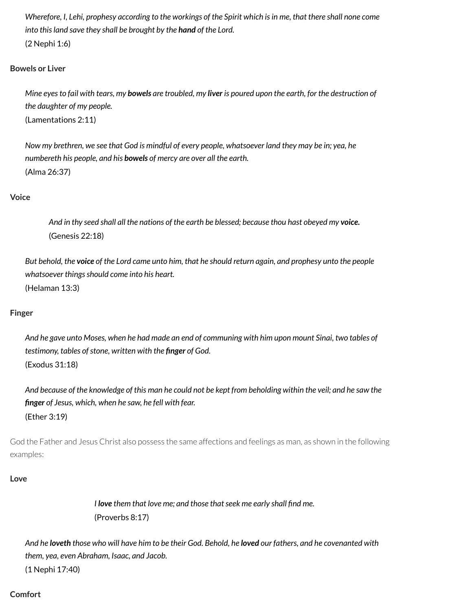Wherefore, I, Lehi, prophesy according to the workings of the Spirit which is in me, that there shall none come *into thisland save they shall be brought by the hand of the Lord.*

(2 Nephi 1:6)

#### **Bowels or Liver**

Mine eyes to fail with tears, my bowels are troubled, my liver is poured upon the earth, for the destruction of *the daughter of my people.*

(Lamentations 2:11)

Now my brethren, we see that God is mindful of every people, whatsoever land they may be in; yea, he *numbereth his people, and his bowels of mercy are over all the earth.* (Alma 26:37)

#### **Voice**

And in thy seed shall all the nations of the earth be blessed; because thou hast obeyed my voice. (Genesis 22:18)

But behold, the voice of the Lord came unto him, that he should return again, and prophesy unto the people *whatsoever things should come into his heart.* (Helaman 13:3)

#### **Finger**

And he gave unto Moses, when he had made an end of communing with him upon mount Sinai, two tables of *testimony, tables of stone, written with the finger of God.* (Exodus 31:18)

And because of the knowledge of this man he could not be kept from beholding within the veil; and he saw the *nger of Jesus, which, when he saw, he fell with fear.* (Ether 3:19)

God the Father and Jesus Christ also possess the same affections and feelings as man, as shown in the following examples:

#### **Love**

*I* love them that love me; and those that seek me early shall find me. (Proverbs 8:17)

And he loveth those who will have him to be their God. Behold, he loved our fathers, and he covenanted with *them, yea, even Abraham, Isaac, and Jacob.* (1 Nephi 17:40)

#### **Comfort**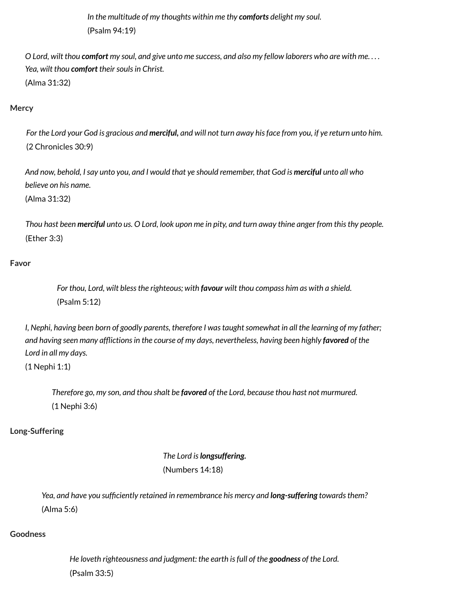*In the multitude of my thoughts within me thy comforts delight my soul.* (Psalm 94:19)

O Lord, wilt thou comfort my soul, and give unto me success, and also my fellow laborers who are with me.... *Yea, wilt thou comfort their souls in Christ.* (Alma 31:32)

#### **Mercy**

For the Lord your God is gracious and merciful, and will not turn away his face from you, if ye return unto him. (2 Chronicles 30:9)

And now, behold, I say unto you, and I would that ye should remember, that God is merciful unto all who *believe on his name.*

(Alma 31:32)

Thou hast been merciful unto us. O Lord, look upon me in pity, and turn away thine anger from this thy people. (Ether 3:3)

#### **Favor**

*For thou, Lord, wilt blessthe righteous; with favour wilt thou compass him as with a shield.* (Psalm 5:12)

I, Nephi, having been born of goodly parents, therefore I was taught somewhat in all the learning of my father; *and having seen many afictionsin the course of my days, nevertheless, having been highly favored of the Lord in all my days.*

(1 Nephi 1:1)

*Therefore go, my son, and thou shalt be favored of the Lord, because thou hast not murmured.* (1 Nephi 3:6)

#### **Long-Suffering**

## *The Lord islongsuffering.* (Numbers 14:18)

*Yea, and have you sufficiently retained in <i>remembrance his mercy and long-suffering towards them?* (Alma 5:6)

#### **Goodness**

*He loveth righteousness and judgment: the earth isfull of the goodness of the Lord.* (Psalm 33:5)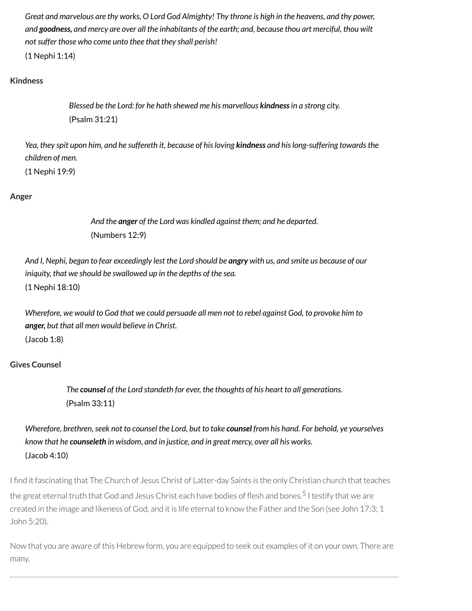Great and marvelous are thy works, O Lord God Almighty! Thy throne is high in the heavens, and thy power, and goodness, and mercy are over all the inhabitants of the earth; and, because thou art merciful, thou wilt *notsuffer those who come unto thee that they shall perish!*

(1 Nephi 1:14)

## **Kindness**

*Blessed be the Lord: for he hath shewed me his marvellous kindnessin a strong city.* (Psalm 31:21)

*Yea, they spit upon him, and he suffereth it, because of hisloving kindness and hislong-suffering towardsthe children of men.*

(1 Nephi 19:9)

## **Anger**

*And the anger of the Lord was kindled against them; and he departed.* (Numbers 12:9)

And I, Nephi, began to fear exceedingly lest the Lord should be angry with us, and smite us because of our *iniquity, that we should be swallowed up in the depths of the sea.* (1 Nephi 18:10)

Wherefore, we would to God that we could persuade all men not to rebel against God, to provoke him to *anger, but that all men would believe in Christ.*

(Jacob 1:8)

#### **Gives Counsel**

*The counsel of the Lord standeth for ever, the thoughts of his heart to all generations.* (Psalm 33:11)

Wherefore, brethren, seek not to counsel the Lord, but to take counsel from his hand. For behold, ye yourselves *know that he counseleth in wisdom, and in justice, and in great mercy, over all his works.* (Jacob 4:10)

I find it fascinating that The Church of Jesus Christ of Latter-day Saints is the only Christian church that teaches the great eternal truth that God and Jesus Christ each have bodies of flesh and bones.<sup>5</sup> I testify that we are created in the image and likeness of God, and it is life eternal to know the Father and the Son (see John 17:3; 1 John 5:20).

Now that you are aware of this Hebrew form, you are equipped to seek out examples of it on your own. There are many.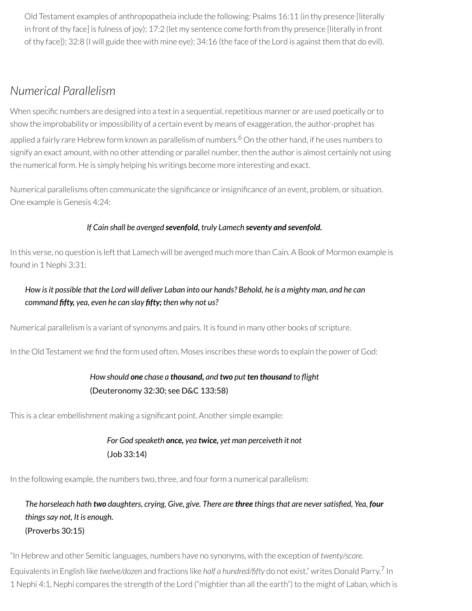Old Testament examples of anthropopatheia include the following: Psalms 16:11 (in thy presence [literally in front of thy face] is fulness of joy); 17:2 (let my sentence come forth from thy presence [literally in front of thy face]); 32:8 (I will guide thee with mine eye); 34:16 (the face of the Lord is against them that do evil).

# *Numerical Parallelism*

When specific numbers are designed into a text in a sequential, repetitious manner or are used poetically or to show the improbability or impossibility of a certain event by means of exaggeration, the author-prophet has applied a fairly rare Hebrew form known as parallelism of numbers. <sup>6</sup> On the other hand, if he uses numbers to signify an exact amount, with no other attending or parallel number, then the author is almost certainly not using the numerical form. He is simply helping his writings become more interesting and exact.

Numerical parallelisms often communicate the significance or insignificance of an event, problem, or situation. One example is Genesis 4:24:

## *If Cain shall be avenged sevenfold, truly Lamech seventy and sevenfold.*

In this verse, no question is left that Lamech will be avenged much more than Cain. A Book of Mormon example is found in 1 Nephi 3:31:

## How is it possible that the Lord will deliver Laban into our hands? Behold, he is a mighty man, and he can *command fty, yea, even he can slay fty; then why not us?*

Numerical parallelism is a variant of synonyms and pairs. It is found in many other books of scripture.

In the Old Testament we find the form used often. Moses inscribes these words to explain the power of God:

## *How should one chase a thousand, and two put ten thousand to ight* (Deuteronomy 32:30; see D&C 133:58)

This is a clear embellishment making a significant point. Another simple example:

## *For God speaketh once, yea twice, yet man perceiveth it not* (Job 33:14)

In the following example, the numbers two, three, and four form a numerical parallelism:

*The horseleach hath two daughters, crying, Give, give. There are three thingsthat are neversatised, Yea, four thingssay not, It is enough.* (Proverbs 30:15)

"In Hebrew and other Semitic languages, numbers have no synonyms, with the exception of *twenty/score.*

Equivalents in English like *twelve/dozen* and fractions like *half a hundred/fty* do not exist," writes Donald Parry. <sup>7</sup> In 1 Nephi 4:1, Nephi compares the strength of the Lord ("mightierthan all the earth") to the might of Laban, which is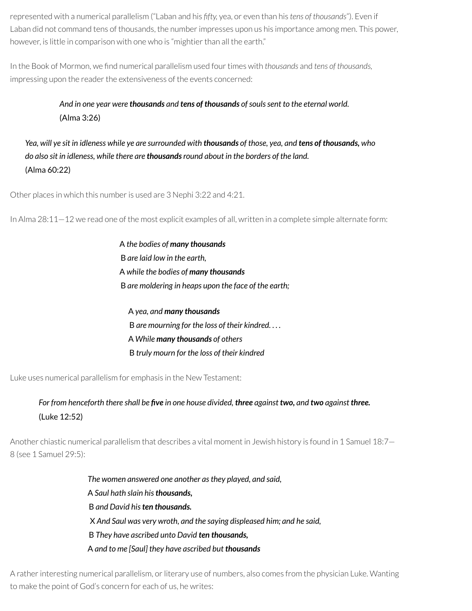represented with a numerical parallelism ("Laban and his *fty,* yea, or even than his *tens of thousands*"). Even if Laban did not command tens of thousands, the number impresses upon us his importance among men. This power, however, is little in comparison with one who is "mightier than all the earth."

In the Book of Mormon, we find numerical parallelism used four times with *thousands* and *tens* of *thousands*. impressing upon the reader the extensiveness of the events concerned:

## *And in one year were thousands and tens of thousands ofsoulssent to the eternal world.* (Alma 3:26)

## Yea, will ye sit in idleness while ye are surrounded with thousands of those, yea, and tens of thousands, who *do also sit in idleness, while there are thousandsround about in the borders of the land.* (Alma 60:22)

Other places in which this number is used are 3 Nephi 3:22 and 4:21.

In Alma 28:11—12 we read one of the most explicit examples of all, written in a complete simple alternate form:

A *the bodies of many thousands* B *are laid low in the earth,* A *while the bodies of many thousands* B *are moldering in heaps upon the face of the earth;*

A *yea, and many thousands* B *are mourning for the loss of their kindred. . . .* A *While many thousands of others* B *truly mourn for the loss of their kindred*

Luke uses numerical parallelism for emphasis in the New Testament:

## For from henceforth there shall be five in one house divided, three against two, and two against three. (Luke 12:52)

Another chiastic numerical parallelism that describes a vital moment in Jewish history is found in 1 Samuel 18:7— 8 (see 1 Samuel 29:5):

> *The women answered one another asthey played, and said,* A *Saul hath slain histhousands,* B *and David histen thousands.* X *And Saul was very wroth, and the saying displeased him; and he said,* B *They have ascribed unto David ten thousands,* A *and to me [Saul] they have ascribed but thousands*

A rather interesting numerical parallelism, or literary use of numbers, also comes from the physician Luke. Wanting to make the point of God's concern for each of us, he writes: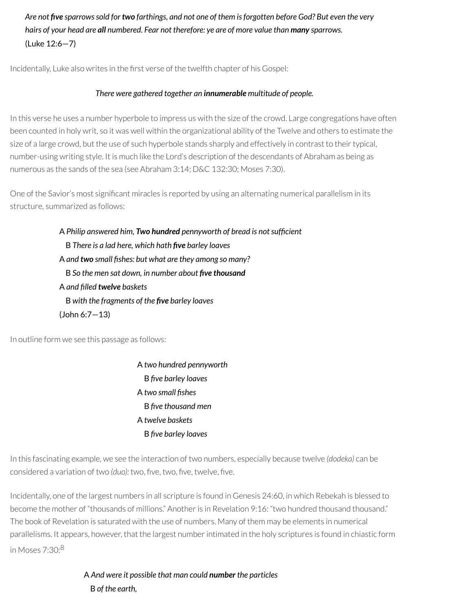## Are not five sparrows sold for two farthings, and not one of them is forgotten before God? But even the very *hairs of your head are all numbered. Fear not therefore: ye are of more value than many sparrows.* (Luke 12:6—7)

Incidentally, Luke also writes in the first verse of the twelfth chapter of his Gospel:

## *There were gathered together an innumerable multitude of people.*

In this verse he uses a number hyperbole to impress us with the size of the crowd. Large congregations have often been counted in holy writ, so it was well within the organizational ability of the Twelve and others to estimate the size of a large crowd, but the use of such hyperbole stands sharply and effectively in contrast to their typical, number-using writing style. It is much like the Lord's description of the descendants of Abraham as being as numerous as the sands of the sea (see Abraham 3:14; D&C 132:30; Moses 7:30).

One of the Savior's most significant miracles is reported by using an alternating numerical parallelism in its structure, summarized as follows:

> A *Philip answered him, Two hundred pennyworth of bread is notsufcient* B *There is a lad here, which hath ve barley loaves* A *and two small shes: but what are they among so many?* B *So the men sat down, in number about ve thousand* A *and lled twelve baskets* B *with the fragments of the ve barley loaves* (John 6:7—13)

In outline form we see this passage as follows:

A *two hundred pennyworth* **B** five barley loaves A *two small fishes* **B** five thousand men A *twelve baskets* **B** five barley loaves

In this fascinating example, we see the interaction of two numbers, especially because twelve *(dodeka)* can be considered a variation of two *(duo)*: two, five, two, five, twelve, five.

Incidentally, one of the largest numbers in all scripture is found in Genesis 24:60, in which Rebekah is blessed to become the mother of "thousands of millions." Another is in Revelation 9:16: "two hundred thousand thousand." The book of Revelation is saturated with the use of numbers. Many of them may be elements in numerical parallelisms. It appears, however, that the largest number intimated in the holy scriptures is found in chiastic form in Moses 7:30: 8

> A *And were it possible that man could number the particles* B *of the earth,*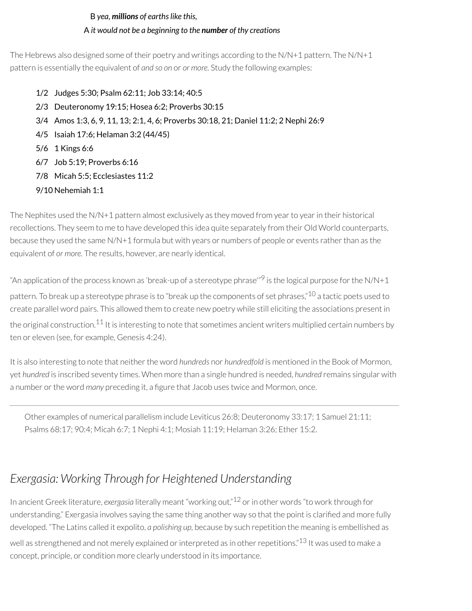## B *yea, millions of earthslike this,* A *it would not be a beginning to the number of thy creations*

The Hebrews also designed some of their poetry and writings according to the N/N+1 pattern. The N/N+1 pattern is essentially the equivalent of *and so on* or *or more.* Study the following examples:

1/2 Judges 5:30; Psalm 62:11; Job 33:14; 40:5 2/3 Deuteronomy 19:15; Hosea 6:2; Proverbs 30:15 3/4 Amos 1:3, 6, 9, 11, 13; 2:1, 4, 6; Proverbs 30:18, 21; Daniel 11:2; 2 Nephi 26:9 4/5 Isaiah 17:6; Helaman 3:2 (44/45) 5/6 1 Kings 6:6 6/7 Job 5:19; Proverbs 6:16 7/8 Micah 5:5; Ecclesiastes 11:2 9/10 Nehemiah 1:1

The Nephites used the N/N+1 pattern almost exclusively as they moved from year to year in their historical recollections. They seem to me to have developed this idea quite separately from their Old World counterparts, because they used the same N/N+1 formula but with years or numbers of people or events rather than as the equivalent of *or more.* The results, however, are nearly identical.

"An application of the process known as 'break-up of a stereotype phrase'"<sup>9</sup> is the logical purpose for the N/N+1 pattern. To break up a stereotype phrase is to "break up the components of set phrases,"<sup>10</sup> a tactic poets used to create parallel word pairs. This allowed them to create new poetry while still eliciting the associations present in the original construction.<sup>11</sup> It is interesting to note that sometimes ancient writers multiplied certain numbers by ten or eleven (see, for example, Genesis 4:24).

It is also interesting to note that neither the word *hundreds* nor *hundredfold* is mentioned in the Book of Mormon, yet *hundred* is inscribed seventy times. When more than a single hundred is needed, *hundred* remains singular with a number or the word *many* preceding it, a figure that Jacob uses twice and Mormon, once.

Other examples of numerical parallelism include Leviticus 26:8; Deuteronomy 33:17; 1 Samuel 21:11; Psalms 68:17; 90:4; Micah 6:7; 1 Nephi 4:1; Mosiah 11:19; Helaman 3:26; Ether 15:2.

# *Exergasia: Working Through for Heightened Understanding*

In ancient Greek literature, *exergasia* literally meant "working out,"<sup>12</sup> or in other words "to work through for understanding." Exergasia involves saying the same thing another way so that the point is clarified and more fully developed. "The Latins called it expolito, *a polishing up,* because by such repetition the meaning is embellished as well as strengthened and not merely explained or interpreted as in other repetitions."<sup>13</sup> It was used to make a concept, principle, or condition more clearly understood in its importance.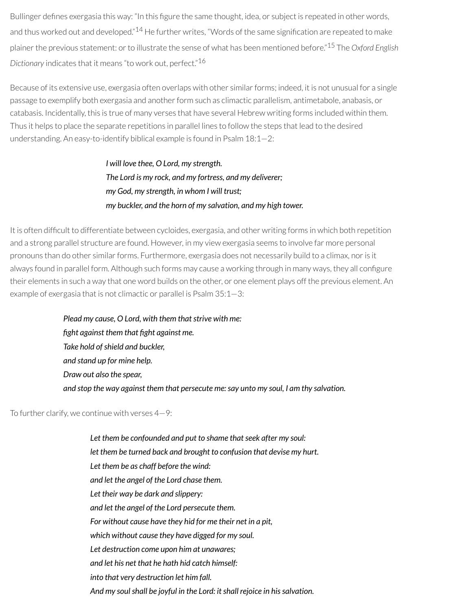Bullinger defines exergasia this way: "In this figure the same thought, idea, or subject is repeated in other words, and thus worked out and developed."<sup>14</sup> He further writes, "Words of the same signification are repeated to make plainer the previous statement: or to illustrate the sense of what has been mentioned before."<sup>15</sup> The *Oxford English Dictionary* indicates that it means "to work out, perfect." 16

Because of its extensive use, exergasia often overlaps with other similar forms; indeed, it is not unusual for a single passage to exemplify both exergasia and another form such as climactic parallelism, antimetabole, anabasis, or catabasis. Incidentally, this is true of many verses that have several Hebrew writing forms included within them. Thus it helps to place the separate repetitions in parallel lines to follow the steps that lead to the desired understanding. An easy-to-identify biblical example is found in Psalm 18:1—2:

> *I will love thee, O Lord, my strength. The Lord is my rock, and my fortress, and my deliverer; my God, my strength, in whom I will trust; my buckler, and the horn of my salvation, and my high tower.*

It is often difcult to differentiate between cycloides, exergasia, and other writing forms in which both repetition and a strong parallel structure are found. However, in my view exergasia seems to involve far more personal pronouns than do other similar forms. Furthermore, exergasia does not necessarily build to a climax, nor is it always found in parallel form. Although such forms may cause a working through in many ways, they all configure their elements in such a way that one word builds on the other, or one element plays off the previous element. An example of exergasia that is not climactic or parallel is Psalm 35:1—3:

> *Plead my cause, O Lord, with them thatstrive with me: ght against them that ght against me. Take hold ofshield and buckler, and stand up for mine help. Draw out also the spear, and stop the way against them that persecute me:say unto my soul, I am thy salvation.*

To further clarify, we continue with verses 4—9:

*Let them be confounded and put to shame thatseek after my soul: let them be turned back and brought to confusion that devise my hurt. Let them be as chaff before the wind: and let the angel of the Lord chase them. Let their way be dark and slippery: and let the angel of the Lord persecute them. For without cause have they hid for me their net in a pit, which without cause they have digged for my soul. Let destruction come upon him at unawares; and let his net that he hath hid catch himself: into that very destruction let him fall. And my soulshall be joyful in the Lord: itshall rejoice in hissalvation.*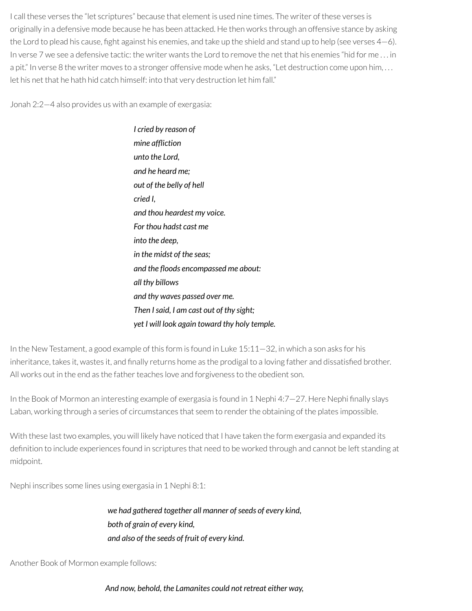I call these verses the "let scriptures" because that element is used nine times. The writer of these verses is originally in a defensive mode because he has been attacked. He then works through an offensive stance by asking the Lord to plead his cause, fight against his enemies, and take up the shield and stand up to help (see verses  $4-6$ ). In verse 7 we see a defensive tactic: the writer wants the Lord to remove the net that his enemies "hid for me . . . in a pit." In verse 8 the writer moves to a stronger offensive mode when he asks, "Let destruction come upon him, . . . let his net that he hath hid catch himself: into that very destruction let him fall."

Jonah 2:2—4 also provides us with an example of exergasia:

*I cried by reason of mine afiction unto the Lord, and he heard me; out of the belly of hell cried I, and thou heardest my voice. For thou hadst cast me into the deep, in the midst of the seas; and the oods encompassed me about: all thy billows and thy waves passed over me. Then Isaid, I am cast out of thy sight; yet I will look again toward thy holy temple.*

In the New Testament, a good example of this form is found in Luke 15:11—32, in which a son asks for his inheritance, takes it, wastes it, and finally returns home as the prodigal to a loving father and dissatisfied brother. All works out in the end as the father teaches love and forgiveness to the obedient son.

In the Book of Mormon an interesting example of exergasia is found in 1 Nephi 4:7 $-27$ . Here Nephi finally slays Laban, working through a series of circumstances that seem to render the obtaining of the plates impossible.

With these last two examples, you will likely have noticed that I have taken the form exergasia and expanded its definition to include experiences found in scriptures that need to be worked through and cannot be left standing at midpoint.

Nephi inscribes some lines using exergasia in 1 Nephi 8:1:

*we had gathered together all manner ofseeds of every kind, both of grain of every kind, and also of the seeds of fruit of every kind.*

Another Book of Mormon example follows:

*And now, behold, the Lamanites could not retreat either way,*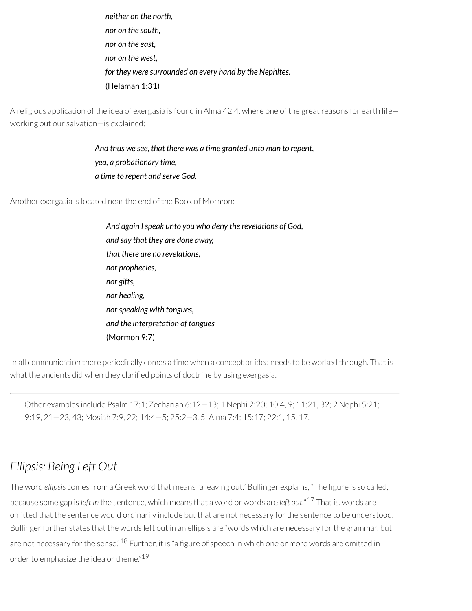*neither on the north, nor on the south, nor on the east, nor on the west, for they were surrounded on every hand by the Nephites.* (Helaman 1:31)

A religious application of the idea of exergasia is found in Alma 42:4, where one of the great reasons for earth life working out our salvation—is explained:

> *And thus we see, that there was a time granted unto man to repent, yea, a probationary time, a time to repent and serve God.*

Another exergasia is located near the end of the Book of Mormon:

*And again Ispeak unto you who deny the revelations of God, and say that they are done away, that there are no revelations, nor prophecies, nor gifts, nor healing, norspeaking with tongues, and the interpretation of tongues* (Mormon 9:7)

In all communication there periodically comes a time when a concept or idea needs to be worked through. That is what the ancients did when they clarified points of doctrine by using exergasia.

Other examples include Psalm 17:1; Zechariah 6:12—13; 1 Nephi 2:20; 10:4, 9; 11:21, 32; 2 Nephi 5:21; 9:19, 21—23, 43; Mosiah 7:9, 22; 14:4—5; 25:2—3, 5; Alma 7:4; 15:17; 22:1, 15, 17.

# *Ellipsis: Being Left Out*

The word *ellipsis* comes from a Greek word that means "a leaving out." Bullinger explains, "The figure is so called, because some gap is *left in* the sentence, which means that a word or words are *left out.*" <sup>17</sup> That is, words are omitted that the sentence would ordinarily include but that are not necessary forthe sentence to be understood. Bullinger further states that the words left out in an ellipsis are "words which are necessary for the grammar, but are not necessary for the sense."<sup>18</sup> Further, it is "a figure of speech in which one or more words are omitted in order to emphasize the idea or theme." <sup>19</sup>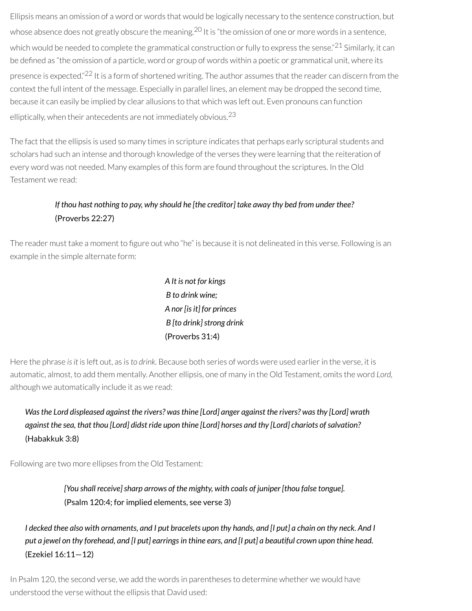Ellipsis means an omission of a word or words that would be logically necessary to the sentence construction, but whose absence does not greatly obscure the meaning.<sup>20</sup> It is "the omission of one or more words in a sentence, which would be needed to complete the grammatical construction or fully to express the sense."<sup>21</sup> Similarly, it can be defined as "the omission of a particle, word or group of words within a poetic or grammatical unit, where its presence is expected."<sup>22</sup> It is a form of shortened writing. The author assumes that the reader can discern from the context the full intent of the message. Especially in parallel lines, an element may be dropped the second time, because it can easily be implied by clear allusions to that which was left out. Even pronouns can function elliptically, when their antecedents are not immediately obvious.<sup>23</sup>

The fact that the ellipsis is used so many times in scripture indicates that perhaps early scriptural students and scholars had such an intense and thorough knowledge of the verses they were learning that the reiteration of every word was not needed. Many examples of this form are found throughout the scriptures. In the Old Testament we read:

## *If thou hast nothing to pay, why should he [the creditor] take away thy bed from under thee?* (Proverbs 22:27)

The reader must take a moment to figure out who "he" is because it is not delineated in this verse. Following is an example in the simple alternate form:

> *A It is not for kings B to drink wine; A nor [isit] for princes B [to drink]strong drink* (Proverbs 31:4)

Here the phrase *isit* is left out, as is *to drink.* Because both series of words were used earlierin the verse, it is automatic, almost, to add them mentally. Another ellipsis, one of many in the Old Testament, omits the word *Lord,* although we automatically include it as we read:

*Wasthe Lord displeased against the rivers? wasthine [Lord] anger against the rivers? wasthy [Lord] wrath* against the sea, that thou [Lord] didst ride upon thine [Lord] horses and thy [Lord] chariots of salvation? (Habakkuk 3:8)

Following are two more ellipses from the Old Testament:

*[You shall receive]sharp arrows of the mighty, with coals of juniper [thou false tongue].* (Psalm 120:4; for implied elements, see verse 3)

I decked thee also with ornaments, and I put bracelets upon thy hands, and [I put] a chain on thy neck. And I put a jewel on thy forehead, and [I put] earrings in thine ears, and [I put] a beautiful crown upon thine head. (Ezekiel 16:11—12)

In Psalm 120, the second verse, we add the words in parentheses to determine whether we would have understood the verse without the ellipsis that David used: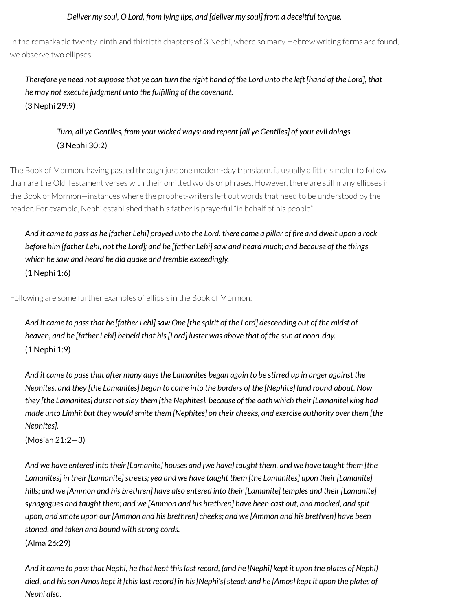## *Deliver my soul, O Lord, from lying lips, and [deliver my soul] from a deceitful tongue.*

In the remarkable twenty-ninth and thirtieth chapters of 3 Nephi, where so many Hebrew writing forms are found, we observe two ellipses:

Therefore ye need not suppose that ye can turn the right hand of the Lord unto the left [hand of the Lord], that *he may not execute judgment unto the fullling of the covenant.* (3 Nephi 29:9)

## *Turn, all ye Gentiles, from your wicked ways; and repent [all ye Gentiles] of your evil doings.* (3 Nephi 30:2)

The Book of Mormon, having passed through just one modern-day translator, is usually a little simplerto follow than are the Old Testament verses with their omitted words or phrases. However, there are still many ellipses in the Book of Mormon—instances where the prophet-writers left out words that need to be understood by the reader. For example, Nephi established that his father is prayerful "in behalf of his people":

And it came to pass as he [father Lehi] prayed unto the Lord, there came a pillar of fire and dwelt upon a rock before him [father Lehi, not the Lord]; and he [father Lehi] saw and heard much; and because of the things *which he saw and heard he did quake and tremble exceedingly.* (1 Nephi 1:6)

Following are some further examples of ellipsis in the Book of Mormon:

And it came to pass that he [father Lehi] saw One [the spirit of the Lord] descending out of the midst of *heaven, and he [father Lehi] beheld that his[Lord] luster was above that of the sun at noon-day.* (1 Nephi 1:9)

And it came to pass that after many days the Lamanites began again to be stirred up in anger against the Nephites, and they [the Lamanites] began to come into the borders of the [Nephite] land round about. Now they [the Lamanites] durst not slay them [the Nephites], because of the oath which their [Lamanite] king had made unto Limhi; but they would smite them [Nephites] on their cheeks, and exercise authority over them [the *Nephites].*

(Mosiah 21:2—3)

And we have entered into their [Lamanite] houses and [we have] taught them, and we have taught them [the *Lamanites] in their [Lamanite]streets; yea and we have taught them [the Lamanites] upon their [Lamanite]* hills; and we [Ammon and his brethren] have also entered into their [Lamanite] temples and their [Lamanite] synagogues and taught them; and we [Ammon and his brethren] have been cast out, and mocked, and spit upon, and smote upon our [Ammon and his brethren] cheeks; and we [Ammon and his brethren] have been *stoned, and taken and bound with strong cords.* (Alma 26:29)

And it came to pass that Nephi, he that kept this last record, (and he [Nephi] kept it upon the plates of Nephi) died, and his son Amos kept it [this last record] in his [Nephi's] stead; and he [Amos] kept it upon the plates of *Nephi also.*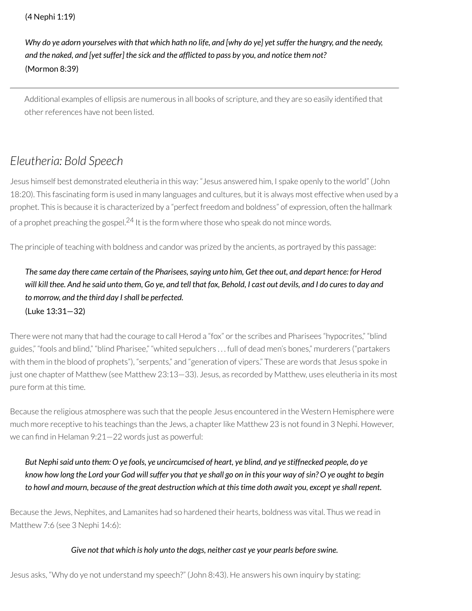```
(4 Nephi 1:19)
```
Why do ye adorn yourselves with that which hath no life, and [why do ye] yet suffer the hungry, and the needy, *and the naked, and [yetsuffer] the sick and the aficted to pass by you, and notice them not?* (Mormon 8:39)

Additional examples of ellipsis are numerous in all books of scripture, and they are so easily identified that other references have not been listed.

# *Eleutheria: Bold Speech*

Jesus himself best demonstrated eleutheria in this way: "Jesus answered him, I spake openly to the world" (John 18:20). This fascinating form is used in many languages and cultures, but it is always most effective when used by a prophet. This is because it is characterized by a "perfect freedom and boldness" of expression, often the hallmark of a prophet preaching the gospel.<sup>24</sup> It is the form where those who speak do not mince words.

The principle of teaching with boldness and candor was prized by the ancients, as portrayed by this passage:

## The same day there came certain of the Pharisees, saying unto him, Get thee out, and depart hence: for Herod will kill thee. And he said unto them, Go ye, and tell that fox, Behold, I cast out devils, and I do cures to day and *to morrow, and the third day Ishall be perfected.*

(Luke 13:31—32)

There were not many that had the courage to call Herod a "fox" or the scribes and Pharisees "hypocrites," "blind guides," "fools and blind," "blind Pharisee," "whited sepulchers . . . full of dead men's bones," murderers ("partakers with them in the blood of prophets"), "serpents," and "generation of vipers." These are words that Jesus spoke in just one chapter of Matthew (see Matthew 23:13—33). Jesus, as recorded by Matthew, uses eleutheria in its most pure form at this time.

Because the religious atmosphere was such that the people Jesus encountered in the Western Hemisphere were much more receptive to his teachings than the Jews, a chapter like Matthew 23 is not found in 3 Nephi. However, we can find in Helaman  $9:21-22$  words just as powerful:

## But Nephi said unto them: O ye fools, ye uncircumcised of heart, ye blind, and ye stiffnecked people, do ye know how long the Lord your God will suffer you that ye shall go on in this your way of sin? O ye ought to begin to howl and mourn, because of the great destruction which at this time doth await you, except ye shall repent.

Because the Jews, Nephites, and Lamanites had so hardened their hearts, boldness was vital. Thus we read in Matthew 7:6 (see 3 Nephi 14:6):

#### *Give not that which is holy unto the dogs, neither cast ye your pearls before swine.*

Jesus asks, "Why do ye not understand my speech?" (John 8:43). He answers his own inquiry by stating: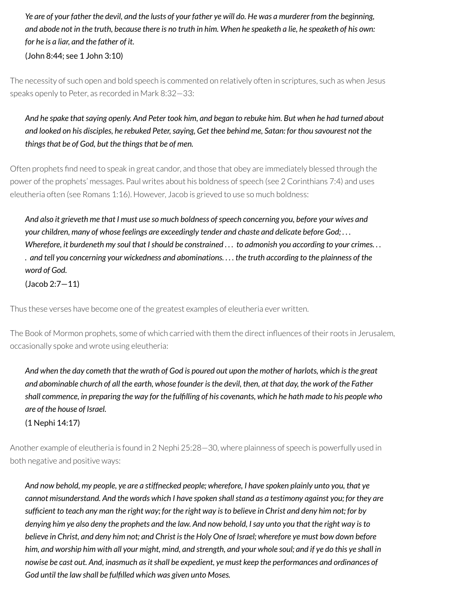## Ye are of your father the devil, and the lusts of your father ye will do. He was a murderer from the beginning, and abode not in the truth, because there is no truth in him. When he speaketh a lie, he speaketh of his own: *for he is a liar, and the father of it.* (John 8:44; see 1 John 3:10)

The necessity of such open and bold speech is commented on relatively often in scriptures, such as when Jesus speaks openly to Peter, as recorded in Mark 8:32—33:

And he spake that saying openly. And Peter took him, and began to rebuke him. But when he had turned about and looked on his disciples, he rebuked Peter, saving, Get thee behind me. Satan: for thou savourest not the *thingsthat be of God, but the thingsthat be of men.*

Often prophets find need to speak in great candor, and those that obey are immediately blessed through the power of the prophets' messages. Paul writes about his boldness of speech (see 2 Corinthians 7:4) and uses eleutheria often (see Romans 1:16). However, Jacob is grieved to use so much boldness:

And also it grieveth me that I must use so much boldness of speech concerning you, before your wives and your children, many of whose feelings are exceedingly tender and chaste and delicate before God;... Wherefore, it burdeneth my soul that I should be constrained ... to admonish you according to your crimes... . and tell you concerning your wickedness and abominations.... the truth according to the plainness of the *word of God.*

(Jacob 2:7—11)

Thus these verses have become one of the greatest examples of eleutheria ever written.

The Book of Mormon prophets, some of which carried with them the direct influences of their roots in Jerusalem, occasionally spoke and wrote using eleutheria:

And when the day cometh that the wrath of God is poured out upon the mother of harlots, which is the great and abominable church of all the earth, whose founder is the devil, then, at that day, the work of the Father shall commence, in preparing the way for the fulfilling of his covenants, which he hath made to his people who *are of the house of Israel.*

(1 Nephi 14:17)

Another example of eleutheria is found in 2 Nephi 25:28—30, where plainness of speech is powerfully used in both negative and positive ways:

And now behold, my people, ye are a stiffnecked people; wherefore, I have spoken plainly unto you, that ye cannot misunderstand. And the words which I have spoken shall stand as a testimony against you; for they are sufficient to teach any man the right way; for the right way is to believe in Christ and deny him not; for by denying him ye also deny the prophets and the law. And now behold, I say unto you that the right way is to believe in Christ, and deny him not; and Christ is the Holy One of Israel; wherefore ye must bow down before him, and worship him with all your might, mind, and strength, and your whole soul; and if ye do this ye shall in *nowise be cast out. And, inasmuch asitshall be expedient, ye must keep the performances and ordinances of God until the law shall be fullled which was given unto Moses.*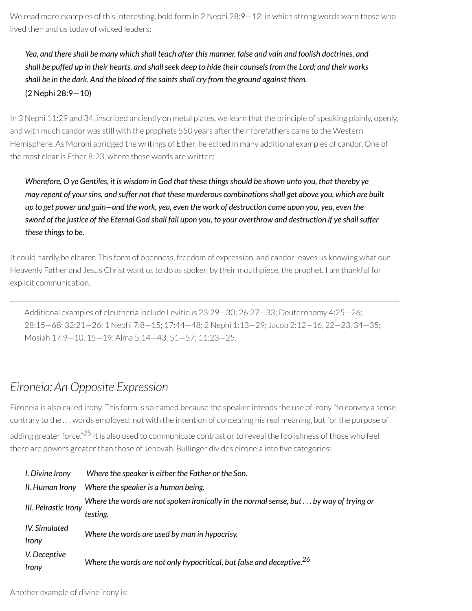We read more examples of this interesting, bold form in 2 Nephi 28:9—12, in which strong words warn those who lived then and us today of wicked leaders:

Yea, and there shall be many which shall teach after this manner, false and vain and foolish doctrines, and shall be puffed up in their hearts, and shall seek deep to hide their counsels from the Lord; and their works *shall be in the dark. And the blood of the saintsshall cry from the ground against them.* (2 Nephi 28:9—10)

In 3 Nephi 11:29 and 34, inscribed anciently on metal plates, we learn that the principle of speaking plainly, openly, and with much candor was still with the prophets 550 years after their forefathers came to the Western Hemisphere. As Moroni abridged the writings of Ether, he edited in many additional examples of candor. One of the most clear is Ether 8:23, where these words are written:

Wherefore, O ye Gentiles, it is wisdom in God that these things should be shown unto you, that thereby ye may repent of your sins, and suffer not that these murderous combinations shall get above you, which are built up to get power and gain-and the work, yea, even the work of destruction come upon you, yea, even the sword of the justice of the Eternal God shall fall upon you, to your overthrow and destruction if ye shall suffer *these thingsto be.*

It could hardly be clearer. This form of openness, freedom of expression, and candor leaves us knowing what our Heavenly Father and Jesus Christ want us to do as spoken by their mouthpiece, the prophet. I am thankful for explicit communication.

Additional examples of eleutheria include Leviticus 23:29—30; 26:27—33; Deuteronomy 4:25—26; 28:15—68; 32:21—26; 1 Nephi 7:8—15; 17:44—48; 2 Nephi 1:13—29; Jacob 2:12—16, 22—23, 34—35; Mosiah 17:9—10, 15—19; Alma 5:14—43, 51—57; 11:23—25.

# *Eironeia: An Opposite Expression*

Eironeia is also called irony. This form is so named because the speakerintends the use of irony "to convey a sense contrary to the ... words employed: not with the intention of concealing his real meaning, but for the purpose of adding greater force."<sup>25</sup> It is also used to communicate contrast or to reveal the foolishness of those who feel there are powers greater than those of Jehovah. Bullinger divides eironeia into five categories:

| I. Divine Irony      | Where the speaker is either the Father or the Son.                                             |  |
|----------------------|------------------------------------------------------------------------------------------------|--|
| II. Human Irony      | Where the speaker is a human being.                                                            |  |
| III. Peirastic Irony | Where the words are not spoken ironically in the normal sense, but $\dots$ by way of trying or |  |
|                      | testing.                                                                                       |  |
| <b>IV.</b> Simulated | Where the words are used by man in hypocrisy.                                                  |  |
| Irony                |                                                                                                |  |
| V. Deceptive         | Where the words are not only hypocritical, but false and deceptive. 26                         |  |
| Irony                |                                                                                                |  |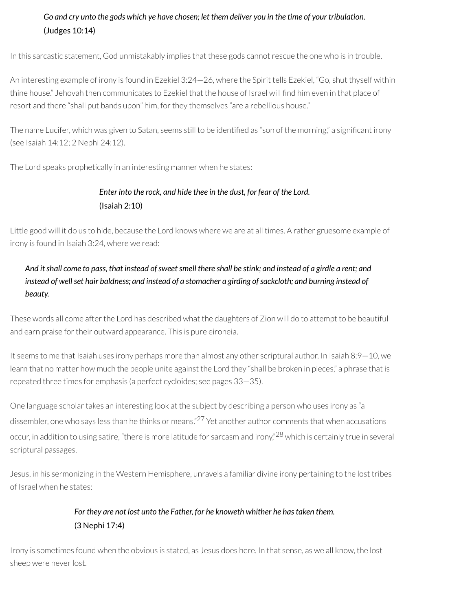## Go and cry unto the gods which ye have chosen; let them deliver you in the time of your tribulation. (Judges 10:14)

In this sarcastic statement, God unmistakably implies that these gods cannotrescue the one who is in trouble.

An interesting example of irony is found in Ezekiel 3:24—26, where the Spirit tells Ezekiel, "Go, shut thyself within thine house." Jehovah then communicates to Ezekiel that the house of Israel will find him even in that place of resort and there "shall put bands upon" him, forthey themselves "are a rebellious house."

The name Lucifer, which was given to Satan, seems still to be identified as "son of the morning," a significant irony (see Isaiah 14:12; 2 Nephi 24:12).

The Lord speaks prophetically in an interesting manner when he states:

## *Enter into the rock, and hide thee in the dust, for fear of the Lord.* (Isaiah 2:10)

Little good will it do us to hide, because the Lord knows where we are at all times. A rather gruesome example of irony is found in Isaiah 3:24, where we read:

## And it shall come to pass, that instead of sweet smell there shall be stink; and instead of a girdle a rent; and instead of well set hair baldness; and instead of a stomacher a girding of sackcloth; and burning instead of *beauty.*

These words all come afterthe Lord has described what the daughters of Zion will do to attempt to be beautiful and earn praise for their outward appearance. This is pure eironeia.

It seems to me that Isaiah uses irony perhaps more than almost any other scriptural author. In Isaiah 8:9—10, we learn that no matter how much the people unite against the Lord they "shall be broken in pieces," a phrase that is repeated three times for emphasis (a perfect cycloides; see pages 33—35).

One language scholar takes an interesting look at the subject by describing a person who uses irony as "a dissembler, one who says less than he thinks or means."<sup>27</sup> Yet another author comments that when accusations occur, in addition to using satire, "there is more latitude for sarcasm and irony,"<sup>28</sup> which is certainly true in several scriptural passages.

Jesus, in his sermonizing in the Western Hemisphere, unravels a familiar divine irony pertaining to the lost tribes of Israel when he states:

## *For they are not lost unto the Father, for he knoweth whither he hastaken them.* (3 Nephi 17:4)

Irony is sometimes found when the obvious is stated, as Jesus does here. In that sense, as we all know, the lost sheep were never lost.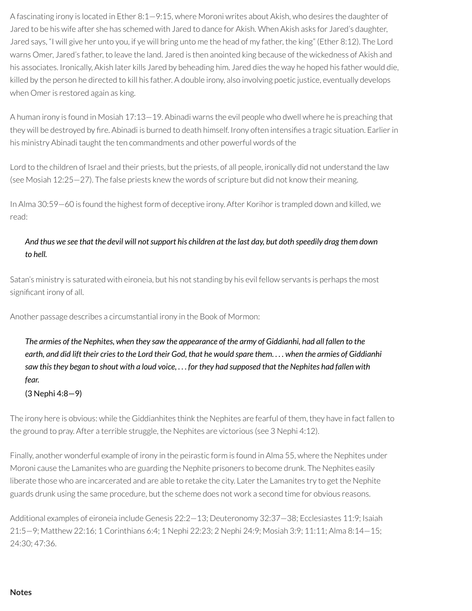A fascinating irony is located in Ether 8:1—9:15, where Moroni writes about Akish, who desires the daughter of Jared to be his wife after she has schemed with Jared to dance for Akish. When Akish asks for Jared's daughter, Jared says, "I will give her unto you, if ye will bring unto me the head of my father, the king" (Ether 8:12). The Lord warns Omer, Jared's father, to leave the land. Jared is then anointed king because of the wickedness of Akish and his associates. Ironically, Akish later kills Jared by beheading him. Jared dies the way he hoped his father would die, killed by the person he directed to kill his father. A double irony, also involving poetic justice, eventually develops when Omer is restored again as king.

A human irony is found in Mosiah 17:13—19. Abinadi warns the evil people who dwell where he is preaching that they will be destroyed by fire. Abinadi is burned to death himself. Irony often intensifies a tragic situation. Earlier in his ministry Abinadi taught the ten commandments and other powerful words of the

Lord to the children of Israel and their priests, but the priests, of all people, ironically did not understand the law (see Mosiah 12:25—27). The false priests knew the words of scripture but did not know their meaning.

In Alma 30:59—60 is found the highest form of deceptive irony. After Korihoris trampled down and killed, we read:

## And thus we see that the devil will not support his children at the last day, but doth speedily drag them down *to hell.*

Satan's ministry is saturated with eironeia, but his not standing by his evil fellow servants is perhaps the most significant irony of all.

Another passage describes a circumstantial irony in the Book of Mormon:

## The armies of the Nephites, when they saw the appearance of the army of Giddianhi, had all fallen to the earth, and did lift their cries to the Lord their God, that he would spare them.... when the armies of Giddianhi saw this they began to shout with a loud voice,... for they had supposed that the Nephites had fallen with *fear.*

(3 Nephi 4:8—9)

The irony here is obvious: while the Giddianhites think the Nephites are fearful of them, they have in fact fallen to the ground to pray. After a terrible struggle, the Nephites are victorious (see 3 Nephi 4:12).

Finally, another wonderful example of irony in the peirastic form is found in Alma 55, where the Nephites under Moroni cause the Lamanites who are guarding the Nephite prisoners to become drunk. The Nephites easily liberate those who are incarcerated and are able to retake the city. Later the Lamanites try to get the Nephite guards drunk using the same procedure, but the scheme does not work a second time for obvious reasons.

Additional examples of eironeia include Genesis 22:2—13; Deuteronomy 32:37—38; Ecclesiastes 11:9; Isaiah 21:5—9; Matthew 22:16; 1 Corinthians 6:4; 1 Nephi 22:23; 2 Nephi 24:9; Mosiah 3:9; 11:11; Alma 8:14—15; 24:30; 47:36.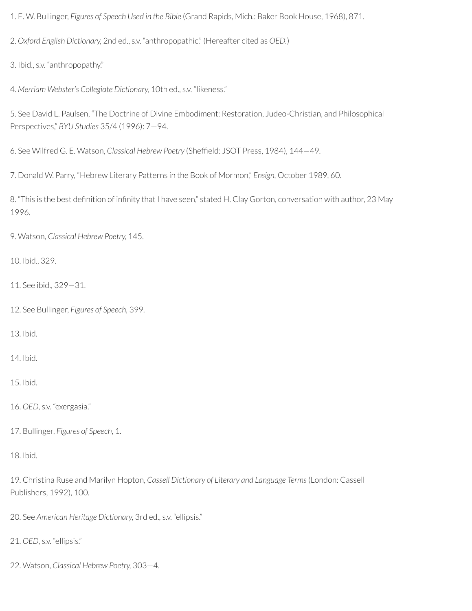1. E. W. Bullinger, *Figures of Speech Used in the Bible* (Grand Rapids, Mich.: Baker Book House, 1968), 871.

2. *Oxford English Dictionary,* 2nd ed., s.v. "anthropopathic." (Hereafter cited as *OED.*)

3. Ibid., s.v. "anthropopathy."

4. *Merriam Webster's Collegiate Dictionary,* 10th ed., s.v. "likeness."

5. See David L. Paulsen, "The Doctrine of Divine Embodiment: Restoration, Judeo-Christian, and Philosophical Perspectives," *BYU Studies* 35/4 (1996): 7—94.

6. See Wilfred G. E. Watson, *Classical Hebrew Poetry* (Shefeld: JSOT Press, 1984), 144—49.

7. Donald W. Parry, "Hebrew Literary Patterns in the Book of Mormon," *Ensign,* October 1989, 60.

8. "This is the best definition of infinity that I have seen," stated H. Clay Gorton, conversation with author, 23 May 1996.

9. Watson, *Classical Hebrew Poetry,* 145.

10. Ibid., 329.

11. See ibid., 329—31.

12. See Bullinger, *Figures of Speech,* 399.

13. Ibid.

14. Ibid.

15. Ibid.

16. *OED,* s.v. "exergasia."

17. Bullinger, *Figures of Speech,* 1.

18. Ibid.

19. Christina Ruse and Marilyn Hopton, *Cassell Dictionary of Literary and Language Terms*(London: Cassell Publishers, 1992), 100.

20. See *American Heritage Dictionary,* 3rd ed., s.v. "ellipsis."

21. *OED,* s.v. "ellipsis."

22. Watson, *Classical Hebrew Poetry,* 303—4.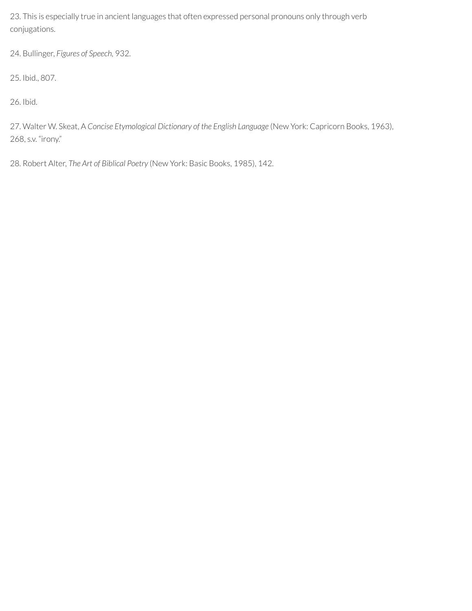23. This is especially true in ancient languages that often expressed personal pronouns only through verb conjugations.

24. Bullinger, *Figures of Speech,* 932.

25. Ibid., 807.

26. Ibid.

27. Walter W. Skeat, A *Concise Etymological Dictionary of the English Language* (New York: Capricorn Books, 1963), 268, s.v. "irony."

28. Robert Alter, *The Art of Biblical Poetry* (New York: Basic Books, 1985), 142.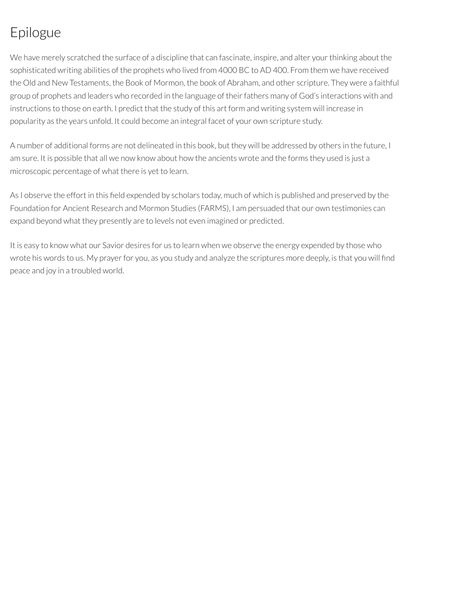# Epilogue

We have merely scratched the surface of a discipline that can fascinate, inspire, and alter your thinking about the sophisticated writing abilities of the prophets who lived from 4000 BC to AD 400. From them we have received the Old and New Testaments, the Book of Mormon, the book of Abraham, and other scripture. They were a faithful group of prophets and leaders who recorded in the language of their fathers many of God's interactions with and instructions to those on earth. I predict that the study of this art form and writing system will increase in popularity as the years unfold. It could become an integral facet of your own scripture study.

A number of additional forms are not delineated in this book, but they will be addressed by others in the future, I am sure. It is possible that all we now know about how the ancients wrote and the forms they used is just a microscopic percentage of what there is yet to learn.

As I observe the effort in this field expended by scholars today, much of which is published and preserved by the Foundation for Ancient Research and Mormon Studies (FARMS), I am persuaded that our own testimonies can expand beyond what they presently are to levels not even imagined or predicted.

It is easy to know what our Savior desires for us to learn when we observe the energy expended by those who wrote his words to us. My prayer for you, as you study and analyze the scriptures more deeply, is that you will find peace and joy in a troubled world.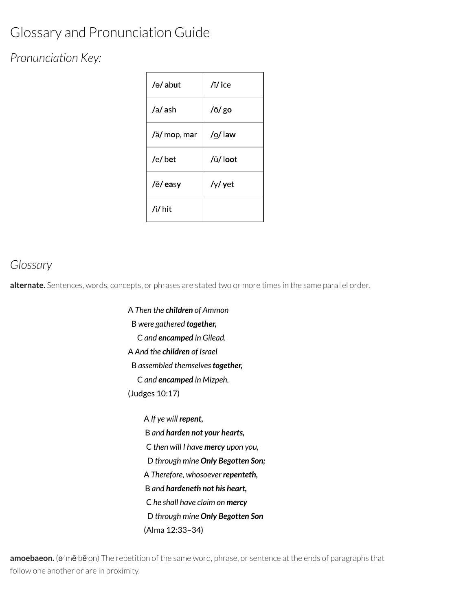# Glossary and Pronunciation Guide

# *Pronunciation Key:*

| /ə/ abut        | /ī/ ice      |
|-----------------|--------------|
| $/a/\text{ash}$ | $/$ ō $/$ go |
| /ä/ mop, mar    | $/0/$ law    |
| /e/bet          | /ü/loot      |
| /ē/ easy        | /y/ yet      |
| /i/ hit         |              |

# *Glossary*

**alternate.** Sentences, words, concepts, or phrases are stated two or more times in the same parallel order.

A *Then the children of Ammon* B *were gathered together,* C *and encamped in Gilead.* A *And the children of Israel* B *assembled themselvestogether,* C *and encamped in Mizpeh.* (Judges 10:17) A *If ye will repent,*

B *and harden not your hearts,* C *then will I have mercy upon you,* D *through mine Only Begotten Son;* A *Therefore, whosoever repenteth,* B *and hardeneth not his heart,* C *he shall have claim on mercy* D *through mine Only Begotten Son* (Alma 12:33–34)

amoebaeon. (a<sup>.</sup> mē·bē·on) The repetition of the same word, phrase, or sentence at the ends of paragraphs that follow one another or are in proximity.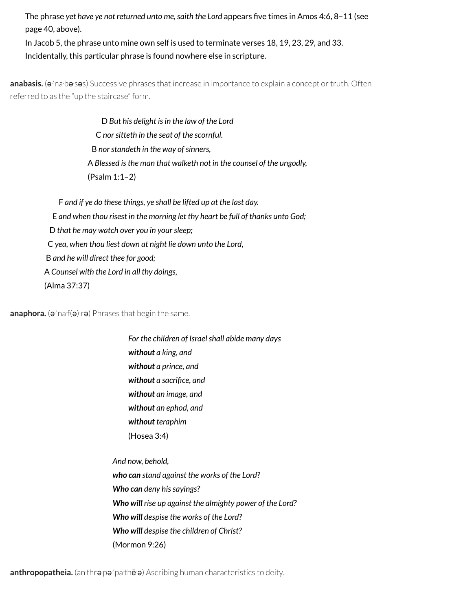The phrase yet have ye not returned unto me, saith the Lord appears five times in Amos 4:6, 8-11 (see page 40, above).

In Jacob 5, the phrase unto mine own self is used to terminate verses 18, 19, 23, 29, and 33. Incidentally, this particular phrase is found nowhere else in scripture.

anabasis. (ə<sup>.</sup>na<sup>.</sup>bə<sup>.</sup>səs) Successive phrases that increase in importance to explain a concept or truth. Often referred to as the "up the staircase" form.

> D *But his delight isin the law of the Lord* C *norsitteth in the seat of the scornful.* B *norstandeth in the way ofsinners,* A *Blessed isthe man that walketh not in the counsel of the ungodly,* (Psalm 1:1–2)

F *and if ye do these things, ye shall be lifted up at the last day.* E *and when thou risest in the morning let thy heart be full of thanks unto God;* D *that he may watch over you in yoursleep;* C *yea, when thou liest down at night lie down unto the Lord,* B *and he will direct thee for good;* A *Counsel with the Lord in all thy doings,* (Alma 37:37)

anaphora. (a<sup>.</sup>naf(a) ra) Phrases that begin the same.

*For the children of Israelshall abide many days without a king, and without a prince, and*  $with$ out *a* sacrifice, and *without an image, and without an ephod, and without teraphim* (Hosea 3:4)

*And now, behold, who can stand against the works of the Lord? Who can deny his sayings? Who will rise up against the almighty power of the Lord? Who will despise the works of the Lord? Who will despise the children of Christ?* (Mormon 9:26)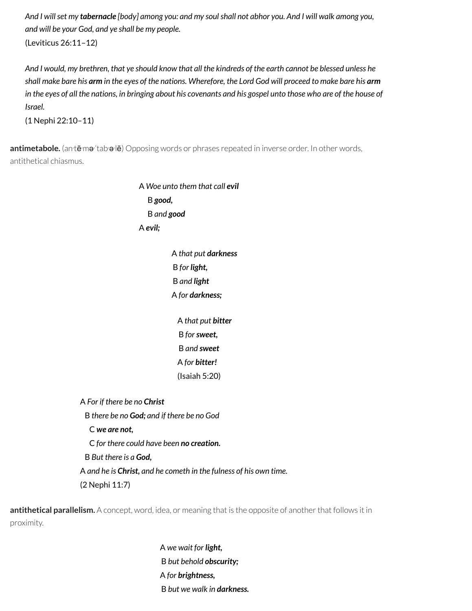And I will set my tabernacle [body] among you: and my soul shall not abhor you. And I will walk among you, *and will be your God, and ye shall be my people.*

(Leviticus 26:11–12)

And I would, my brethren, that ve should know that all the kindreds of the earth cannot be blessed unless he shall make bare his arm in the eves of the nations. Wherefore, the Lord God will proceed to make bare his arm in the eyes of all the nations, in bringing about his covenants and his gospel unto those who are of the house of *Israel.*

(1 Nephi 22:10–11)

antimetabole. (antē·mo·'tab·o·lē) Opposing words or phrases repeated in inverse order. In other words, antithetical chiasmus.

> A *Woe unto them that call evil* B *good,* B *and good* A *evil;*

A *that put darkness* B *for light,* B *and light* A *for darkness;* A *that put bitter* B *forsweet,* B *and sweet* A *for bitter!*

(Isaiah 5:20)

A *For if there be no Christ* B *there be no God; and if there be no God* C *we are not,* C *for there could have been no creation.* B *But there is a God,* A *and he is Christ, and he cometh in the fulness of his own time.* (2 Nephi 11:7)

**antithetical parallelism.** A concept, word, idea, or meaning that is the opposite of another that follows it in proximity.

> A *we wait for light,* B *but behold obscurity;* A *for brightness,* B *but we walk in darkness.*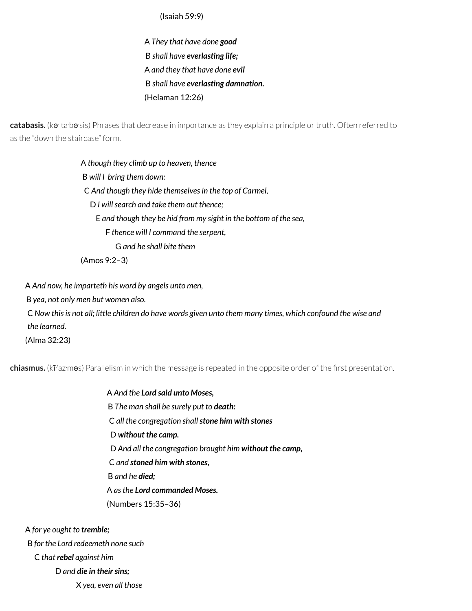(Isaiah 59:9)

A *They that have done good* B *shall have everlasting life;* A *and they that have done evil* B *shall have everlasting damnation.* (Helaman 12:26)

catabasis. (kə<sup>.</sup>ta<sup>.</sup>bə<sup>.</sup>sis) Phrases that decrease in importance as they explain a principle or truth. Often referred to as the "down the staircase" form.

> A *though they climb up to heaven, thence* B *will I bring them down:* C *And though they hide themselvesin the top of Carmel,* D *I willsearch and take them out thence;* E *and though they be hid from my sight in the bottom of the sea,* F *thence will I command the serpent,* G *and he shall bite them* (Amos 9:2–3)

A *And now, he imparteth his word by angels unto men,*

B *yea, not only men but women also.*

C Now this is not all; little children do have words given unto them many times, which confound the wise and *the learned.*

(Alma 32:23)

chiasmus. (kī<sup>·</sup>az·məs) Parallelism in which the message is repeated in the opposite order of the first presentation.

A *And the Lord said unto Moses,* B *The man shall be surely put to death:* C *all the congregation shallstone him with stones* D *without the camp.* D *And all the congregation brought him without the camp,* C *and stoned him with stones,* B *and he died;* A *asthe Lord commanded Moses.* (Numbers 15:35–36)

A *for ye ought to tremble;*

B *for the Lord redeemeth none such*

C *that rebel against him*

D and **die in their sins;** 

X *yea, even all those*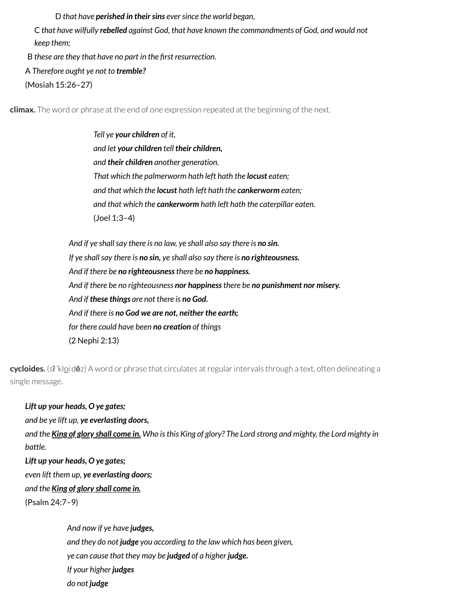D *that have perished in theirsins eversince the world began,*

C *that have wilfully rebelled against God, that have known the commandments of God, and would not keep them;*

B *these are they that have no part in the rst resurrection.*

A *Therefore ought ye not to tremble?*

(Mosiah 15:26–27)

**climax.** The word or phrase at the end of one expression repeated at the beginning of the next.

*Tell ye your children of it, and let your children tell their children, and their children another generation. That which the palmerworm hath left hath the locust eaten; and that which the locust hath left hath the cankerworm eaten; and that which the cankerworm hath left hath the caterpillar eaten.* (Joel 1:3–4)

*And if ye shallsay there is no law, ye shall also say there is no sin. If* ye shall say there is no sin, ye shall also say there is no righteousness. *And if there be no righteousnessthere be no happiness. And if there be no righteousness nor happinessthere be no punishment nor misery. And if these things are not there is no God. And if there is no God we are not, neither the earth; for there could have been no creation of things* (2 Nephi 2:13)

cycloides. (sī<sup>.</sup>'kl<u>o</u>idēz) A word or phrase that circulates at regular intervals through a text, often delineating a single message.

*Lift up your heads, O ye gates; and be ye lift up, ye everlasting doors,* and the King of glory shall come in. Who is this King of glory? The Lord strong and mighty, the Lord mighty in *battle. Lift up your heads, O ye gates; even lift them up, ye everlasting doors; and the King of glory shall come in.* (Psalm 24:7–9)

> *And now if ye have judges, and they do not judge you according to the law which has been given, ye can cause that they may be judged of a higher judge. If your higher judges do not judge*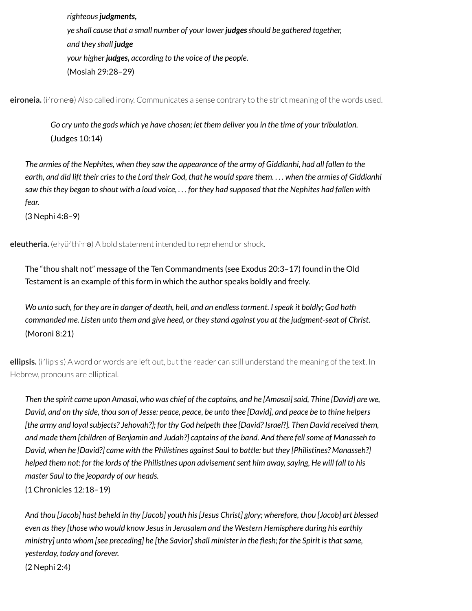*righteousjudgments, ye shall cause that a small number of your lower judgesshould be gathered together, and they shall judge your higher judges, according to the voice of the people.* (Mosiah 29:28–29)

eironeia. (i<sup>.</sup> 'ro<sup>ne:</sup> a) Also called irony. Communicates a sense contrary to the strict meaning of the words used.

Go cry unto the gods which ye have chosen; let them deliver you in the time of your tribulation. (Judges 10:14)

The armies of the Nephites, when they saw the appearance of the army of Giddianhi, had all fallen to the earth, and did lift their cries to the Lord their God, that he would spare them.... when the armies of Giddianhi saw this they began to shout with a loud voice, ... for they had supposed that the Nephites had fallen with *fear.*

(3 Nephi 4:8–9)

eleutheria. (el·yü·thi·r·a) A bold statement intended to reprehend or shock.

The "thou shalt not" message of the Ten Commandments (see Exodus 20:3–17) found in the Old Testament is an example of this form in which the author speaks boldly and freely.

Wo unto such, for they are in danger of death, hell, and an endless torment. I speak it boldly; God hath commanded me. Listen unto them and give heed, or they stand against you at the judgment-seat of Christ. (Moroni 8:21)

ellipsis. (i<sup>.</sup>'lip<sup>s</sup>s) A word or words are left out, but the reader can still understand the meaning of the text. In Hebrew, pronouns are elliptical.

Then the spirit came upon Amasai, who was chief of the captains, and he [Amasai] said, Thine [David] are we, David, and on thy side, thou son of Jesse: peace, peace, be unto thee [David], and peace be to thine helpers *[the army and loyalsubjects? Jehovah?]; for thy God helpeth thee [David? Israel?]. Then David received them,* and made them [children of Benjamin and Judah?] captains of the band. And there fell some of Manasseh to *David, when he [David?] came with the Philistines against Saul to battle: but they [Philistines? Manasseh?]* helped them not: for the lords of the Philistines upon advisement sent him away, saying, He will fall to his *master Saul to the jeopardy of our heads.*

(1 Chronicles 12:18–19)

And thou [Jacob] hast beheld in thy [Jacob] youth his [Jesus Christ] glory; wherefore, thou [Jacob] art blessed *even asthey [those who would know Jesusin Jerusalem and the Western Hemisphere during his earthly ministry] unto whom [see preceding] he [the Savior]shall minister in the esh; for the Spirit isthatsame, yesterday, today and forever.*

(2 Nephi 2:4)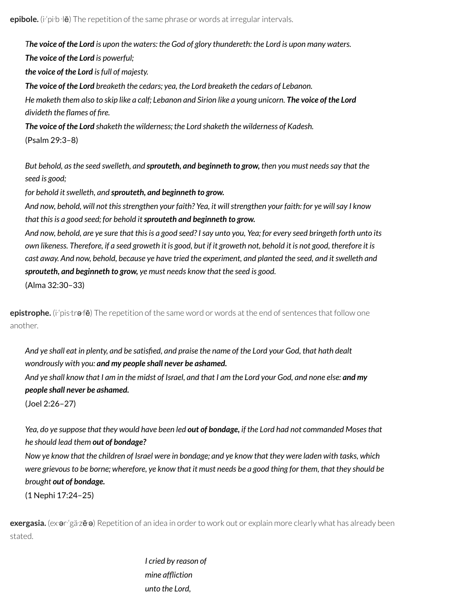epibole. (i<sup>.</sup> pib · lē) The repetition of the same phrase or words at irregular intervals.

The voice of the Lord is upon the waters: the God of glory thundereth: the Lord is upon many waters. *The voice of the Lord is powerful; the voice of the Lord isfull of majesty. The voice of the Lord breaketh the cedars; yea, the Lord breaketh the cedars of Lebanon.* He maketh them also to skip like a calf: Lebanon and Sirion like a voung unicorn. **The voice of the Lord** *divideth the ames of re. The voice of the Lord shaketh the wilderness; the Lord shaketh the wilderness of Kadesh.* (Psalm 29:3–8) *But behold, asthe seed swelleth, and sprouteth, and beginneth to grow, then you must needssay that the seed is good; for behold itswelleth, and sprouteth, and beginneth to grow.* And now, behold, will not this strengthen your faith? Yea, it will strengthen your faith: for ye will say I know *that thisis a good seed; for behold itsprouteth and beginneth to grow.* And now, behold, are ye sure that this is a good seed? I say unto you, Yea; for every seed bringeth forth unto its own likeness. Therefore, if a seed groweth it is good, but if it groweth not, behold it is not good, therefore it is cast away. And now, behold, because ve have tried the experiment, and planted the seed, and it swelleth and *sprouteth, and beginneth to grow, ye must needs know that the seed is good.*

(Alma 32:30–33)

epistrophe. (i<sup>.</sup>pistrofe) The repetition of the same word or words at the end of sentences that follow one another.

And ve shall eat in plenty, and be satisfied, and praise the name of the Lord vour God, that hath dealt *wondrously with you: and my people shall never be ashamed.*

And ye shall know that I am in the midst of Israel, and that I am the Lord your God, and none else: and my *people shall never be ashamed.*

(Joel 2:26–27)

Yea, do ye suppose that they would have been led out of bondage, if the Lord had not commanded Moses that *he should lead them out of bondage?*

Now ye know that the children of Israel were in bondage; and ye know that they were laden with tasks, which were grievous to be borne; wherefore, ye know that it must needs be a good thing for them, that they should be *brought out of bondage.*

(1 Nephi 17:24–25)

exergasia. (ex·ər·'gä·zē·ə) Repetition of an idea in order to work out or explain more clearly what has already been stated.

> *I cried by reason of mine afiction unto the Lord,*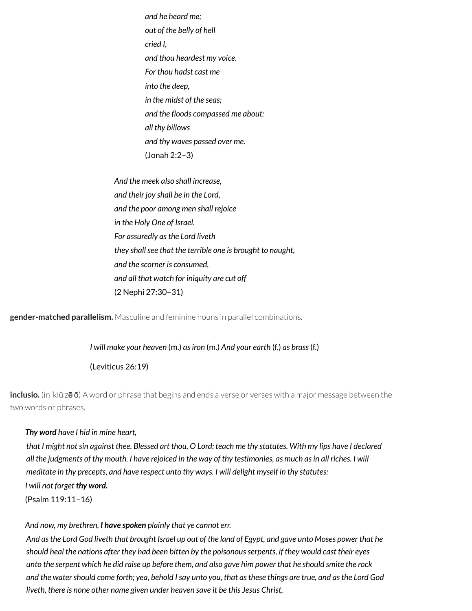*and he heard me; out of the belly of hell cried I, and thou heardest my voice. For thou hadst cast me into the deep, in the midst of the seas; and the oods compassed me about: all thy billows and thy waves passed over me.* (Jonah 2:2–3)

*And the meek also shall increase, and their joy shall be in the Lord, and the poor among men shall rejoice in the Holy One of Israel. For assuredly asthe Lord liveth they shallsee that the terrible one is brought to naught, and the scorner is consumed, and all that watch for iniquity are cut off* (2 Nephi 27:30–31)

**gender-matched parallelism.** Masculine and feminine nouns in parallel combinations.

#### *I will make your heaven* (m.) *asiron* (m.) *And your earth* (f.) *as brass*(f.)

(Leviticus 26:19)

inclusio. (in·'klü·zē·ō) A word or phrase that begins and ends a verse or verses with a major message between the two words or phrases.

#### *Thy word have I hid in mine heart,*

that I might not sin against thee. Blessed art thou, O Lord: teach me thy statutes. With my lips have I declared all the judgments of thy mouth. I have rejoiced in the way of thy testimonies, as much as in all riches. I will *meditate in thy precepts, and have respect unto thy ways. I will delight myself in thy statutes: I will not forget thy word.* (Psalm 119:11–16)

#### *And now, my brethren, I have spoken plainly that ye cannot err.*

And as the Lord God liveth that brought Israel up out of the land of Egypt, and gave unto Moses power that he should heal the nations after they had been bitten by the poisonous serpents, if they would cast their eyes unto the serpent which he did raise up before them, and also gave him power that he should smite the rock and the water should come forth; yea, behold I say unto you, that as these things are true, and as the Lord God *liveth, there is none other name given under heaven save it be this Jesus Christ,*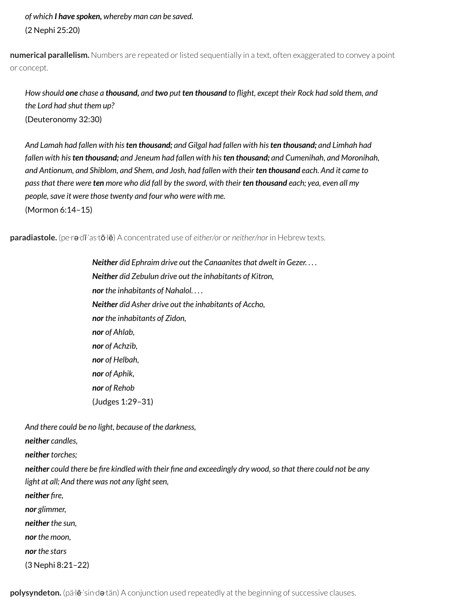*of which I have spoken, whereby man can be saved.* (2 Nephi 25:20)

**numerical parallelism.** Numbers are repeated or listed sequentially in a text, often exaggerated to convey a point or concept.

How should one chase a thousand, and two put ten thousand to flight, except their Rock had sold them, and *the Lord had shut them up?* (Deuteronomy 32:30)

And Lamah had fallen with his **ten thousand:** and Gilgal had fallen with his **ten thousand:** and Limhah had *fallen with histen thousand; and Jeneum had fallen with histen thousand; and Cumenihah, and Moronihah,* and Antionum, and Shiblom, and Shem, and Josh, had fallen with their ten thousand each. And it came to pass that there were ten more who did fall by the sword, with their ten thousand each; yea, even all my *people,save it were those twenty and four who were with me.*

(Mormon 6:14–15)

paradiastole. (pera·dī·'as·tō·lē) A concentrated use of either/or or neither/nor in Hebrew texts.

*Neither did Ephraim drive out the Canaanitesthat dwelt in Gezer. . . . Neither did Zebulun drive out the inhabitants of Kitron, nor the inhabitants of Nahalol. . . . Neither did Asher drive out the inhabitants of Accho, nor the inhabitants of Zidon, nor of Ahlab, nor of Achzib, nor of Helbah, nor of Aphik, nor of Rehob* (Judges 1:29–31)

*And there could be no light, because of the darkness,*

*neither candles,*

*neither torches;*

neither could there be fire kindled with their fine and exceedingly dry wood, so that there could not be any *light* at all; And there was not any light seen,

*neither fire*, *nor glimmer, neither the sun, nor the moon, nor the stars*

(3 Nephi 8:21–22)

polysyndeton. (pä·lē·'sin·də·tän) A conjunction used repeatedly at the beginning of successive clauses.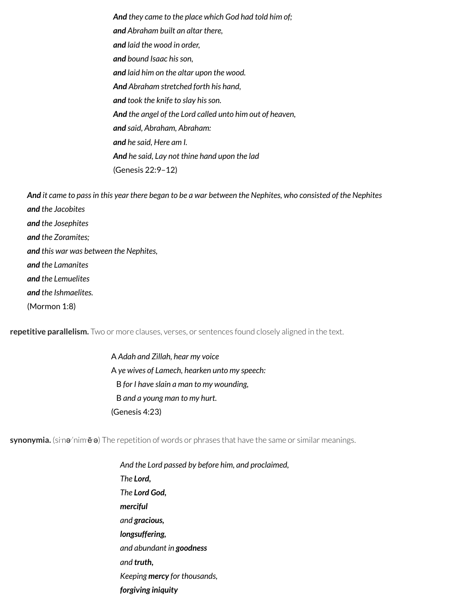*And they came to the place which God had told him of; and Abraham built an altar there, and laid the wood in order, and bound Isaac hisson, and laid him on the altar upon the wood. And Abraham stretched forth his hand, and took the knife to slay hisson. And the angel of the Lord called unto him out of heaven, and said, Abraham, Abraham: and he said, Here am I. And he said, Lay not thine hand upon the lad* (Genesis 22:9–12)

And it came to pass in this year there began to be a war between the Nephites, who consisted of the Nephites *and the Jacobites and the Josephites and the Zoramites; and this war was between the Nephites, and the Lamanites and the Lemuelites and the Ishmaelites.* (Mormon 1:8)

**repetitive parallelism.** Two or more clauses, verses, or sentences found closely aligned in the text.

A *Adah and Zillah, hear my voice* A *ye wives of Lamech, hearken unto my speech:* B *for I have slain a man to my wounding,* B *and a young man to my hurt.* (Genesis 4:23)

synonymia. (si<sup>.</sup>nə<sup>.</sup>'nim<sup>.</sup>ē<sup>.</sup>ə) The repetition of words or phrases that have the same or similar meanings.

*And the Lord passed by before him, and proclaimed, The Lord, The Lord God, merciful and gracious, longsuffering, and abundant in goodness and truth, Keeping mercy for thousands, forgiving iniquity*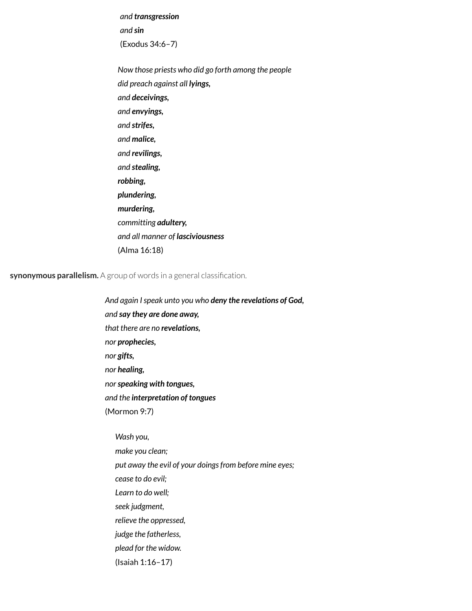*and transgression and sin* (Exodus 34:6–7)

*Now those priests who did go forth among the people did preach against all lyings, and deceivings, and envyings, and strifes, and malice, and revilings, and stealing, robbing, plundering, murdering, committing adultery, and all manner of lasciviousness* (Alma 16:18)

#### **synonymous parallelism.** A group of words in a general classification.

*And again Ispeak unto you who deny the revelations of God, and say they are done away, that there are no revelations, nor prophecies, nor gifts, nor healing, norspeaking with tongues, and the interpretation of tongues* (Mormon 9:7)

*Wash you, make you clean; put away the evil of your doingsfrom before mine eyes; cease to do evil; Learn to do well; seek judgment, relieve the oppressed, judge the fatherless, plead for the widow.* (Isaiah 1:16–17)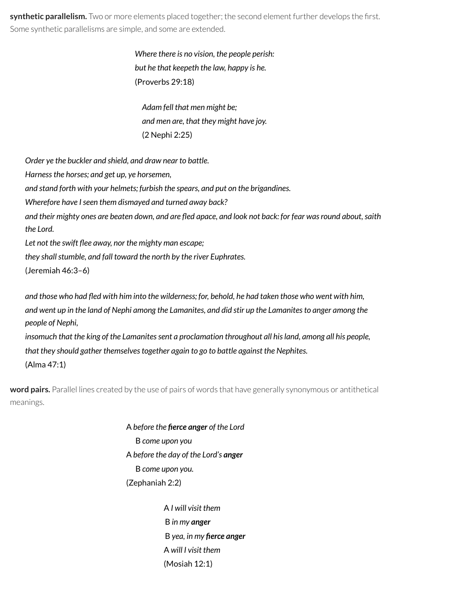**synthetic parallelism.** Two or more elements placed together; the second element further develops the first. Some synthetic parallelisms are simple, and some are extended.

> *Where there is no vision, the people perish: but he that keepeth the law, happy is he.* (Proverbs 29:18)

*Adam fell that men might be; and men are, that they might have joy.* (2 Nephi 2:25)

*Order ye the buckler and shield, and draw near to battle.*

*Harnessthe horses; and get up, ye horsemen,*

*and stand forth with your helmets; furbish the spears, and put on the brigandines.*

*Wherefore have Iseen them dismayed and turned away back?*

and their mighty ones are beaten down, and are fled apace, and look not back: for fear was round about, saith *the Lord.*

*Let not the swift ee away, nor the mighty man escape;*

*they shallstumble, and fall toward the north by the river Euphrates.*

(Jeremiah 46:3–6)

and those who had fled with him into the wilderness; for, behold, he had taken those who went with him, and went up in the land of Nephi among the Lamanites, and did stir up the Lamanites to anger among the *people of Nephi, insomuch that the king of the Lamanitessent a proclamation throughout all hisland, among all his people, that they should gather themselvestogether again to go to battle against the Nephites.*

(Alma 47:1)

**word pairs.** Parallel lines created by the use of pairs of words that have generally synonymous or antithetical meanings.

> A *before the erce anger of the Lord* B *come upon you* A *before the day of the Lord's anger* B *come upon you.* (Zephaniah 2:2)

> > A *I will visit them* B *in my anger* B yea, in my **fierce anger** A *will I visit them* (Mosiah 12:1)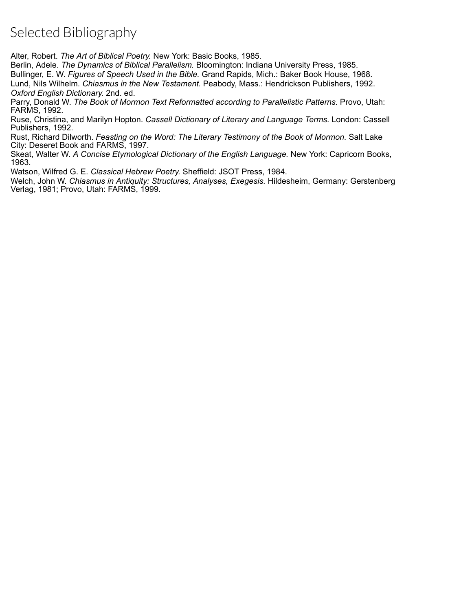Selected Bibliography

Alter, Robert. *The Art of Biblical Poetry.* New York: Basic Books, 1985.

Berlin, Adele. *The Dynamics of Biblical Parallelism.* Bloomington: Indiana University Press, 1985. Bullinger, E. W. *Figures of Speech Used in the Bible.* Grand Rapids, Mich.: Baker Book House, 1968. Lund, Nils Wilhelm. *Chiasmus in the New Testament.* Peabody, Mass.: Hendrickson Publishers, 1992. *Oxford English Dictionary.* 2nd. ed.

Parry, Donald W. *The Book of Mormon Text Reformatted according to Parallelistic Patterns.* Provo, Utah: FARMS, 1992.

Ruse, Christina, and Marilyn Hopton. *Cassell Dictionary of Literary and Language Terms.* London: Cassell Publishers, 1992.

Rust, Richard Dilworth. *Feasting on the Word: The Literary Testimony of the Book of Mormon.* Salt Lake City: Deseret Book and FARMS, 1997.

Skeat, Walter W. *A Concise Etymological Dictionary of the English Language.* New York: Capricorn Books, 1963.

Watson, Wilfred G. E. *Classical Hebrew Poetry.* Sheffield: JSOT Press, 1984.

Welch, John W. *Chiasmus in Antiquity: Structures, Analyses, Exegesis.* Hildesheim, Germany: Gerstenberg Verlag, 1981; Provo, Utah: FARMS, 1999.